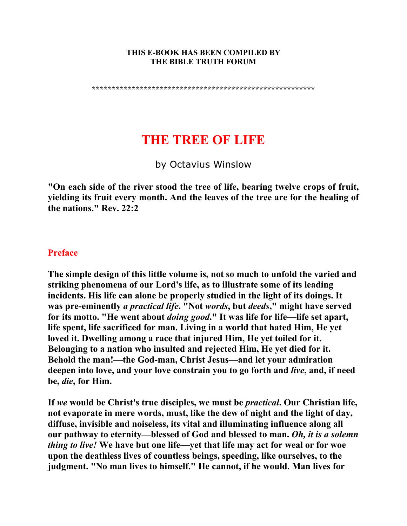#### **THIS E-BOOK HAS BEEN COMPILED BY THE BIBLE TRUTH FORUM**

**\*\*\*\*\*\*\*\*\*\*\*\*\*\*\*\*\*\*\*\*\*\*\*\*\*\*\*\*\*\*\*\*\*\*\*\*\*\*\*\*\*\*\*\*\*\*\*\*\*\*\*\*\*\*\*\*** 

# **THE TREE OF LIFE**

by Octavius Winslow

**"On each side of the river stood the tree of life, bearing twelve crops of fruit, yielding its fruit every month. And the leaves of the tree are for the healing of the nations." Rev. 22:2** 

### **Preface**

**The simple design of this little volume is, not so much to unfold the varied and striking phenomena of our Lord's life, as to illustrate some of its leading incidents. His life can alone be properly studied in the light of its doings. It was pre-eminently** *a practical life***. "Not** *words***, but** *deeds***," might have served for its motto. "He went about** *doing good***." It was life for life—life set apart, life spent, life sacrificed for man. Living in a world that hated Him, He yet loved it. Dwelling among a race that injured Him, He yet toiled for it. Belonging to a nation who insulted and rejected Him, He yet died for it. Behold the man!—the God-man, Christ Jesus—and let your admiration deepen into love, and your love constrain you to go forth and** *live***, and, if need be,** *die***, for Him.** 

**If** *we* **would be Christ's true disciples, we must be** *practical***. Our Christian life, not evaporate in mere words, must, like the dew of night and the light of day, diffuse, invisible and noiseless, its vital and illuminating influence along all our pathway to eternity—blessed of God and blessed to man.** *Oh, it is a solemn thing to live!* **We have but one life—yet that life may act for weal or for woe upon the deathless lives of countless beings, speeding, like ourselves, to the judgment. "No man lives to himself." He cannot, if he would. Man lives for**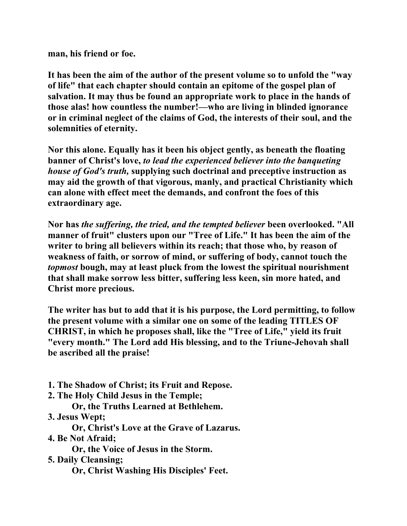**man, his friend or foe.** 

**It has been the aim of the author of the present volume so to unfold the "way of life" that each chapter should contain an epitome of the gospel plan of salvation. It may thus be found an appropriate work to place in the hands of those alas! how countless the number!—who are living in blinded ignorance or in criminal neglect of the claims of God, the interests of their soul, and the solemnities of eternity.** 

**Nor this alone. Equally has it been his object gently, as beneath the floating banner of Christ's love,** *to lead the experienced believer into the banqueting house of God's truth,* **supplying such doctrinal and preceptive instruction as may aid the growth of that vigorous, manly, and practical Christianity which can alone with effect meet the demands, and confront the foes of this extraordinary age.** 

**Nor has** *the suffering, the tried, and the tempted believer* **been overlooked. "All manner of fruit" clusters upon our "Tree of Life." It has been the aim of the writer to bring all believers within its reach; that those who, by reason of weakness of faith, or sorrow of mind, or suffering of body, cannot touch the**  *topmost* **bough, may at least pluck from the lowest the spiritual nourishment that shall make sorrow less bitter, suffering less keen, sin more hated, and Christ more precious.** 

**The writer has but to add that it is his purpose, the Lord permitting, to follow the present volume with a similar one on some of the leading TITLES OF CHRIST, in which he proposes shall, like the "Tree of Life," yield its fruit "every month." The Lord add His blessing, and to the Triune-Jehovah shall be ascribed all the praise!** 

- **1. The Shadow of Christ; its Fruit and Repose.**
- **2. The Holy Child Jesus in the Temple;**

 **Or, the Truths Learned at Bethlehem.** 

**3. Jesus Wept;** 

 **Or, Christ's Love at the Grave of Lazarus.** 

**4. Be Not Afraid;** 

 **Or, the Voice of Jesus in the Storm.** 

**5. Daily Cleansing;** 

 **Or, Christ Washing His Disciples' Feet.**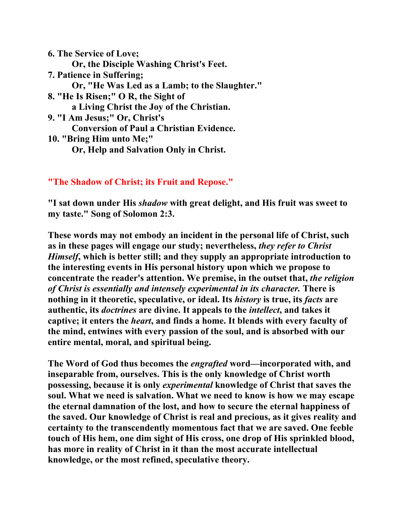**6. The Service of Love; Or, the Disciple Washing Christ's Feet. 7. Patience in Suffering; Or, "He Was Led as a Lamb; to the Slaughter." 8. "He Is Risen;" O R, the Sight of a Living Christ the Joy of the Christian. 9. "I Am Jesus;" Or, Christ's Conversion of Paul a Christian Evidence. 10. "Bring Him unto Me;" Or, Help and Salvation Only in Christ.** 

# **"The Shadow of Christ; its Fruit and Repose."**

**"I sat down under His** *shadow* **with great delight, and His fruit was sweet to my taste." Song of Solomon 2:3.** 

**These words may not embody an incident in the personal life of Christ, such as in these pages will engage our study; nevertheless,** *they refer to Christ Himself***, which is better still; and they supply an appropriate introduction to the interesting events in His personal history upon which we propose to concentrate the reader's attention. We premise, in the outset that,** *the religion of Christ is essentially and intensely experimental in its character.* **There is nothing in it theoretic, speculative, or ideal. Its** *history* **is true, its** *facts* **are authentic, its** *doctrines* **are divine. It appeals to the** *intellect***, and takes it captive; it enters the** *heart***, and finds a home. It blends with every faculty of the mind, entwines with every passion of the soul, and is absorbed with our entire mental, moral, and spiritual being.** 

**The Word of God thus becomes the** *engrafted* **word—incorporated with, and inseparable from, ourselves. This is the only knowledge of Christ worth possessing, because it is only** *experimental* **knowledge of Christ that saves the soul. What we need is salvation. What we need to know is how we may escape the eternal damnation of the lost, and how to secure the eternal happiness of the saved. Our knowledge of Christ is real and precious, as it gives reality and certainty to the transcendently momentous fact that we are saved. One feeble touch of His hem, one dim sight of His cross, one drop of His sprinkled blood, has more in reality of Christ in it than the most accurate intellectual knowledge, or the most refined, speculative theory.**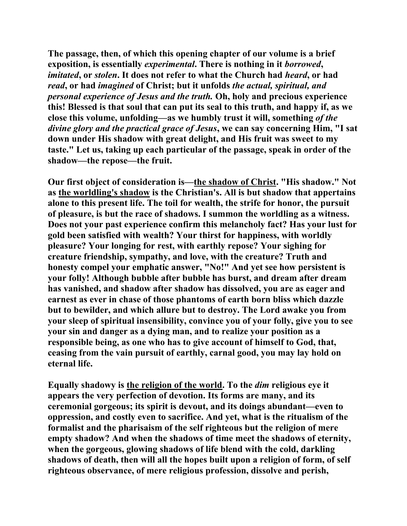**The passage, then, of which this opening chapter of our volume is a brief exposition, is essentially** *experimental***. There is nothing in it** *borrowed***,**  *imitated***, or** *stolen***. It does not refer to what the Church had** *heard***, or had**  *read***, or had** *imagined* **of Christ; but it unfolds** *the actual, spiritual, and personal experience of Jesus and the truth.* **Oh, holy and precious experience this! Blessed is that soul that can put its seal to this truth, and happy if, as we close this volume, unfolding—as we humbly trust it will, something** *of the divine glory and the practical grace of Jesus***, we can say concerning Him, "I sat down under His shadow with great delight, and His fruit was sweet to my taste." Let us, taking up each particular of the passage, speak in order of the shadow—the repose—the fruit.** 

**Our first object of consideration is—the shadow of Christ. "His shadow." Not as the worldling's shadow is the Christian's. All is but shadow that appertains alone to this present life. The toil for wealth, the strife for honor, the pursuit of pleasure, is but the race of shadows. I summon the worldling as a witness. Does not your past experience confirm this melancholy fact? Has your lust for gold been satisfied with wealth? Your thirst for happiness, with worldly pleasure? Your longing for rest, with earthly repose? Your sighing for creature friendship, sympathy, and love, with the creature? Truth and honesty compel your emphatic answer, "No!" And yet see how persistent is your folly! Although bubble after bubble has burst, and dream after dream has vanished, and shadow after shadow has dissolved, you are as eager and earnest as ever in chase of those phantoms of earth born bliss which dazzle but to bewilder, and which allure but to destroy. The Lord awake you from your sleep of spiritual insensibility, convince you of your folly, give you to see your sin and danger as a dying man, and to realize your position as a responsible being, as one who has to give account of himself to God, that, ceasing from the vain pursuit of earthly, carnal good, you may lay hold on eternal life.** 

**Equally shadowy is the religion of the world. To the** *dim* **religious eye it appears the very perfection of devotion. Its forms are many, and its ceremonial gorgeous; its spirit is devout, and its doings abundant—even to oppression, and costly even to sacrifice. And yet, what is the ritualism of the formalist and the pharisaism of the self righteous but the religion of mere empty shadow? And when the shadows of time meet the shadows of eternity, when the gorgeous, glowing shadows of life blend with the cold, darkling shadows of death, then will all the hopes built upon a religion of form, of self righteous observance, of mere religious profession, dissolve and perish,**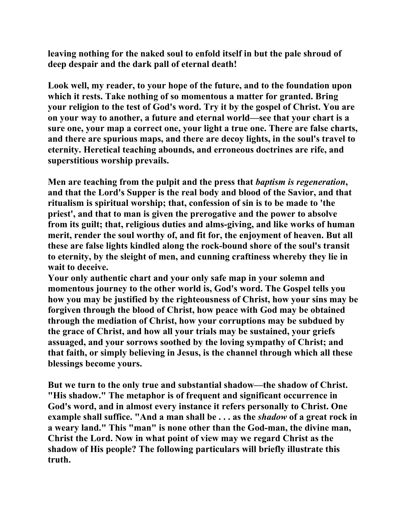**leaving nothing for the naked soul to enfold itself in but the pale shroud of deep despair and the dark pall of eternal death!** 

**Look well, my reader, to your hope of the future, and to the foundation upon which it rests. Take nothing of so momentous a matter for granted. Bring your religion to the test of God's word. Try it by the gospel of Christ. You are on your way to another, a future and eternal world—see that your chart is a sure one, your map a correct one, your light a true one. There are false charts, and there are spurious maps, and there are decoy lights, in the soul's travel to eternity. Heretical teaching abounds, and erroneous doctrines are rife, and superstitious worship prevails.** 

**Men are teaching from the pulpit and the press that** *baptism is regeneration***, and that the Lord's Supper is the real body and blood of the Savior, and that ritualism is spiritual worship; that, confession of sin is to be made to 'the priest', and that to man is given the prerogative and the power to absolve from its guilt; that, religious duties and alms-giving, and like works of human merit, render the soul worthy of, and fit for, the enjoyment of heaven. But all these are false lights kindled along the rock-bound shore of the soul's transit to eternity, by the sleight of men, and cunning craftiness whereby they lie in wait to deceive.** 

**Your only authentic chart and your only safe map in your solemn and momentous journey to the other world is, God's word. The Gospel tells you how you may be justified by the righteousness of Christ, how your sins may be forgiven through the blood of Christ, how peace with God may be obtained through the mediation of Christ, how your corruptions may be subdued by the grace of Christ, and how all your trials may be sustained, your griefs assuaged, and your sorrows soothed by the loving sympathy of Christ; and that faith, or simply believing in Jesus, is the channel through which all these blessings become yours.** 

**But we turn to the only true and substantial shadow—the shadow of Christ. "His shadow." The metaphor is of frequent and significant occurrence in God's word, and in almost every instance it refers personally to Christ. One example shall suffice. "And a man shall be . . . as the** *shadow* **of a great rock in a weary land." This "man" is none other than the God-man, the divine man, Christ the Lord. Now in what point of view may we regard Christ as the shadow of His people? The following particulars will briefly illustrate this truth.**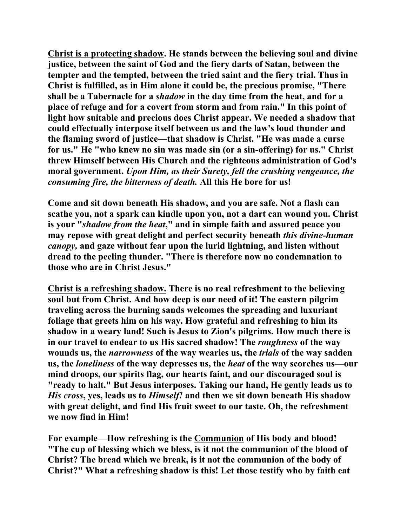**Christ is a protecting shadow. He stands between the believing soul and divine justice, between the saint of God and the fiery darts of Satan, between the tempter and the tempted, between the tried saint and the fiery trial. Thus in Christ is fulfilled, as in Him alone it could be, the precious promise, "There shall be a Tabernacle for a** *shadow* **in the day time from the heat, and for a place of refuge and for a covert from storm and from rain." In this point of light how suitable and precious does Christ appear. We needed a shadow that could effectually interpose itself between us and the law's loud thunder and the flaming sword of justice—that shadow is Christ. "He was made a curse for us." He "who knew no sin was made sin (or a sin-offering) for us." Christ threw Himself between His Church and the righteous administration of God's moral government.** *Upon Him, as their Surety, fell the crushing vengeance, the consuming fire, the bitterness of death.* **All this He bore for us!** 

**Come and sit down beneath His shadow, and you are safe. Not a flash can scathe you, not a spark can kindle upon you, not a dart can wound you. Christ is your "***shadow from the heat***," and in simple faith and assured peace you may repose with great delight and perfect security beneath** *this divine-human canopy,* **and gaze without fear upon the lurid lightning, and listen without dread to the peeling thunder. "There is therefore now no condemnation to those who are in Christ Jesus."** 

**Christ is a refreshing shadow. There is no real refreshment to the believing soul but from Christ. And how deep is our need of it! The eastern pilgrim traveling across the burning sands welcomes the spreading and luxuriant foliage that greets him on his way. How grateful and refreshing to him its shadow in a weary land! Such is Jesus to Zion's pilgrims. How much there is in our travel to endear to us His sacred shadow! The** *roughness* **of the way wounds us, the** *narrowness* **of the way wearies us, the** *trials* **of the way sadden us, the** *loneliness* **of the way depresses us, the** *heat* **of the way scorches us—our mind droops, our spirits flag, our hearts faint, and our discouraged soul is "ready to halt." But Jesus interposes. Taking our hand, He gently leads us to**  *His cross***, yes, leads us to** *Himself!* **and then we sit down beneath His shadow with great delight, and find His fruit sweet to our taste. Oh, the refreshment we now find in Him!** 

**For example—How refreshing is the Communion of His body and blood! "The cup of blessing which we bless, is it not the communion of the blood of Christ? The bread which we break, is it not the communion of the body of Christ?" What a refreshing shadow is this! Let those testify who by faith eat**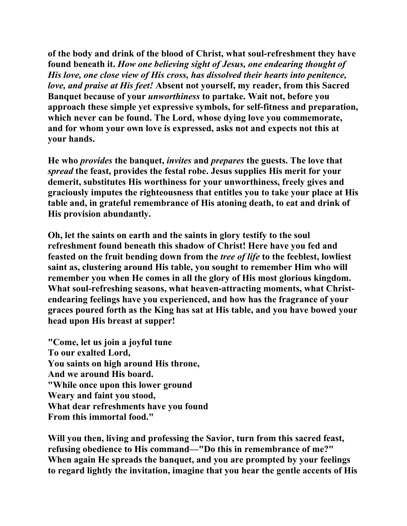**of the body and drink of the blood of Christ, what soul-refreshment they have found beneath it.** *How one believing sight of Jesus, one endearing thought of His love, one close view of His cross, has dissolved their hearts into penitence, love, and praise at His feet!* **Absent not yourself, my reader, from this Sacred Banquet because of your** *unworthiness* **to partake. Wait not, before you approach these simple yet expressive symbols, for self-fitness and preparation, which never can be found. The Lord, whose dying love you commemorate, and for whom your own love is expressed, asks not and expects not this at your hands.** 

**He who** *provides* **the banquet,** *invites* **and** *prepares* **the guests. The love that**  *spread* **the feast, provides the festal robe. Jesus supplies His merit for your demerit, substitutes His worthiness for your unworthiness, freely gives and graciously imputes the righteousness that entitles you to take your place at His table and, in grateful remembrance of His atoning death, to eat and drink of His provision abundantly.** 

**Oh, let the saints on earth and the saints in glory testify to the soul refreshment found beneath this shadow of Christ! Here have you fed and feasted on the fruit bending down from the** *tree of life* **to the feeblest, lowliest saint as, clustering around His table, you sought to remember Him who will remember you when He comes in all the glory of His most glorious kingdom. What soul-refreshing seasons, what heaven-attracting moments, what Christendearing feelings have you experienced, and how has the fragrance of your graces poured forth as the King has sat at His table, and you have bowed your head upon His breast at supper!** 

**"Come, let us join a joyful tune To our exalted Lord, You saints on high around His throne, And we around His board. "While once upon this lower ground Weary and faint you stood, What dear refreshments have you found From this immortal food."** 

**Will you then, living and professing the Savior, turn from this sacred feast, refusing obedience to His command—"Do this in remembrance of me?" When again He spreads the banquet, and you are prompted by your feelings to regard lightly the invitation, imagine that you hear the gentle accents of His**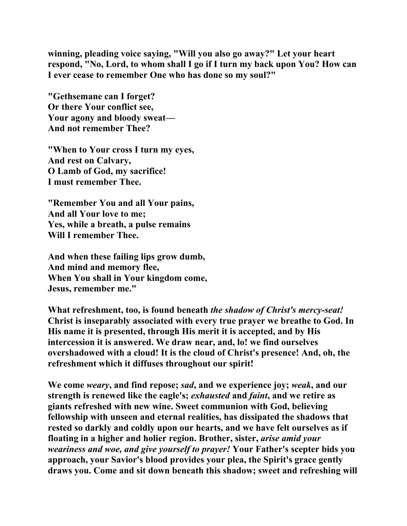**winning, pleading voice saying, "Will you also go away?" Let your heart respond, "No, Lord, to whom shall I go if I turn my back upon You? How can I ever cease to remember One who has done so my soul?"** 

**"Gethsemane can I forget? Or there Your conflict see, Your agony and bloody sweat— And not remember Thee?** 

**"When to Your cross I turn my eyes, And rest on Calvary, O Lamb of God, my sacrifice! I must remember Thee.** 

**"Remember You and all Your pains, And all Your love to me; Yes, while a breath, a pulse remains Will I remember Thee.** 

**And when these failing lips grow dumb, And mind and memory flee, When You shall in Your kingdom come, Jesus, remember me."** 

**What refreshment, too, is found beneath** *the shadow of Christ's mercy-seat!* **Christ is inseparably associated with every true prayer we breathe to God. In His name it is presented, through His merit it is accepted, and by His intercession it is answered. We draw near, and, lo! we find ourselves overshadowed with a cloud! It is the cloud of Christ's presence! And, oh, the refreshment which it diffuses throughout our spirit!** 

**We come** *weary***, and find repose;** *sad***, and we experience joy;** *weak***, and our strength is renewed like the eagle's;** *exhausted* **and** *faint***, and we retire as giants refreshed with new wine. Sweet communion with God, believing fellowship with unseen and eternal realities, has dissipated the shadows that rested so darkly and coldly upon our hearts, and we have felt ourselves as if floating in a higher and holier region. Brother, sister,** *arise amid your weariness and woe, and give yourself to prayer!* **Your Father's scepter bids you approach, your Savior's blood provides your plea, the Spirit's grace gently draws you. Come and sit down beneath this shadow; sweet and refreshing will**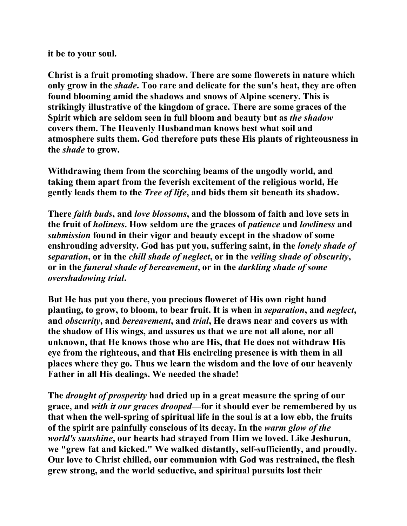## **it be to your soul.**

**Christ is a fruit promoting shadow. There are some flowerets in nature which only grow in the** *shade***. Too rare and delicate for the sun's heat, they are often found blooming amid the shadows and snows of Alpine scenery. This is strikingly illustrative of the kingdom of grace. There are some graces of the Spirit which are seldom seen in full bloom and beauty but as** *the shadow* **covers them. The Heavenly Husbandman knows best what soil and atmosphere suits them. God therefore puts these His plants of righteousness in the** *shade* **to grow.** 

**Withdrawing them from the scorching beams of the ungodly world, and taking them apart from the feverish excitement of the religious world, He gently leads them to the** *Tree of life***, and bids them sit beneath its shadow.** 

**There** *faith buds***, and** *love blossoms***, and the blossom of faith and love sets in the fruit of** *holiness***. How seldom are the graces of** *patience* **and** *lowliness* **and**  *submission* **found in their vigor and beauty except in the shadow of some enshrouding adversity. God has put you, suffering saint, in the** *lonely shade of separation***, or in the** *chill shade of neglect***, or in the** *veiling shade of obscurity***, or in the** *funeral shade of bereavement***, or in the** *darkling shade of some overshadowing trial***.** 

**But He has put you there, you precious floweret of His own right hand planting, to grow, to bloom, to bear fruit. It is when in** *separation***, and** *neglect***, and** *obscurity***, and** *bereavement***, and** *trial***, He draws near and covers us with the shadow of His wings, and assures us that we are not all alone, nor all unknown, that He knows those who are His, that He does not withdraw His eye from the righteous, and that His encircling presence is with them in all places where they go. Thus we learn the wisdom and the love of our heavenly Father in all His dealings. We needed the shade!** 

**The** *drought of prosperity* **had dried up in a great measure the spring of our grace, and** *with it our graces drooped***—for it should ever be remembered by us that when the well-spring of spiritual life in the soul is at a low ebb, the fruits of the spirit are painfully conscious of its decay. In the** *warm glow of the world's sunshine***, our hearts had strayed from Him we loved. Like Jeshurun, we "grew fat and kicked." We walked distantly, self-sufficiently, and proudly. Our love to Christ chilled, our communion with God was restrained, the flesh grew strong, and the world seductive, and spiritual pursuits lost their**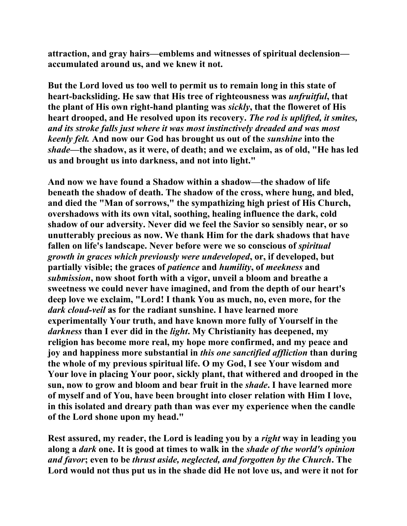**attraction, and gray hairs—emblems and witnesses of spiritual declension accumulated around us, and we knew it not.** 

**But the Lord loved us too well to permit us to remain long in this state of heart-backsliding. He saw that His tree of righteousness was** *unfruitful***, that the plant of His own right-hand planting was** *sickly***, that the floweret of His heart drooped, and He resolved upon its recovery.** *The rod is uplifted, it smites, and its stroke falls just where it was most instinctively dreaded and was most keenly felt.* **And now our God has brought us out of the** *sunshine* **into the**  *shade***—the shadow, as it were, of death; and we exclaim, as of old, "He has led us and brought us into darkness, and not into light."** 

**And now we have found a Shadow within a shadow—the shadow of life beneath the shadow of death. The shadow of the cross, where hung, and bled, and died the "Man of sorrows," the sympathizing high priest of His Church, overshadows with its own vital, soothing, healing influence the dark, cold shadow of our adversity. Never did we feel the Savior so sensibly near, or so unutterably precious as now. We thank Him for the dark shadows that have fallen on life's landscape. Never before were we so conscious of** *spiritual growth in graces which previously were undeveloped***, or, if developed, but partially visible; the graces of** *patience* **and** *humility***, of** *meekness* **and**  *submission***, now shoot forth with a vigor, unveil a bloom and breathe a sweetness we could never have imagined, and from the depth of our heart's deep love we exclaim, "Lord! I thank You as much, no, even more, for the**  *dark cloud-veil* **as for the radiant sunshine. I have learned more experimentally Your truth, and have known more fully of Yourself in the**  *darkness* **than I ever did in the** *light***. My Christianity has deepened, my religion has become more real, my hope more confirmed, and my peace and joy and happiness more substantial in** *this one sanctified affliction* **than during the whole of my previous spiritual life. O my God, I see Your wisdom and Your love in placing Your poor, sickly plant, that withered and drooped in the sun, now to grow and bloom and bear fruit in the** *shade***. I have learned more of myself and of You, have been brought into closer relation with Him I love, in this isolated and dreary path than was ever my experience when the candle of the Lord shone upon my head."** 

**Rest assured, my reader, the Lord is leading you by a** *right* **way in leading you along a** *dark* **one. It is good at times to walk in the** *shade of the world's opinion and favor***; even to be** *thrust aside, neglected, and forgotten by the Church***. The Lord would not thus put us in the shade did He not love us, and were it not for**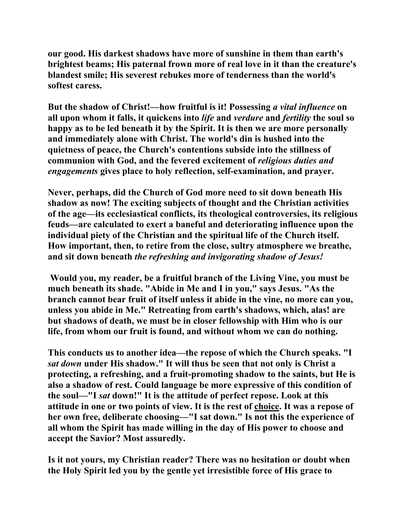**our good. His darkest shadows have more of sunshine in them than earth's brightest beams; His paternal frown more of real love in it than the creature's blandest smile; His severest rebukes more of tenderness than the world's softest caress.** 

**But the shadow of Christ!—how fruitful is it! Possessing** *a vital influence* **on all upon whom it falls, it quickens into** *life* **and** *verdure* **and** *fertility* **the soul so happy as to be led beneath it by the Spirit. It is then we are more personally and immediately alone with Christ. The world's din is hushed into the quietness of peace, the Church's contentions subside into the stillness of communion with God, and the fevered excitement of** *religious duties and engagements* **gives place to holy reflection, self-examination, and prayer.** 

**Never, perhaps, did the Church of God more need to sit down beneath His shadow as now! The exciting subjects of thought and the Christian activities of the age—its ecclesiastical conflicts, its theological controversies, its religious feuds—are calculated to exert a baneful and deteriorating influence upon the individual piety of the Christian and the spiritual life of the Church itself. How important, then, to retire from the close, sultry atmosphere we breathe, and sit down beneath** *the refreshing and invigorating shadow of Jesus!* 

**Would you, my reader, be a fruitful branch of the Living Vine, you must be much beneath its shade. "Abide in Me and I in you," says Jesus. "As the branch cannot bear fruit of itself unless it abide in the vine, no more can you, unless you abide in Me." Retreating from earth's shadows, which, alas! are but shadows of death, we must be in closer fellowship with Him who is our life, from whom our fruit is found, and without whom we can do nothing.** 

**This conducts us to another idea—the repose of which the Church speaks. "I**  *sat down* **under His shadow." It will thus be seen that not only is Christ a protecting, a refreshing, and a fruit-promoting shadow to the saints, but He is also a shadow of rest. Could language be more expressive of this condition of the soul—"I** *sat* **down!" It is the attitude of perfect repose. Look at this attitude in one or two points of view. It is the rest of choice. It was a repose of her own free, deliberate choosing—"I sat down." Is not this the experience of all whom the Spirit has made willing in the day of His power to choose and accept the Savior? Most assuredly.** 

**Is it not yours, my Christian reader? There was no hesitation or doubt when the Holy Spirit led you by the gentle yet irresistible force of His grace to**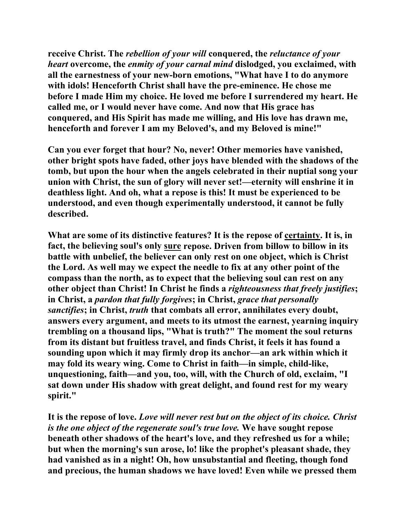**receive Christ. The** *rebellion of your will* **conquered, the** *reluctance of your heart* **overcome, the** *enmity of your carnal mind* **dislodged, you exclaimed, with all the earnestness of your new-born emotions, "What have I to do anymore with idols! Henceforth Christ shall have the pre-eminence. He chose me before I made Him my choice. He loved me before I surrendered my heart. He called me, or I would never have come. And now that His grace has conquered, and His Spirit has made me willing, and His love has drawn me, henceforth and forever I am my Beloved's, and my Beloved is mine!"** 

**Can you ever forget that hour? No, never! Other memories have vanished, other bright spots have faded, other joys have blended with the shadows of the tomb, but upon the hour when the angels celebrated in their nuptial song your union with Christ, the sun of glory will never set!—eternity will enshrine it in deathless light. And oh, what a repose is this! It must be experienced to be understood, and even though experimentally understood, it cannot be fully described.** 

**What are some of its distinctive features? It is the repose of certainty. It is, in fact, the believing soul's only sure repose. Driven from billow to billow in its battle with unbelief, the believer can only rest on one object, which is Christ the Lord. As well may we expect the needle to fix at any other point of the compass than the north, as to expect that the believing soul can rest on any other object than Christ! In Christ he finds a** *righteousness that freely justifies***; in Christ, a** *pardon that fully forgives***; in Christ,** *grace that personally sanctifies***; in Christ,** *truth* **that combats all error, annihilates every doubt, answers every argument, and meets to its utmost the earnest, yearning inquiry trembling on a thousand lips, "What is truth?" The moment the soul returns from its distant but fruitless travel, and finds Christ, it feels it has found a sounding upon which it may firmly drop its anchor—an ark within which it may fold its weary wing. Come to Christ in faith—in simple, child-like, unquestioning, faith—and you, too, will, with the Church of old, exclaim, "I sat down under His shadow with great delight, and found rest for my weary spirit."** 

**It is the repose of love.** *Love will never rest but on the object of its choice. Christ is the one object of the regenerate soul's true love.* **We have sought repose beneath other shadows of the heart's love, and they refreshed us for a while; but when the morning's sun arose, lo! like the prophet's pleasant shade, they had vanished as in a night! Oh, how unsubstantial and fleeting, though fond and precious, the human shadows we have loved! Even while we pressed them**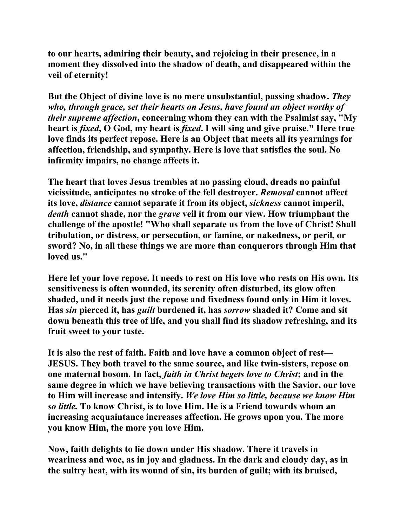**to our hearts, admiring their beauty, and rejoicing in their presence, in a moment they dissolved into the shadow of death, and disappeared within the veil of eternity!** 

**But the Object of divine love is no mere unsubstantial, passing shadow.** *They who, through grace, set their hearts on Jesus, have found an object worthy of their supreme affection***, concerning whom they can with the Psalmist say, "My heart is** *fixed***, O God, my heart is** *fixed***. I will sing and give praise." Here true love finds its perfect repose. Here is an Object that meets all its yearnings for affection, friendship, and sympathy. Here is love that satisfies the soul. No infirmity impairs, no change affects it.** 

**The heart that loves Jesus trembles at no passing cloud, dreads no painful vicissitude, anticipates no stroke of the fell destroyer.** *Removal* **cannot affect its love,** *distance* **cannot separate it from its object,** *sickness* **cannot imperil,**  *death* **cannot shade, nor the** *grave* **veil it from our view. How triumphant the challenge of the apostle! "Who shall separate us from the love of Christ! Shall tribulation, or distress, or persecution, or famine, or nakedness, or peril, or sword? No, in all these things we are more than conquerors through Him that loved us."** 

**Here let your love repose. It needs to rest on His love who rests on His own. Its sensitiveness is often wounded, its serenity often disturbed, its glow often shaded, and it needs just the repose and fixedness found only in Him it loves. Has** *sin* **pierced it, has** *guilt* **burdened it, has** *sorrow* **shaded it? Come and sit down beneath this tree of life, and you shall find its shadow refreshing, and its fruit sweet to your taste.** 

**It is also the rest of faith. Faith and love have a common object of rest— JESUS. They both travel to the same source, and like twin-sisters, repose on one maternal bosom. In fact,** *faith in Christ begets love to Christ***; and in the same degree in which we have believing transactions with the Savior, our love to Him will increase and intensify.** *We love Him so little, because we know Him so little.* **To know Christ, is to love Him. He is a Friend towards whom an increasing acquaintance increases affection. He grows upon you. The more you know Him, the more you love Him.** 

**Now, faith delights to lie down under His shadow. There it travels in weariness and woe, as in joy and gladness. In the dark and cloudy day, as in the sultry heat, with its wound of sin, its burden of guilt; with its bruised,**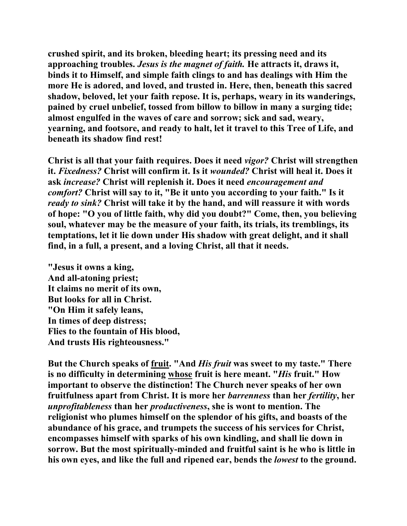**crushed spirit, and its broken, bleeding heart; its pressing need and its approaching troubles.** *Jesus is the magnet of faith.* **He attracts it, draws it, binds it to Himself, and simple faith clings to and has dealings with Him the more He is adored, and loved, and trusted in. Here, then, beneath this sacred shadow, beloved, let your faith repose. It is, perhaps, weary in its wanderings, pained by cruel unbelief, tossed from billow to billow in many a surging tide; almost engulfed in the waves of care and sorrow; sick and sad, weary, yearning, and footsore, and ready to halt, let it travel to this Tree of Life, and beneath its shadow find rest!** 

**Christ is all that your faith requires. Does it need** *vigor?* **Christ will strengthen it.** *Fixedness?* **Christ will confirm it. Is it** *wounded?* **Christ will heal it. Does it ask** *increase?* **Christ will replenish it. Does it need** *encouragement and comfort?* **Christ will say to it, "Be it unto you according to your faith." Is it**  *ready to sink?* **Christ will take it by the hand, and will reassure it with words of hope: "O you of little faith, why did you doubt?" Come, then, you believing soul, whatever may be the measure of your faith, its trials, its tremblings, its temptations, let it lie down under His shadow with great delight, and it shall find, in a full, a present, and a loving Christ, all that it needs.** 

**"Jesus it owns a king, And all-atoning priest; It claims no merit of its own, But looks for all in Christ. "On Him it safely leans, In times of deep distress; Flies to the fountain of His blood, And trusts His righteousness."** 

**But the Church speaks of fruit. "And** *His fruit* **was sweet to my taste." There is no difficulty in determining whose fruit is here meant. "***His* **fruit." How important to observe the distinction! The Church never speaks of her own fruitfulness apart from Christ. It is more her** *barrenness* **than her** *fertility***, her**  *unprofitableness* **than her** *productiveness***, she is wont to mention. The religionist who plumes himself on the splendor of his gifts, and boasts of the abundance of his grace, and trumpets the success of his services for Christ, encompasses himself with sparks of his own kindling, and shall lie down in sorrow. But the most spiritually-minded and fruitful saint is he who is little in his own eyes, and like the full and ripened ear, bends the** *lowest* **to the ground.**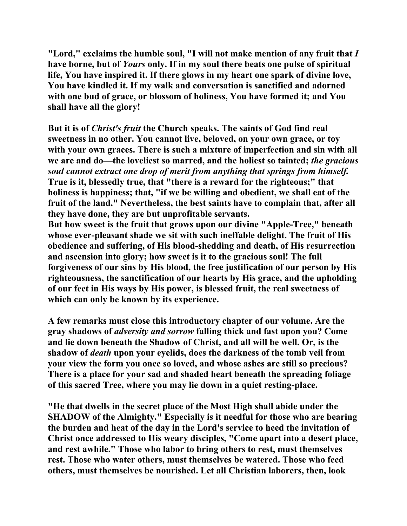**"Lord," exclaims the humble soul, "I will not make mention of any fruit that** *I* **have borne, but of** *Yours* **only. If in my soul there beats one pulse of spiritual life, You have inspired it. If there glows in my heart one spark of divine love, You have kindled it. If my walk and conversation is sanctified and adorned with one bud of grace, or blossom of holiness, You have formed it; and You shall have all the glory!** 

**But it is of** *Christ's fruit* **the Church speaks. The saints of God find real sweetness in no other. You cannot live, beloved, on your own grace, or toy with your own graces. There is such a mixture of imperfection and sin with all we are and do—the loveliest so marred, and the holiest so tainted;** *the gracious soul cannot extract one drop of merit from anything that springs from himself.* **True is it, blessedly true, that "there is a reward for the righteous;" that holiness is happiness; that, "if we be willing and obedient, we shall eat of the fruit of the land." Nevertheless, the best saints have to complain that, after all they have done, they are but unprofitable servants.** 

**But how sweet is the fruit that grows upon our divine "Apple-Tree," beneath whose ever-pleasant shade we sit with such ineffable delight. The fruit of His obedience and suffering, of His blood-shedding and death, of His resurrection and ascension into glory; how sweet is it to the gracious soul! The full forgiveness of our sins by His blood, the free justification of our person by His righteousness, the sanctification of our hearts by His grace, and the upholding of our feet in His ways by His power, is blessed fruit, the real sweetness of which can only be known by its experience.** 

**A few remarks must close this introductory chapter of our volume. Are the gray shadows of** *adversity and sorrow* **falling thick and fast upon you? Come and lie down beneath the Shadow of Christ, and all will be well. Or, is the shadow of** *death* **upon your eyelids, does the darkness of the tomb veil from your view the form you once so loved, and whose ashes are still so precious? There is a place for your sad and shaded heart beneath the spreading foliage of this sacred Tree, where you may lie down in a quiet resting-place.** 

**"He that dwells in the secret place of the Most High shall abide under the SHADOW of the Almighty." Especially is it needful for those who are bearing the burden and heat of the day in the Lord's service to heed the invitation of Christ once addressed to His weary disciples, "Come apart into a desert place, and rest awhile." Those who labor to bring others to rest, must themselves rest. Those who water others, must themselves be watered. Those who feed others, must themselves be nourished. Let all Christian laborers, then, look**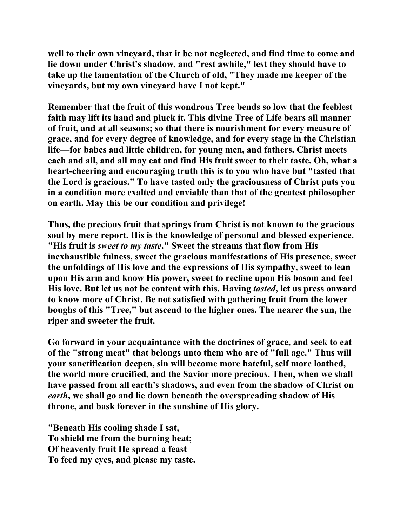**well to their own vineyard, that it be not neglected, and find time to come and lie down under Christ's shadow, and "rest awhile," lest they should have to take up the lamentation of the Church of old, "They made me keeper of the vineyards, but my own vineyard have I not kept."** 

**Remember that the fruit of this wondrous Tree bends so low that the feeblest faith may lift its hand and pluck it. This divine Tree of Life bears all manner of fruit, and at all seasons; so that there is nourishment for every measure of grace, and for every degree of knowledge, and for every stage in the Christian life—for babes and little children, for young men, and fathers. Christ meets each and all, and all may eat and find His fruit sweet to their taste. Oh, what a heart-cheering and encouraging truth this is to you who have but "tasted that the Lord is gracious." To have tasted only the graciousness of Christ puts you in a condition more exalted and enviable than that of the greatest philosopher on earth. May this be our condition and privilege!** 

**Thus, the precious fruit that springs from Christ is not known to the gracious soul by mere report. His is the knowledge of personal and blessed experience. "His fruit is** *sweet to my taste***." Sweet the streams that flow from His inexhaustible fulness, sweet the gracious manifestations of His presence, sweet the unfoldings of His love and the expressions of His sympathy, sweet to lean upon His arm and know His power, sweet to recline upon His bosom and feel His love. But let us not be content with this. Having** *tasted***, let us press onward to know more of Christ. Be not satisfied with gathering fruit from the lower boughs of this "Tree," but ascend to the higher ones. The nearer the sun, the riper and sweeter the fruit.** 

**Go forward in your acquaintance with the doctrines of grace, and seek to eat of the "strong meat" that belongs unto them who are of "full age." Thus will your sanctification deepen, sin will become more hateful, self more loathed, the world more crucified, and the Savior more precious. Then, when we shall have passed from all earth's shadows, and even from the shadow of Christ on**  *earth***, we shall go and lie down beneath the overspreading shadow of His throne, and bask forever in the sunshine of His glory.** 

**"Beneath His cooling shade I sat, To shield me from the burning heat; Of heavenly fruit He spread a feast To feed my eyes, and please my taste.**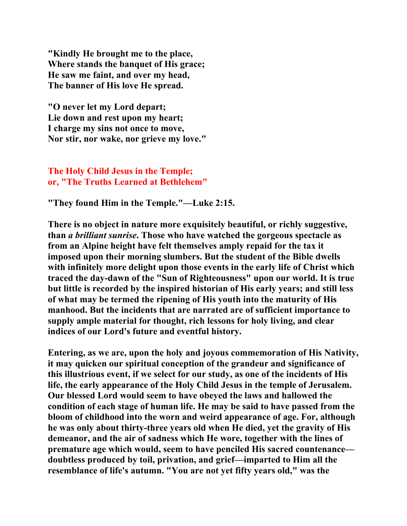**"Kindly He brought me to the place, Where stands the banquet of His grace; He saw me faint, and over my head, The banner of His love He spread.** 

**"O never let my Lord depart; Lie down and rest upon my heart; I charge my sins not once to move, Nor stir, nor wake, nor grieve my love."** 

**The Holy Child Jesus in the Temple; or, "The Truths Learned at Bethlehem"**

**"They found Him in the Temple."—Luke 2:15.** 

**There is no object in nature more exquisitely beautiful, or richly suggestive, than** *a brilliant sunrise***. Those who have watched the gorgeous spectacle as from an Alpine height have felt themselves amply repaid for the tax it imposed upon their morning slumbers. But the student of the Bible dwells with infinitely more delight upon those events in the early life of Christ which traced the day-dawn of the "Sun of Righteousness" upon our world. It is true but little is recorded by the inspired historian of His early years; and still less of what may be termed the ripening of His youth into the maturity of His manhood. But the incidents that are narrated are of sufficient importance to supply ample material for thought, rich lessons for holy living, and clear indices of our Lord's future and eventful history.** 

**Entering, as we are, upon the holy and joyous commemoration of His Nativity, it may quicken our spiritual conception of the grandeur and significance of this illustrious event, if we select for our study, as one of the incidents of His life, the early appearance of the Holy Child Jesus in the temple of Jerusalem. Our blessed Lord would seem to have obeyed the laws and hallowed the condition of each stage of human life. He may be said to have passed from the bloom of childhood into the worn and weird appearance of age. For, although he was only about thirty-three years old when He died, yet the gravity of His demeanor, and the air of sadness which He wore, together with the lines of premature age which would, seem to have penciled His sacred countenance doubtless produced by toil, privation, and grief—imparted to Him all the resemblance of life's autumn. "You are not yet fifty years old," was the**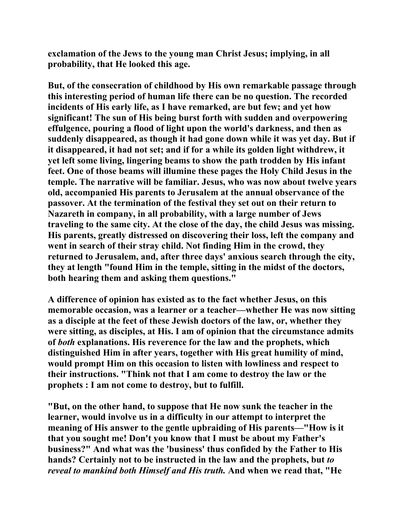**exclamation of the Jews to the young man Christ Jesus; implying, in all probability, that He looked this age.** 

**But, of the consecration of childhood by His own remarkable passage through this interesting period of human life there can be no question. The recorded incidents of His early life, as I have remarked, are but few; and yet how significant! The sun of His being burst forth with sudden and overpowering effulgence, pouring a flood of light upon the world's darkness, and then as suddenly disappeared, as though it had gone down while it was yet day. But if it disappeared, it had not set; and if for a while its golden light withdrew, it yet left some living, lingering beams to show the path trodden by His infant feet. One of those beams will illumine these pages the Holy Child Jesus in the temple. The narrative will be familiar. Jesus, who was now about twelve years old, accompanied His parents to Jerusalem at the annual observance of the passover. At the termination of the festival they set out on their return to Nazareth in company, in all probability, with a large number of Jews traveling to the same city. At the close of the day, the child Jesus was missing. His parents, greatly distressed on discovering their loss, left the company and went in search of their stray child. Not finding Him in the crowd, they returned to Jerusalem, and, after three days' anxious search through the city, they at length "found Him in the temple, sitting in the midst of the doctors, both hearing them and asking them questions."** 

**A difference of opinion has existed as to the fact whether Jesus, on this memorable occasion, was a learner or a teacher—whether He was now sitting as a disciple at the feet of these Jewish doctors of the law, or, whether they were sitting, as disciples, at His. I am of opinion that the circumstance admits of** *both* **explanations. His reverence for the law and the prophets, which distinguished Him in after years, together with His great humility of mind, would prompt Him on this occasion to listen with lowliness and respect to their instructions. "Think not that I am come to destroy the law or the prophets : I am not come to destroy, but to fulfill.** 

**"But, on the other hand, to suppose that He now sunk the teacher in the learner, would involve us in a difficulty in our attempt to interpret the meaning of His answer to the gentle upbraiding of His parents—"How is it that you sought me! Don't you know that I must be about my Father's business?" And what was the 'business' thus confided by the Father to His hands? Certainly not to be instructed in the law and the prophets, but** *to reveal to mankind both Himself and His truth.* **And when we read that, "He**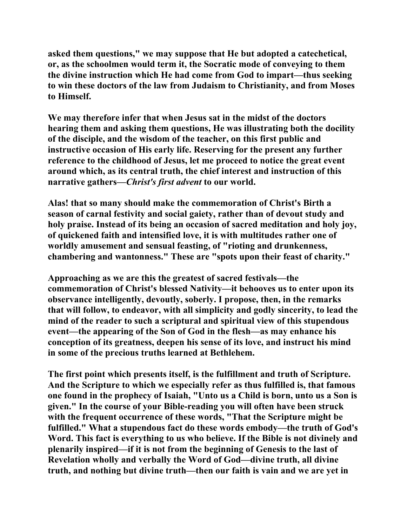**asked them questions," we may suppose that He but adopted a catechetical, or, as the schoolmen would term it, the Socratic mode of conveying to them the divine instruction which He had come from God to impart—thus seeking to win these doctors of the law from Judaism to Christianity, and from Moses to Himself.** 

**We may therefore infer that when Jesus sat in the midst of the doctors hearing them and asking them questions, He was illustrating both the docility of the disciple, and the wisdom of the teacher, on this first public and instructive occasion of His early life. Reserving for the present any further reference to the childhood of Jesus, let me proceed to notice the great event around which, as its central truth, the chief interest and instruction of this narrative gathers—***Christ's first advent* **to our world.** 

**Alas! that so many should make the commemoration of Christ's Birth a season of carnal festivity and social gaiety, rather than of devout study and holy praise. Instead of its being an occasion of sacred meditation and holy joy, of quickened faith and intensified love, it is with multitudes rather one of worldly amusement and sensual feasting, of "rioting and drunkenness, chambering and wantonness." These are "spots upon their feast of charity."** 

**Approaching as we are this the greatest of sacred festivals—the commemoration of Christ's blessed Nativity—it behooves us to enter upon its observance intelligently, devoutly, soberly. I propose, then, in the remarks that will follow, to endeavor, with all simplicity and godly sincerity, to lead the mind of the reader to such a scriptural and spiritual view of this stupendous event—the appearing of the Son of God in the flesh—as may enhance his conception of its greatness, deepen his sense of its love, and instruct his mind in some of the precious truths learned at Bethlehem.** 

**The first point which presents itself, is the fulfillment and truth of Scripture. And the Scripture to which we especially refer as thus fulfilled is, that famous one found in the prophecy of Isaiah, "Unto us a Child is born, unto us a Son is given." In the course of your Bible-reading you will often have been struck with the frequent occurrence of these words, "That the Scripture might be fulfilled." What a stupendous fact do these words embody—the truth of God's Word. This fact is everything to us who believe. If the Bible is not divinely and plenarily inspired—if it is not from the beginning of Genesis to the last of Revelation wholly and verbally the Word of God—divine truth, all divine truth, and nothing but divine truth—then our faith is vain and we are yet in**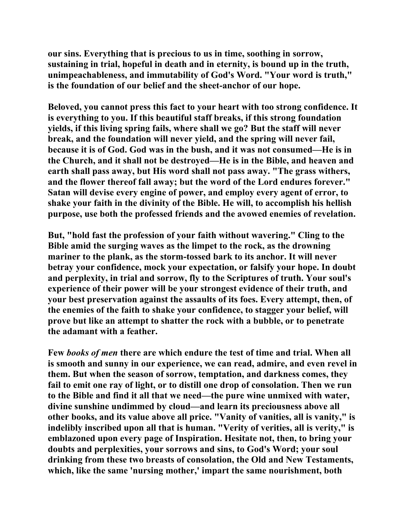**our sins. Everything that is precious to us in time, soothing in sorrow, sustaining in trial, hopeful in death and in eternity, is bound up in the truth, unimpeachableness, and immutability of God's Word. "Your word is truth," is the foundation of our belief and the sheet-anchor of our hope.** 

**Beloved, you cannot press this fact to your heart with too strong confidence. It is everything to you. If this beautiful staff breaks, if this strong foundation yields, if this living spring fails, where shall we go? But the staff will never break, and the foundation will never yield, and the spring will never fail, because it is of God. God was in the bush, and it was not consumed—He is in the Church, and it shall not be destroyed—He is in the Bible, and heaven and earth shall pass away, but His word shall not pass away. "The grass withers, and the flower thereof fall away; but the word of the Lord endures forever." Satan will devise every engine of power, and employ every agent of error, to shake your faith in the divinity of the Bible. He will, to accomplish his hellish purpose, use both the professed friends and the avowed enemies of revelation.** 

**But, "hold fast the profession of your faith without wavering." Cling to the Bible amid the surging waves as the limpet to the rock, as the drowning mariner to the plank, as the storm-tossed bark to its anchor. It will never betray your confidence, mock your expectation, or falsify your hope. In doubt and perplexity, in trial and sorrow, fly to the Scriptures of truth. Your soul's experience of their power will be your strongest evidence of their truth, and your best preservation against the assaults of its foes. Every attempt, then, of the enemies of the faith to shake your confidence, to stagger your belief, will prove but like an attempt to shatter the rock with a bubble, or to penetrate the adamant with a feather.** 

**Few** *books of men* **there are which endure the test of time and trial. When all is smooth and sunny in our experience, we can read, admire, and even revel in them. But when the season of sorrow, temptation, and darkness comes, they fail to emit one ray of light, or to distill one drop of consolation. Then we run to the Bible and find it all that we need—the pure wine unmixed with water, divine sunshine undimmed by cloud—and learn its preciousness above all other books, and its value above all price. "Vanity of vanities, all is vanity," is indelibly inscribed upon all that is human. "Verity of verities, all is verity," is emblazoned upon every page of Inspiration. Hesitate not, then, to bring your doubts and perplexities, your sorrows and sins, to God's Word; your soul drinking from these two breasts of consolation, the Old and New Testaments, which, like the same 'nursing mother,' impart the same nourishment, both**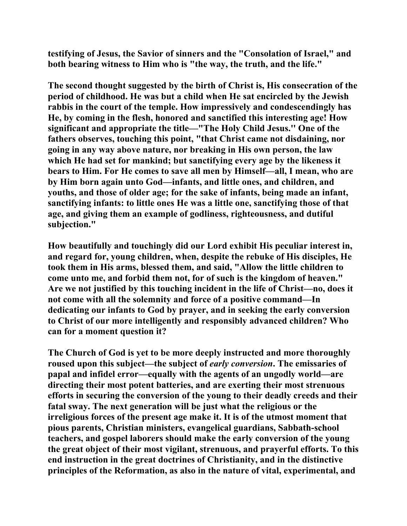**testifying of Jesus, the Savior of sinners and the "Consolation of Israel," and both bearing witness to Him who is "the way, the truth, and the life."** 

**The second thought suggested by the birth of Christ is, His consecration of the period of childhood. He was but a child when He sat encircled by the Jewish rabbis in the court of the temple. How impressively and condescendingly has He, by coming in the flesh, honored and sanctified this interesting age! How significant and appropriate the title—"The Holy Child Jesus.'' One of the fathers observes, touching this point, "that Christ came not disdaining, nor going in any way above nature, nor breaking in His own person, the law which He had set for mankind; but sanctifying every age by the likeness it bears to Him. For He comes to save all men by Himself—all, I mean, who are by Him born again unto God—infants, and little ones, and children, and youths, and those of older age; for the sake of infants, being made an infant, sanctifying infants: to little ones He was a little one, sanctifying those of that age, and giving them an example of godliness, righteousness, and dutiful subjection."** 

**How beautifully and touchingly did our Lord exhibit His peculiar interest in, and regard for, young children, when, despite the rebuke of His disciples, He took them in His arms, blessed them, and said, "Allow the little children to come unto me, and forbid them not, for of such is the kingdom of heaven." Are we not justified by this touching incident in the life of Christ—no, does it not come with all the solemnity and force of a positive command—In dedicating our infants to God by prayer, and in seeking the early conversion to Christ of our more intelligently and responsibly advanced children? Who can for a moment question it?** 

**The Church of God is yet to be more deeply instructed and more thoroughly roused upon this subject—the subject of** *early conversion***. The emissaries of papal and infidel error—equally with the agents of an ungodly world—are directing their most potent batteries, and are exerting their most strenuous efforts in securing the conversion of the young to their deadly creeds and their fatal sway. The next generation will be just what the religious or the irreligious forces of the present age make it. It is of the utmost moment that pious parents, Christian ministers, evangelical guardians, Sabbath-school teachers, and gospel laborers should make the early conversion of the young the great object of their most vigilant, strenuous, and prayerful efforts. To this end instruction in the great doctrines of Christianity, and in the distinctive principles of the Reformation, as also in the nature of vital, experimental, and**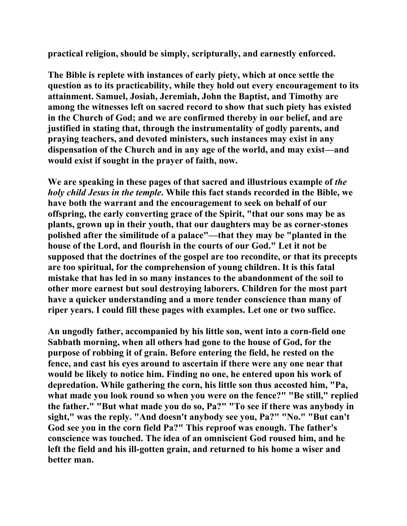**practical religion, should be simply, scripturally, and earnestly enforced.** 

**The Bible is replete with instances of early piety, which at once settle the question as to its practicability, while they hold out every encouragement to its attainment. Samuel, Josiah, Jeremiah, John the Baptist, and Timothy are among the witnesses left on sacred record to show that such piety has existed in the Church of God; and we are confirmed thereby in our belief, and are justified in stating that, through the instrumentality of godly parents, and praying teachers, and devoted ministers, such instances may exist in any dispensation of the Church and in any age of the world, and may exist—and would exist if sought in the prayer of faith, now.** 

**We are speaking in these pages of that sacred and illustrious example of** *the holy child Jesus in the temple***. While this fact stands recorded in the Bible, we have both the warrant and the encouragement to seek on behalf of our offspring, the early converting grace of the Spirit, "that our sons may be as plants, grown up in their youth, that our daughters may be as corner-stones polished after the similitude of a palace"—that they may be "planted in the house of the Lord, and flourish in the courts of our God." Let it not be supposed that the doctrines of the gospel are too recondite, or that its precepts are too spiritual, for the comprehension of young children. It is this fatal mistake that has led in so many instances to the abandonment of the soil to other more earnest but soul destroying laborers. Children for the most part have a quicker understanding and a more tender conscience than many of riper years. I could fill these pages with examples. Let one or two suffice.** 

**An ungodly father, accompanied by his little son, went into a corn-field one Sabbath morning, when all others had gone to the house of God, for the purpose of robbing it of grain. Before entering the field, he rested on the fence, and cast his eyes around to ascertain if there were any one near that would be likely to notice him. Finding no one, he entered upon his work of depredation. While gathering the corn, his little son thus accosted him, "Pa,**  what made you look round so when you were on the fence?" "Be still," replied **the father." "But what made you do so, Pa?" "To see if there was anybody in sight," was the reply. "And doesn't anybody see you, Pa?" "No." "But can't God see you in the corn field Pa?" This reproof was enough. The father's conscience was touched. The idea of an omniscient God roused him, and he left the field and his ill-gotten grain, and returned to his home a wiser and better man.**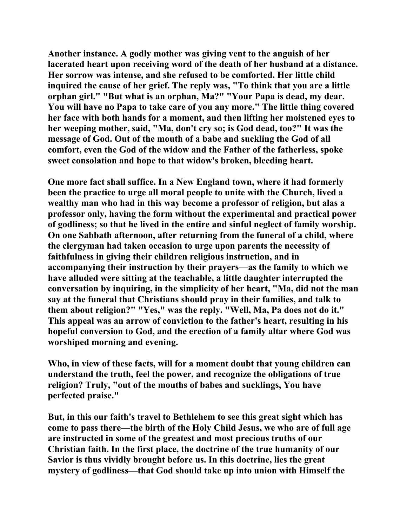**Another instance. A godly mother was giving vent to the anguish of her lacerated heart upon receiving word of the death of her husband at a distance. Her sorrow was intense, and she refused to be comforted. Her little child inquired the cause of her grief. The reply was, "To think that you are a little orphan girl." "But what is an orphan, Ma?" "Your Papa is dead, my dear. You will have no Papa to take care of you any more." The little thing covered her face with both hands for a moment, and then lifting her moistened eyes to her weeping mother, said, "Ma, don't cry so; is God dead, too?" It was the message of God. Out of the mouth of a babe and suckling the God of all comfort, even the God of the widow and the Father of the fatherless, spoke sweet consolation and hope to that widow's broken, bleeding heart.** 

**One more fact shall suffice. In a New England town, where it had formerly been the practice to urge all moral people to unite with the Church, lived a wealthy man who had in this way become a professor of religion, but alas a professor only, having the form without the experimental and practical power of godliness; so that he lived in the entire and sinful neglect of family worship. On one Sabbath afternoon, after returning from the funeral of a child, where the clergyman had taken occasion to urge upon parents the necessity of faithfulness in giving their children religious instruction, and in accompanying their instruction by their prayers—as the family to which we have alluded were sitting at the teachable, a little daughter interrupted the conversation by inquiring, in the simplicity of her heart, "Ma, did not the man say at the funeral that Christians should pray in their families, and talk to them about religion?" "Yes," was the reply. "Well, Ma, Pa does not do it." This appeal was an arrow of conviction to the father's heart, resulting in his hopeful conversion to God, and the erection of a family altar where God was worshiped morning and evening.** 

**Who, in view of these facts, will for a moment doubt that young children can understand the truth, feel the power, and recognize the obligations of true religion? Truly, "out of the mouths of babes and sucklings, You have perfected praise."** 

**But, in this our faith's travel to Bethlehem to see this great sight which has come to pass there—the birth of the Holy Child Jesus, we who are of full age are instructed in some of the greatest and most precious truths of our Christian faith. In the first place, the doctrine of the true humanity of our Savior is thus vividly brought before us. In this doctrine, lies the great mystery of godliness—that God should take up into union with Himself the**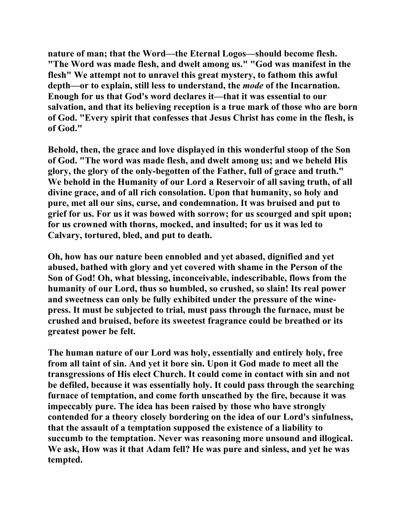**nature of man; that the Word—the Eternal Logos—should become flesh. "The Word was made flesh, and dwelt among us." "God was manifest in the flesh" We attempt not to unravel this great mystery, to fathom this awful depth—or to explain, still less to understand, the** *mode* **of the Incarnation. Enough for us that God's word declares it—that it was essential to our salvation, and that its believing reception is a true mark of those who are born of God. "Every spirit that confesses that Jesus Christ has come in the flesh, is of God."** 

**Behold, then, the grace and love displayed in this wonderful stoop of the Son of God. "The word was made flesh, and dwelt among us; and we beheld His glory, the glory of the only-begotten of the Father, full of grace and truth." We behold in the Humanity of our Lord a Reservoir of all saving truth, of all divine grace, and of all rich consolation. Upon that humanity, so holy and pure, met all our sins, curse, and condemnation. It was bruised and put to grief for us. For us it was bowed with sorrow; for us scourged and spit upon; for us crowned with thorns, mocked, and insulted; for us it was led to Calvary, tortured, bled, and put to death.** 

**Oh, how has our nature been ennobled and yet abased, dignified and yet abused, bathed with glory and yet covered with shame in the Person of the Son of God! Oh, what blessing, inconceivable, indescribable, flows from the humanity of our Lord, thus so humbled, so crushed, so slain! Its real power and sweetness can only be fully exhibited under the pressure of the winepress. It must be subjected to trial, must pass through the furnace, must be crushed and bruised, before its sweetest fragrance could be breathed or its greatest power be felt.** 

**The human nature of our Lord was holy, essentially and entirely holy, free from all taint of sin. And yet it bore sin. Upon it God made to meet all the transgressions of His elect Church. It could come in contact with sin and not be defiled, because it was essentially holy. It could pass through the searching furnace of temptation, and come forth unscathed by the fire, because it was impeccably pure. The idea has been raised by those who have strongly contended for a theory closely bordering on the idea of our Lord's sinfulness, that the assault of a temptation supposed the existence of a liability to succumb to the temptation. Never was reasoning more unsound and illogical. We ask, How was it that Adam fell? He was pure and sinless, and yet he was tempted.**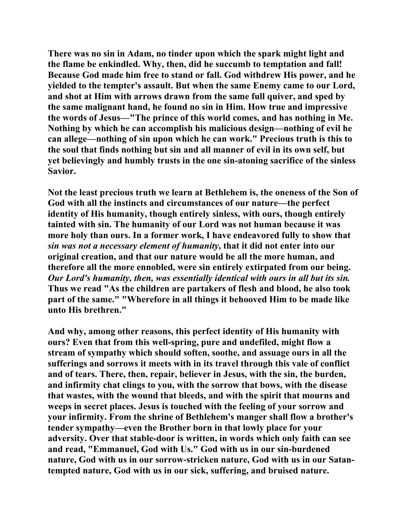**There was no sin in Adam, no tinder upon which the spark might light and the flame be enkindled. Why, then, did he succumb to temptation and fall! Because God made him free to stand or fall. God withdrew His power, and he yielded to the tempter's assault. But when the same Enemy came to our Lord, and shot at Him with arrows drawn from the same full quiver, and sped by the same malignant hand, he found no sin in Him. How true and impressive the words of Jesus—"The prince of this world comes, and has nothing in Me. Nothing by which he can accomplish his malicious design—nothing of evil he can allege—nothing of sin upon which he can work." Precious truth is this to the soul that finds nothing but sin and all manner of evil in its own self, but yet believingly and humbly trusts in the one sin-atoning sacrifice of the sinless Savior.** 

**Not the least precious truth we learn at Bethlehem is, the oneness of the Son of God with all the instincts and circumstances of our nature—the perfect identity of His humanity, though entirely sinless, with ours, though entirely tainted with sin. The humanity of our Lord was not human because it was more holy than ours. In a former work, I have endeavored fully to show that**  *sin was not a necessary element of humanity***, that it did not enter into our original creation, and that our nature would be all the more human, and therefore all the more ennobled, were sin entirely extirpated from our being.**  *Our Lord's humanity, then, was essentially identical with ours in all but its sin.*  **Thus we read "As the children are partakers of flesh and blood, he also took part of the same." "Wherefore in all things it behooved Him to be made like unto His brethren."** 

**And why, among other reasons, this perfect identity of His humanity with ours? Even that from this well-spring, pure and undefiled, might flow a stream of sympathy which should soften, soothe, and assuage ours in all the sufferings and sorrows it meets with in its travel through this vale of conflict and of tears. There, then, repair, believer in Jesus, with the sin, the burden, and infirmity chat clings to you, with the sorrow that bows, with the disease that wastes, with the wound that bleeds, and with the spirit that mourns and weeps in secret places. Jesus is touched with the feeling of your sorrow and your infirmity. From the shrine of Bethlehem's manger shall flow a brother's tender sympathy—even the Brother born in that lowly place for your adversity. Over that stable-door is written, in words which only faith can see and read, "Emmanuel, God with Us." God with us in our sin-burdened nature, God with us in our sorrow-stricken nature, God with us in our Satantempted nature, God with us in our sick, suffering, and bruised nature.**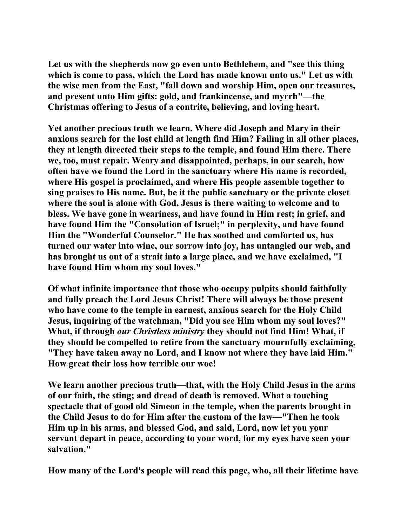**Let us with the shepherds now go even unto Bethlehem, and "see this thing which is come to pass, which the Lord has made known unto us." Let us with the wise men from the East, "fall down and worship Him, open our treasures, and present unto Him gifts: gold, and frankincense, and myrrh"—the Christmas offering to Jesus of a contrite, believing, and loving heart.** 

**Yet another precious truth we learn. Where did Joseph and Mary in their anxious search for the lost child at length find Him? Failing in all other places, they at length directed their steps to the temple, and found Him there. There we, too, must repair. Weary and disappointed, perhaps, in our search, how often have we found the Lord in the sanctuary where His name is recorded, where His gospel is proclaimed, and where His people assemble together to sing praises to His name. But, be it the public sanctuary or the private closet where the soul is alone with God, Jesus is there waiting to welcome and to bless. We have gone in weariness, and have found in Him rest; in grief, and have found Him the "Consolation of Israel;" in perplexity, and have found Him the "Wonderful Counselor." He has soothed and comforted us, has turned our water into wine, our sorrow into joy, has untangled our web, and has brought us out of a strait into a large place, and we have exclaimed, "I have found Him whom my soul loves."** 

**Of what infinite importance that those who occupy pulpits should faithfully and fully preach the Lord Jesus Christ! There will always be those present who have come to the temple in earnest, anxious search for the Holy Child Jesus, inquiring of the watchman, "Did you see Him whom my soul loves?" What, if through** *our Christless ministry* **they should not find Him! What, if they should be compelled to retire from the sanctuary mournfully exclaiming, "They have taken away no Lord, and I know not where they have laid Him." How great their loss how terrible our woe!** 

**We learn another precious truth—that, with the Holy Child Jesus in the arms of our faith, the sting; and dread of death is removed. What a touching spectacle that of good old Simeon in the temple, when the parents brought in the Child Jesus to do for Him after the custom of the law—"Then he took Him up in his arms, and blessed God, and said, Lord, now let you your servant depart in peace, according to your word, for my eyes have seen your salvation."** 

**How many of the Lord's people will read this page, who, all their lifetime have**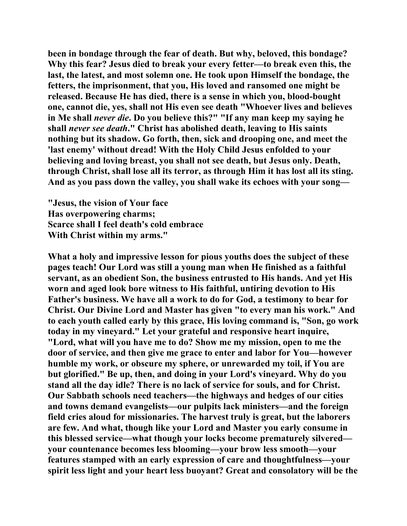**been in bondage through the fear of death. But why, beloved, this bondage? Why this fear? Jesus died to break your every fetter—to break even this, the last, the latest, and most solemn one. He took upon Himself the bondage, the fetters, the imprisonment, that you, His loved and ransomed one might be released. Because He has died, there is a sense in which you, blood-bought one, cannot die, yes, shall not His even see death "Whoever lives and believes in Me shall** *never die***. Do you believe this?" "If any man keep my saying he shall** *never see death***." Christ has abolished death, leaving to His saints nothing but its shadow. Go forth, then, sick and drooping one, and meet the 'last enemy' without dread! With the Holy Child Jesus enfolded to your believing and loving breast, you shall not see death, but Jesus only. Death, through Christ, shall lose all its terror, as through Him it has lost all its sting. And as you pass down the valley, you shall wake its echoes with your song—** 

**"Jesus, the vision of Your face Has overpowering charms; Scarce shall I feel death's cold embrace With Christ within my arms."** 

**What a holy and impressive lesson for pious youths does the subject of these pages teach! Our Lord was still a young man when He finished as a faithful servant, as an obedient Son, the business entrusted to His hands. And yet His worn and aged look bore witness to His faithful, untiring devotion to His Father's business. We have all a work to do for God, a testimony to bear for Christ. Our Divine Lord and Master has given "to every man his work." And to each youth called early by this grace, His loving command is, "Son, go work today in my vineyard." Let your grateful and responsive heart inquire, "Lord, what will you have me to do? Show me my mission, open to me the door of service, and then give me grace to enter and labor for You—however humble my work, or obscure my sphere, or unrewarded my toil, if You are but glorified." Be up, then, and doing in your Lord's vineyard. Why do you stand all the day idle? There is no lack of service for souls, and for Christ. Our Sabbath schools need teachers—the highways and hedges of our cities and towns demand evangelists—our pulpits lack ministers—and the foreign field cries aloud for missionaries. The harvest truly is great, but the laborers are few. And what, though like your Lord and Master you early consume in this blessed service—what though your locks become prematurely silvered your countenance becomes less blooming—your brow less smooth—your features stamped with an early expression of care and thoughtfulness—your spirit less light and your heart less buoyant? Great and consolatory will be the**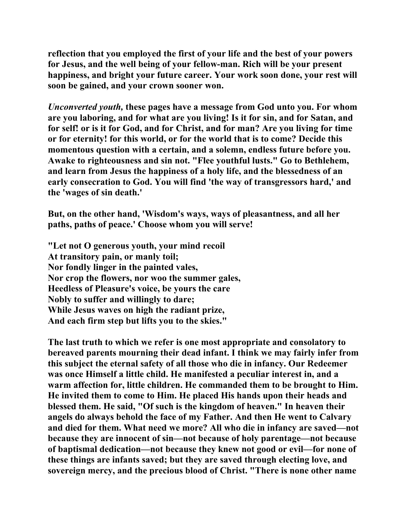**reflection that you employed the first of your life and the best of your powers for Jesus, and the well being of your fellow-man. Rich will be your present happiness, and bright your future career. Your work soon done, your rest will soon be gained, and your crown sooner won.** 

*Unconverted youth,* **these pages have a message from God unto you. For whom are you laboring, and for what are you living! Is it for sin, and for Satan, and for self! or is it for God, and for Christ, and for man? Are you living for time or for eternity! for this world, or for the world that is to come? Decide this momentous question with a certain, and a solemn, endless future before you. Awake to righteousness and sin not. "Flee youthful lusts." Go to Bethlehem, and learn from Jesus the happiness of a holy life, and the blessedness of an early consecration to God. You will find 'the way of transgressors hard,' and the 'wages of sin death.'** 

**But, on the other hand, 'Wisdom's ways, ways of pleasantness, and all her paths, paths of peace.' Choose whom you will serve!** 

**"Let not O generous youth, your mind recoil At transitory pain, or manly toil; Nor fondly linger in the painted vales, Nor crop the flowers, nor woo the summer gales, Heedless of Pleasure's voice, be yours the care Nobly to suffer and willingly to dare; While Jesus waves on high the radiant prize, And each firm step but lifts you to the skies."** 

**The last truth to which we refer is one most appropriate and consolatory to bereaved parents mourning their dead infant. I think we may fairly infer from this subject the eternal safety of all those who die in infancy. Our Redeemer was once Himself a little child. He manifested a peculiar interest in, and a warm affection for, little children. He commanded them to be brought to Him. He invited them to come to Him. He placed His hands upon their heads and blessed them. He said, "Of such is the kingdom of heaven." In heaven their angels do always behold the face of my Father. And then He went to Calvary and died for them. What need we more? All who die in infancy are saved—not because they are innocent of sin—not because of holy parentage—not because of baptismal dedication—not because they knew not good or evil—for none of these things are infants saved; but they are saved through electing love, and sovereign mercy, and the precious blood of Christ. "There is none other name**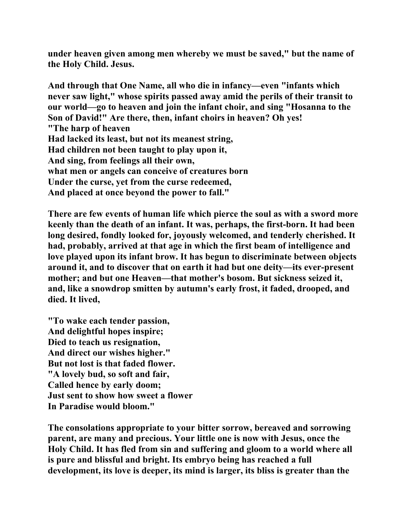**under heaven given among men whereby we must be saved," but the name of the Holy Child. Jesus.** 

**And through that One Name, all who die in infancy—even "infants which never saw light," whose spirits passed away amid the perils of their transit to our world—go to heaven and join the infant choir, and sing "Hosanna to the Son of David!" Are there, then, infant choirs in heaven? Oh yes! "The harp of heaven Had lacked its least, but not its meanest string, Had children not been taught to play upon it, And sing, from feelings all their own, what men or angels can conceive of creatures born Under the curse, yet from the curse redeemed, And placed at once beyond the power to fall."** 

**There are few events of human life which pierce the soul as with a sword more keenly than the death of an infant. It was, perhaps, the first-born. It had been long desired, fondly looked for, joyously welcomed, and tenderly cherished. It had, probably, arrived at that age in which the first beam of intelligence and love played upon its infant brow. It has begun to discriminate between objects around it, and to discover that on earth it had but one deity—its ever-present mother; and but one Heaven—that mother's bosom. But sickness seized it, and, like a snowdrop smitten by autumn's early frost, it faded, drooped, and died. It lived,** 

**"To wake each tender passion, And delightful hopes inspire; Died to teach us resignation, And direct our wishes higher." But not lost is that faded flower. "A lovely bud, so soft and fair, Called hence by early doom; Just sent to show how sweet a flower In Paradise would bloom."** 

**The consolations appropriate to your bitter sorrow, bereaved and sorrowing parent, are many and precious. Your little one is now with Jesus, once the Holy Child. It has fled from sin and suffering and gloom to a world where all is pure and blissful and bright. Its embryo being has reached a full development, its love is deeper, its mind is larger, its bliss is greater than the**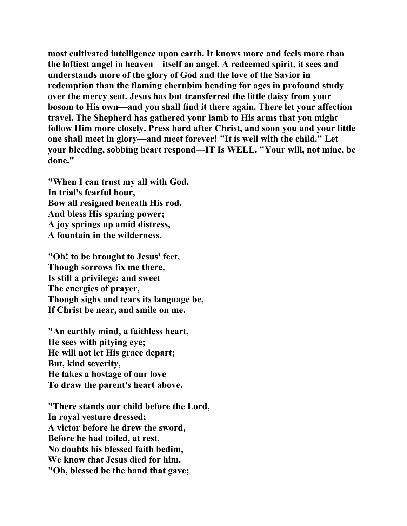**most cultivated intelligence upon earth. It knows more and feels more than the loftiest angel in heaven—itself an angel. A redeemed spirit, it sees and understands more of the glory of God and the love of the Savior in redemption than the flaming cherubim bending for ages in profound study over the mercy seat. Jesus has but transferred the little daisy from your bosom to His own—and you shall find it there again. There let your affection travel. The Shepherd has gathered your lamb to His arms that you might follow Him more closely. Press hard after Christ, and soon you and your little one shall meet in glory—and meet forever! "It is well with the child." Let your bleeding, sobbing heart respond—IT Is WELL. "Your will, not mine, be done."** 

**"When I can trust my all with God, In trial's fearful hour, Bow all resigned beneath His rod, And bless His sparing power; A joy springs up amid distress, A fountain in the wilderness.** 

**"Oh! to be brought to Jesus' feet, Though sorrows fix me there, Is still a privilege; and sweet The energies of prayer, Though sighs and tears its language be, If Christ be near, and smile on me.** 

**"An earthly mind, a faithless heart, He sees with pitying eye; He will not let His grace depart; But, kind severity, He takes a hostage of our love To draw the parent's heart above.** 

**"There stands our child before the Lord, In royal vesture dressed; A victor before he drew the sword, Before he had toiled, at rest. No doubts his blessed faith bedim, We know that Jesus died for him. "Oh, blessed be the hand that gave;**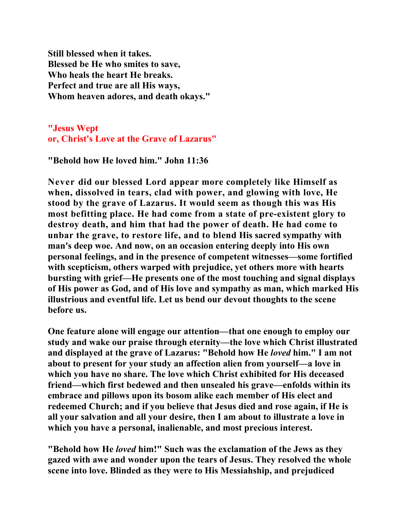**Still blessed when it takes. Blessed be He who smites to save, Who heals the heart He breaks. Perfect and true are all His ways, Whom heaven adores, and death okays."** 

**"Jesus Wept or, Christ's Love at the Grave of Lazarus"**

**"Behold how He loved him." John 11:36** 

**Never did our blessed Lord appear more completely like Himself as when, dissolved in tears, clad with power, and glowing with love, He stood by the grave of Lazarus. It would seem as though this was His most befitting place. He had come from a state of pre-existent glory to destroy death, and him that had the power of death. He had come to unbar the grave, to restore life, and to blend His sacred sympathy with man's deep woe. And now, on an occasion entering deeply into His own personal feelings, and in the presence of competent witnesses—some fortified with scepticism, others warped with prejudice, yet others more with hearts bursting with grief—He presents one of the most touching and signal displays of His power as God, and of His love and sympathy as man, which marked His illustrious and eventful life. Let us bend our devout thoughts to the scene before us.** 

**One feature alone will engage our attention—that one enough to employ our study and wake our praise through eternity—the love which Christ illustrated and displayed at the grave of Lazarus: "Behold how He** *loved* **him." I am not about to present for your study an affection alien from yourself—a love in which you have no share. The love which Christ exhibited for His deceased friend—which first bedewed and then unsealed his grave—enfolds within its embrace and pillows upon its bosom alike each member of His elect and redeemed Church; and if you believe that Jesus died and rose again, if He is all your salvation and all your desire, then I am about to illustrate a love in which you have a personal, inalienable, and most precious interest.** 

**"Behold how He** *loved* **him!" Such was the exclamation of the Jews as they gazed with awe and wonder upon the tears of Jesus. They resolved the whole scene into love. Blinded as they were to His Messiahship, and prejudiced**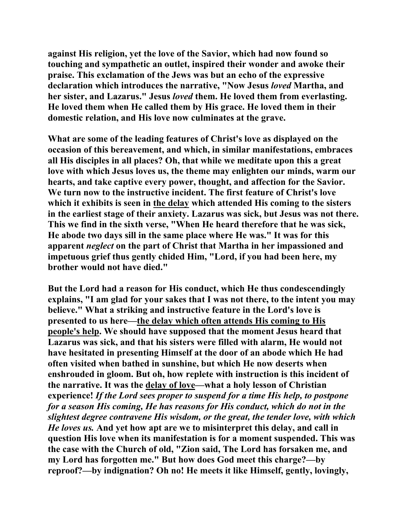**against His religion, yet the love of the Savior, which had now found so touching and sympathetic an outlet, inspired their wonder and awoke their praise. This exclamation of the Jews was but an echo of the expressive declaration which introduces the narrative, "Now Jesus** *loved* **Martha, and her sister, and Lazarus." Jesus** *loved* **them. He loved them from everlasting. He loved them when He called them by His grace. He loved them in their domestic relation, and His love now culminates at the grave.** 

**What are some of the leading features of Christ's love as displayed on the occasion of this bereavement, and which, in similar manifestations, embraces all His disciples in all places? Oh, that while we meditate upon this a great love with which Jesus loves us, the theme may enlighten our minds, warm our hearts, and take captive every power, thought, and affection for the Savior. We turn now to the instructive incident. The first feature of Christ's love which it exhibits is seen in the delay which attended His coming to the sisters in the earliest stage of their anxiety. Lazarus was sick, but Jesus was not there. This we find in the sixth verse, "When He heard therefore that he was sick, He abode two days sill in the same place where He was." It was for this apparent** *neglect* **on the part of Christ that Martha in her impassioned and impetuous grief thus gently chided Him, "Lord, if you had been here, my brother would not have died."** 

**But the Lord had a reason for His conduct, which He thus condescendingly explains, "I am glad for your sakes that I was not there, to the intent you may believe." What a striking and instructive feature in the Lord's love is presented to us here—the delay which often attends His coming to His people's help. We should have supposed that the moment Jesus heard that Lazarus was sick, and that his sisters were filled with alarm, He would not have hesitated in presenting Himself at the door of an abode which He had often visited when bathed in sunshine, but which He now deserts when enshrouded in gloom. But oh, how replete with instruction is this incident of the narrative. It was the delay of love—what a holy lesson of Christian experience!** *If the Lord sees proper to suspend for a time His help, to postpone for a season His coming, He has reasons for His conduct, which do not in the slightest degree contravene His wisdom, or the great, the tender love, with which He loves us.* **And yet how apt are we to misinterpret this delay, and call in question His love when its manifestation is for a moment suspended. This was the case with the Church of old, "Zion said, The Lord has forsaken me, and my Lord has forgotten me." But how does God meet this charge?—by reproof?—by indignation? Oh no! He meets it like Himself, gently, lovingly,**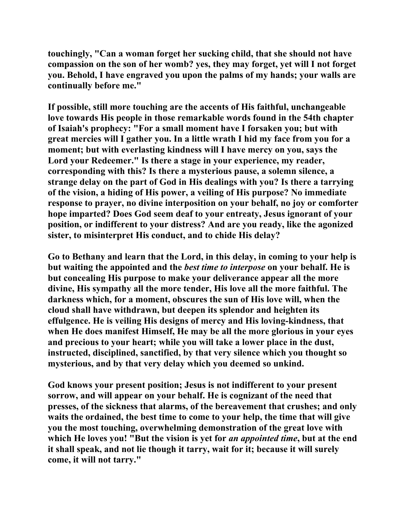**touchingly, "Can a woman forget her sucking child, that she should not have compassion on the son of her womb? yes, they may forget, yet will I not forget you. Behold, I have engraved you upon the palms of my hands; your walls are continually before me."** 

**If possible, still more touching are the accents of His faithful, unchangeable love towards His people in those remarkable words found in the 54th chapter of Isaiah's prophecy: "For a small moment have I forsaken you; but with great mercies will I gather you. In a little wrath I hid my face from you for a moment; but with everlasting kindness will I have mercy on you, says the Lord your Redeemer." Is there a stage in your experience, my reader, corresponding with this? Is there a mysterious pause, a solemn silence, a strange delay on the part of God in His dealings with you? Is there a tarrying of the vision, a hiding of His power, a veiling of His purpose? No immediate response to prayer, no divine interposition on your behalf, no joy or comforter hope imparted? Does God seem deaf to your entreaty, Jesus ignorant of your position, or indifferent to your distress? And are you ready, like the agonized sister, to misinterpret His conduct, and to chide His delay?** 

**Go to Bethany and learn that the Lord, in this delay, in coming to your help is but waiting the appointed and the** *best time to interpose* **on your behalf. He is but concealing His purpose to make your deliverance appear all the more divine, His sympathy all the more tender, His love all the more faithful. The darkness which, for a moment, obscures the sun of His love will, when the cloud shall have withdrawn, but deepen its splendor and heighten its effulgence. He is veiling His designs of mercy and His loving-kindness, that when He does manifest Himself, He may be all the more glorious in your eyes and precious to your heart; while you will take a lower place in the dust, instructed, disciplined, sanctified, by that very silence which you thought so mysterious, and by that very delay which you deemed so unkind.** 

**God knows your present position; Jesus is not indifferent to your present sorrow, and will appear on your behalf. He is cognizant of the need that presses, of the sickness that alarms, of the bereavement that crushes; and only waits the ordained, the best time to come to your help, the time that will give you the most touching, overwhelming demonstration of the great love with which He loves you! "But the vision is yet for** *an appointed time***, but at the end it shall speak, and not lie though it tarry, wait for it; because it will surely come, it will not tarry."**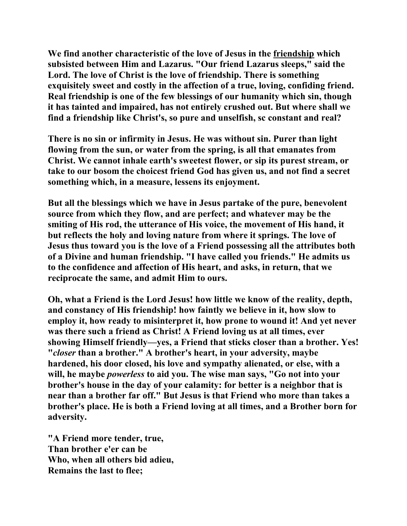**We find another characteristic of the love of Jesus in the friendship which subsisted between Him and Lazarus. "Our friend Lazarus sleeps," said the Lord. The love of Christ is the love of friendship. There is something exquisitely sweet and costly in the affection of a true, loving, confiding friend. Real friendship is one of the few blessings of our humanity which sin, though it has tainted and impaired, has not entirely crushed out. But where shall we find a friendship like Christ's, so pure and unselfish, sc constant and real?** 

**There is no sin or infirmity in Jesus. He was without sin. Purer than light flowing from the sun, or water from the spring, is all that emanates from Christ. We cannot inhale earth's sweetest flower, or sip its purest stream, or take to our bosom the choicest friend God has given us, and not find a secret something which, in a measure, lessens its enjoyment.** 

**But all the blessings which we have in Jesus partake of the pure, benevolent source from which they flow, and are perfect; and whatever may be the smiting of His rod, the utterance of His voice, the movement of His hand, it but reflects the holy and loving nature from where it springs. The love of Jesus thus toward you is the love of a Friend possessing all the attributes both of a Divine and human friendship. "I have called you friends." He admits us to the confidence and affection of His heart, and asks, in return, that we reciprocate the same, and admit Him to ours.** 

**Oh, what a Friend is the Lord Jesus! how little we know of the reality, depth, and constancy of His friendship! how faintly we believe in it, how slow to employ it, how ready to misinterpret it, how prone to wound it! And yet never was there such a friend as Christ! A Friend loving us at all times, ever showing Himself friendly—yes, a Friend that sticks closer than a brother. Yes! "***closer* **than a brother." A brother's heart, in your adversity, maybe hardened, his door closed, his love and sympathy alienated, or else, with a will, he maybe** *powerless* **to aid you. The wise man says, "Go not into your brother's house in the day of your calamity: for better is a neighbor that is near than a brother far off." But Jesus is that Friend who more than takes a brother's place. He is both a Friend loving at all times, and a Brother born for adversity.** 

**"A Friend more tender, true, Than brother e'er can be Who, when all others bid adieu, Remains the last to flee;**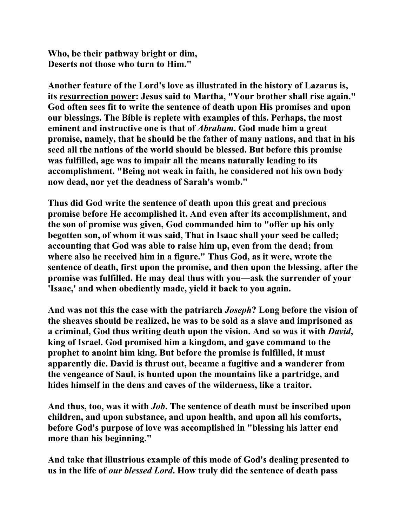**Who, be their pathway bright or dim, Deserts not those who turn to Him."** 

**Another feature of the Lord's love as illustrated in the history of Lazarus is, its resurrection power: Jesus said to Martha, "Your brother shall rise again." God often sees fit to write the sentence of death upon His promises and upon our blessings. The Bible is replete with examples of this. Perhaps, the most eminent and instructive one is that of** *Abraham***. God made him a great promise, namely, that he should be the father of many nations, and that in his seed all the nations of the world should be blessed. But before this promise was fulfilled, age was to impair all the means naturally leading to its accomplishment. "Being not weak in faith, he considered not his own body now dead, nor yet the deadness of Sarah's womb."** 

**Thus did God write the sentence of death upon this great and precious promise before He accomplished it. And even after its accomplishment, and the son of promise was given, God commanded him to "offer up his only begotten son, of whom it was said, That in Isaac shall your seed be called; accounting that God was able to raise him up, even from the dead; from where also he received him in a figure." Thus God, as it were, wrote the sentence of death, first upon the promise, and then upon the blessing, after the promise was fulfilled. He may deal thus with you—ask the surrender of your 'Isaac,' and when obediently made, yield it back to you again.** 

**And was not this the case with the patriarch** *Joseph***? Long before the vision of the sheaves should be realized, he was to be sold as a slave and imprisoned as a criminal, God thus writing death upon the vision. And so was it with** *David***, king of Israel. God promised him a kingdom, and gave command to the prophet to anoint him king. But before the promise is fulfilled, it must apparently die. David is thrust out, became a fugitive and a wanderer from the vengeance of Saul, is hunted upon the mountains like a partridge, and hides himself in the dens and caves of the wilderness, like a traitor.** 

**And thus, too, was it with** *Job***. The sentence of death must be inscribed upon children, and upon substance, and upon health, and upon all his comforts, before God's purpose of love was accomplished in "blessing his latter end more than his beginning."** 

**And take that illustrious example of this mode of God's dealing presented to us in the life of** *our blessed Lord***. How truly did the sentence of death pass**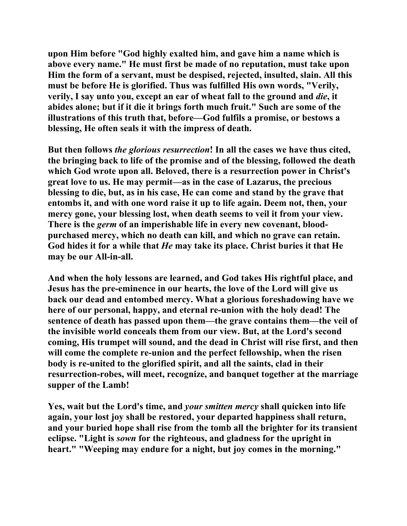**upon Him before "God highly exalted him, and gave him a name which is above every name." He must first be made of no reputation, must take upon Him the form of a servant, must be despised, rejected, insulted, slain. All this must be before He is glorified. Thus was fulfilled His own words, "Verily, verily, I say unto you, except an ear of wheat fall to the ground and** *die***, it abides alone; but if it die it brings forth much fruit." Such are some of the illustrations of this truth that, before—God fulfils a promise, or bestows a blessing, He often seals it with the impress of death.** 

**But then follows** *the glorious resurrection***! In all the cases we have thus cited, the bringing back to life of the promise and of the blessing, followed the death which God wrote upon all. Beloved, there is a resurrection power in Christ's great love to us. He may permit—as in the case of Lazarus, the precious blessing to die, but, as in his case, He can come and stand by the grave that entombs it, and with one word raise it up to life again. Deem not, then, your mercy gone, your blessing lost, when death seems to veil it from your view. There is the** *germ* **of an imperishable life in every new covenant, bloodpurchased mercy, which no death can kill, and which no grave can retain. God hides it for a while that** *He* **may take its place. Christ buries it that He may be our All-in-all.** 

**And when the holy lessons are learned, and God takes His rightful place, and Jesus has the pre-eminence in our hearts, the love of the Lord will give us back our dead and entombed mercy. What a glorious foreshadowing have we here of our personal, happy, and eternal re-union with the holy dead! The sentence of death has passed upon them—the grave contains them—the veil of the invisible world conceals them from our view. But, at the Lord's second coming, His trumpet will sound, and the dead in Christ will rise first, and then will come the complete re-union and the perfect fellowship, when the risen body is re-united to the glorified spirit, and all the saints, clad in their resurrection-robes, will meet, recognize, and banquet together at the marriage supper of the Lamb!** 

**Yes, wait but the Lord's time, and** *your smitten mercy* **shall quicken into life again, your lost joy shall be restored, your departed happiness shall return, and your buried hope shall rise from the tomb all the brighter for its transient eclipse. "Light is** *sown* **for the righteous, and gladness for the upright in heart." "Weeping may endure for a night, but joy comes in the morning."**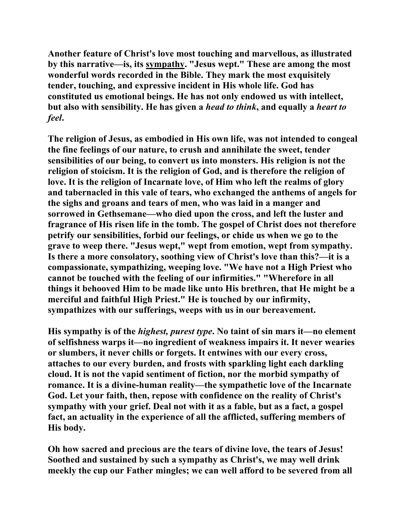**Another feature of Christ's love most touching and marvellous, as illustrated by this narrative—is, its sympathy. "Jesus wept." These are among the most wonderful words recorded in the Bible. They mark the most exquisitely tender, touching, and expressive incident in His whole life. God has constituted us emotional beings. He has not only endowed us with intellect, but also with sensibility. He has given a** *head to think***, and equally a** *heart to feel***.** 

**The religion of Jesus, as embodied in His own life, was not intended to congeal the fine feelings of our nature, to crush and annihilate the sweet, tender sensibilities of our being, to convert us into monsters. His religion is not the religion of stoicism. It is the religion of God, and is therefore the religion of love. It is the religion of Incarnate love, of Him who left the realms of glory and tabernacled in this vale of tears, who exchanged the anthems of angels for the sighs and groans and tears of men, who was laid in a manger and sorrowed in Gethsemane—who died upon the cross, and left the luster and fragrance of His risen life in the tomb. The gospel of Christ does not therefore petrify our sensibilities, forbid our feelings, or chide us when we go to the grave to weep there. "Jesus wept," wept from emotion, wept from sympathy. Is there a more consolatory, soothing view of Christ's love than this?—it is a compassionate, sympathizing, weeping love. "We have not a High Priest who cannot be touched with the feeling of our infirmities." "Wherefore in all things it behooved Him to be made like unto His brethren, that He might be a merciful and faithful High Priest." He is touched by our infirmity, sympathizes with our sufferings, weeps with us in our bereavement.** 

**His sympathy is of the** *highest, purest type***. No taint of sin mars it—no element of selfishness warps it—no ingredient of weakness impairs it. It never wearies or slumbers, it never chills or forgets. It entwines with our every cross, attaches to our every burden, and frosts with sparkling light each darkling cloud. It is not the vapid sentiment of fiction, nor the morbid sympathy of romance. It is a divine-human reality—the sympathetic love of the Incarnate God. Let your faith, then, repose with confidence on the reality of Christ's sympathy with your grief. Deal not with it as a fable, but as a fact, a gospel fact, an actuality in the experience of all the afflicted, suffering members of His body.** 

**Oh how sacred and precious are the tears of divine love, the tears of Jesus! Soothed and sustained by such a sympathy as Christ's, we may well drink meekly the cup our Father mingles; we can well afford to be severed from all**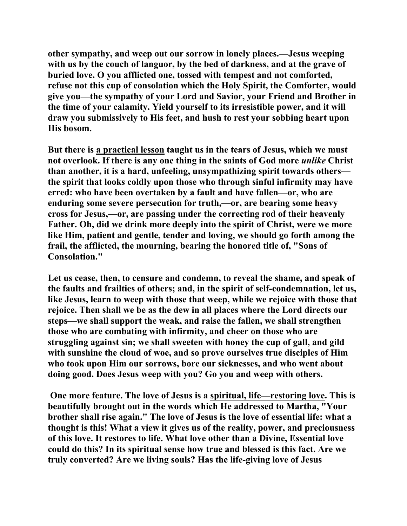**other sympathy, and weep out our sorrow in lonely places.—Jesus weeping with us by the couch of languor, by the bed of darkness, and at the grave of buried love. O you afflicted one, tossed with tempest and not comforted, refuse not this cup of consolation which the Holy Spirit, the Comforter, would give you—the sympathy of your Lord and Savior, your Friend and Brother in the time of your calamity. Yield yourself to its irresistible power, and it will draw you submissively to His feet, and hush to rest your sobbing heart upon His bosom.** 

**But there is a practical lesson taught us in the tears of Jesus, which we must not overlook. If there is any one thing in the saints of God more** *unlike* **Christ than another, it is a hard, unfeeling, unsympathizing spirit towards others the spirit that looks coldly upon those who through sinful infirmity may have erred: who have been overtaken by a fault and have fallen—or, who are enduring some severe persecution for truth,—or, are bearing some heavy cross for Jesus,—or, are passing under the correcting rod of their heavenly Father. Oh, did we drink more deeply into the spirit of Christ, were we more like Him, patient and gentle, tender and loving, we should go forth among the frail, the afflicted, the mourning, bearing the honored title of, "Sons of Consolation."** 

**Let us cease, then, to censure and condemn, to reveal the shame, and speak of the faults and frailties of others; and, in the spirit of self-condemnation, let us, like Jesus, learn to weep with those that weep, while we rejoice with those that rejoice. Then shall we be as the dew in all places where the Lord directs our steps—we shall support the weak, and raise the fallen, we shall strengthen those who are combating with infirmity, and cheer on those who are struggling against sin; we shall sweeten with honey the cup of gall, and gild with sunshine the cloud of woe, and so prove ourselves true disciples of Him who took upon Him our sorrows, bore our sicknesses, and who went about doing good. Does Jesus weep with you? Go you and weep with others.** 

 **One more feature. The love of Jesus is a spiritual, life—restoring love. This is beautifully brought out in the words which He addressed to Martha, "Your brother shall rise again." The love of Jesus is the love of essential life: what a thought is this! What a view it gives us of the reality, power, and preciousness of this love. It restores to life. What love other than a Divine, Essential love could do this? In its spiritual sense how true and blessed is this fact. Are we truly converted? Are we living souls? Has the life-giving love of Jesus**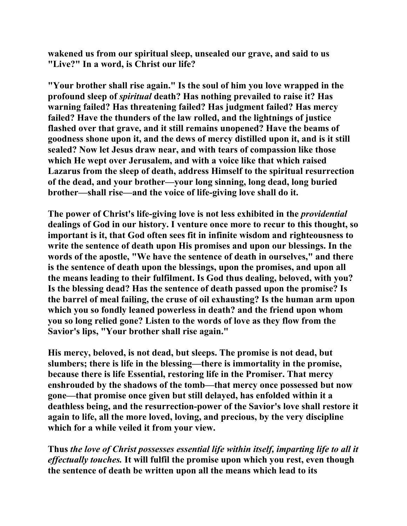**wakened us from our spiritual sleep, unsealed our grave, and said to us "Live?" In a word, is Christ our life?** 

**"Your brother shall rise again." Is the soul of him you love wrapped in the profound sleep of** *spiritual* **death? Has nothing prevailed to raise it? Has warning failed? Has threatening failed? Has judgment failed? Has mercy failed? Have the thunders of the law rolled, and the lightnings of justice flashed over that grave, and it still remains unopened? Have the beams of goodness shone upon it, and the dews of mercy distilled upon it, and is it still sealed? Now let Jesus draw near, and with tears of compassion like those which He wept over Jerusalem, and with a voice like that which raised Lazarus from the sleep of death, address Himself to the spiritual resurrection of the dead, and your brother—your long sinning, long dead, long buried brother—shall rise—and the voice of life-giving love shall do it.** 

**The power of Christ's life-giving love is not less exhibited in the** *providential* **dealings of God in our history. I venture once more to recur to this thought, so important is it, that God often sees fit in infinite wisdom and righteousness to write the sentence of death upon His promises and upon our blessings. In the words of the apostle, "We have the sentence of death in ourselves," and there is the sentence of death upon the blessings, upon the promises, and upon all the means leading to their fulfilment. Is God thus dealing, beloved, with you? Is the blessing dead? Has the sentence of death passed upon the promise? Is the barrel of meal failing, the cruse of oil exhausting? Is the human arm upon which you so fondly leaned powerless in death? and the friend upon whom you so long relied gone? Listen to the words of love as they flow from the Savior's lips, "Your brother shall rise again."** 

**His mercy, beloved, is not dead, but sleeps. The promise is not dead, but slumbers; there is life in the blessing—there is immortality in the promise, because there is life Essential, restoring life in the Promiser. That mercy enshrouded by the shadows of the tomb—that mercy once possessed but now gone—that promise once given but still delayed, has enfolded within it a deathless being, and the resurrection-power of the Savior's love shall restore it again to life, all the more loved, loving, and precious, by the very discipline which for a while veiled it from your view.** 

**Thus** *the love of Christ possesses essential life within itself, imparting life to all it effectually touches.* **It will fulfil the promise upon which you rest, even though the sentence of death be written upon all the means which lead to its**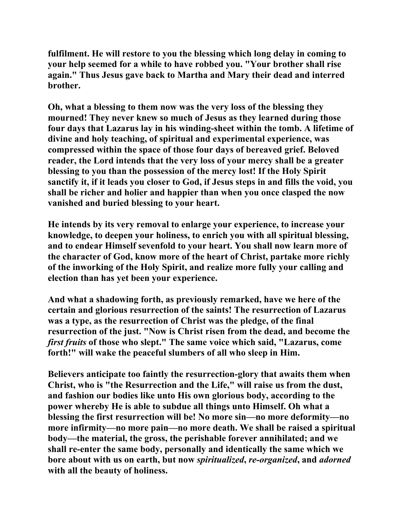**fulfilment. He will restore to you the blessing which long delay in coming to your help seemed for a while to have robbed you. "Your brother shall rise again." Thus Jesus gave back to Martha and Mary their dead and interred brother.** 

**Oh, what a blessing to them now was the very loss of the blessing they mourned! They never knew so much of Jesus as they learned during those four days that Lazarus lay in his winding-sheet within the tomb. A lifetime of divine and holy teaching, of spiritual and experimental experience, was compressed within the space of those four days of bereaved grief. Beloved reader, the Lord intends that the very loss of your mercy shall be a greater blessing to you than the possession of the mercy lost! If the Holy Spirit sanctify it, if it leads you closer to God, if Jesus steps in and fills the void, you shall be richer and holier and happier than when you once clasped the now vanished and buried blessing to your heart.** 

**He intends by its very removal to enlarge your experience, to increase your knowledge, to deepen your holiness, to enrich you with all spiritual blessing, and to endear Himself sevenfold to your heart. You shall now learn more of the character of God, know more of the heart of Christ, partake more richly of the inworking of the Holy Spirit, and realize more fully your calling and election than has yet been your experience.** 

**And what a shadowing forth, as previously remarked, have we here of the certain and glorious resurrection of the saints! The resurrection of Lazarus was a type, as the resurrection of Christ was the pledge, of the final resurrection of the just. "Now is Christ risen from the dead, and become the**  *first fruits* **of those who slept." The same voice which said, "Lazarus, come forth!" will wake the peaceful slumbers of all who sleep in Him.** 

**Believers anticipate too faintly the resurrection-glory that awaits them when Christ, who is "the Resurrection and the Life," will raise us from the dust, and fashion our bodies like unto His own glorious body, according to the power whereby He is able to subdue all things unto Himself. Oh what a blessing the first resurrection will be! No more sin—no more deformity—no more infirmity—no more pain—no more death. We shall be raised a spiritual body—the material, the gross, the perishable forever annihilated; and we shall re-enter the same body, personally and identically the same which we bore about with us on earth, but now** *spiritualized***,** *re-organized***, and** *adorned* **with all the beauty of holiness.**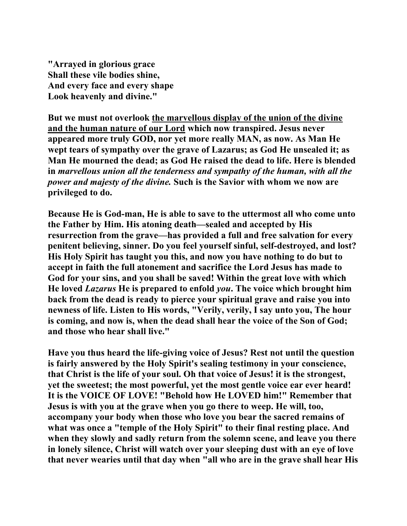**"Arrayed in glorious grace Shall these vile bodies shine, And every face and every shape Look heavenly and divine."** 

**But we must not overlook the marvellous display of the union of the divine and the human nature of our Lord which now transpired. Jesus never appeared more truly GOD, nor yet more really MAN, as now. As Man He wept tears of sympathy over the grave of Lazarus; as God He unsealed it; as Man He mourned the dead; as God He raised the dead to life. Here is blended in** *marvellous union all the tenderness and sympathy of the human, with all the power and majesty of the divine.* **Such is the Savior with whom we now are privileged to do.** 

**Because He is God-man, He is able to save to the uttermost all who come unto the Father by Him. His atoning death—sealed and accepted by His resurrection from the grave—has provided a full and free salvation for every penitent believing, sinner. Do you feel yourself sinful, self-destroyed, and lost? His Holy Spirit has taught you this, and now you have nothing to do but to accept in faith the full atonement and sacrifice the Lord Jesus has made to God for your sins, and you shall be saved! Within the great love with which He loved** *Lazarus* **He is prepared to enfold** *you***. The voice which brought him back from the dead is ready to pierce your spiritual grave and raise you into newness of life. Listen to His words, "Verily, verily, I say unto you, The hour is coming, and now is, when the dead shall hear the voice of the Son of God; and those who hear shall live."** 

**Have you thus heard the life-giving voice of Jesus? Rest not until the question is fairly answered by the Holy Spirit's sealing testimony in your conscience, that Christ is the life of your soul. Oh that voice of Jesus! it is the strongest, yet the sweetest; the most powerful, yet the most gentle voice ear ever heard! It is the VOICE OF LOVE! "Behold how He LOVED him!" Remember that Jesus is with you at the grave when you go there to weep. He will, too, accompany your body when those who love you bear the sacred remains of what was once a "temple of the Holy Spirit" to their final resting place. And when they slowly and sadly return from the solemn scene, and leave you there in lonely silence, Christ will watch over your sleeping dust with an eye of love that never wearies until that day when "all who are in the grave shall hear His**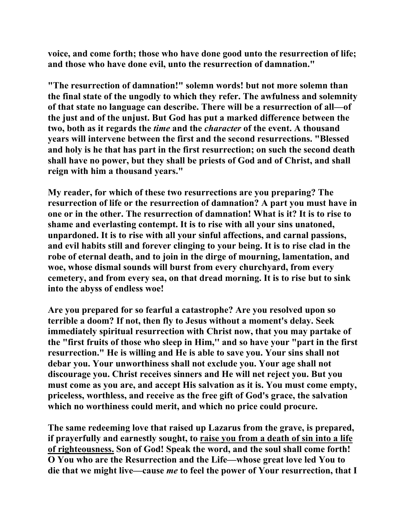**voice, and come forth; those who have done good unto the resurrection of life; and those who have done evil, unto the resurrection of damnation."** 

**"The resurrection of damnation!" solemn words! but not more solemn than the final state of the ungodly to which they refer. The awfulness and solemnity of that state no language can describe. There will be a resurrection of all—of the just and of the unjust. But God has put a marked difference between the two, both as it regards the** *time* **and the** *character* **of the event. A thousand years will intervene between the first and the second resurrections. "Blessed and holy is he that has part in the first resurrection; on such the second death shall have no power, but they shall be priests of God and of Christ, and shall reign with him a thousand years."** 

**My reader, for which of these two resurrections are you preparing? The resurrection of life or the resurrection of damnation? A part you must have in one or in the other. The resurrection of damnation! What is it? It is to rise to shame and everlasting contempt. It is to rise with all your sins unatoned, unpardoned. It is to rise with all your sinful affections, and carnal passions, and evil habits still and forever clinging to your being. It is to rise clad in the robe of eternal death, and to join in the dirge of mourning, lamentation, and woe, whose dismal sounds will burst from every churchyard, from every cemetery, and from every sea, on that dread morning. It is to rise but to sink into the abyss of endless woe!** 

**Are you prepared for so fearful a catastrophe? Are you resolved upon so terrible a doom? If not, then fly to Jesus without a moment's delay. Seek immediately spiritual resurrection with Christ now, that you may partake of the "first fruits of those who sleep in Him,'' and so have your "part in the first resurrection." He is willing and He is able to save you. Your sins shall not debar you. Your unworthiness shall not exclude you. Your age shall not discourage you. Christ receives sinners and He will net reject you. But you must come as you are, and accept His salvation as it is. You must come empty, priceless, worthless, and receive as the free gift of God's grace, the salvation which no worthiness could merit, and which no price could procure.** 

**The same redeeming love that raised up Lazarus from the grave, is prepared, if prayerfully and earnestly sought, to raise you from a death of sin into a life of righteousness. Son of God! Speak the word, and the soul shall come forth! O You who are the Resurrection and the Life—whose great love led You to die that we might live—cause** *me* **to feel the power of Your resurrection, that I**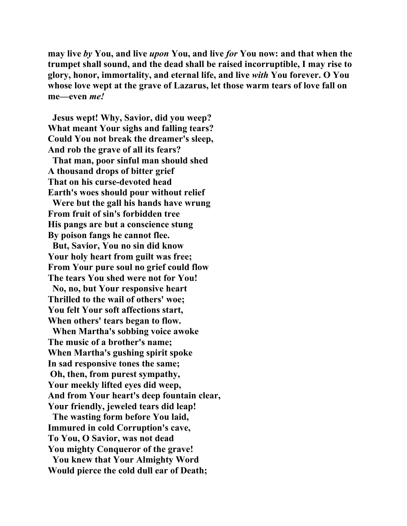**may live** *by* **You, and live** *upon* **You, and live** *for* **You now: and that when the trumpet shall sound, and the dead shall be raised incorruptible, I may rise to glory, honor, immortality, and eternal life, and live** *with* **You forever. O You whose love wept at the grave of Lazarus, let those warm tears of love fall on me—even** *me!*

 **Jesus wept! Why, Savior, did you weep? What meant Your sighs and falling tears? Could You not break the dreamer's sleep, And rob the grave of all its fears?** 

 **That man, poor sinful man should shed A thousand drops of bitter grief That on his curse-devoted head Earth's woes should pour without relief** 

 **Were but the gall his hands have wrung From fruit of sin's forbidden tree His pangs are but a conscience stung By poison fangs he cannot flee.** 

 **But, Savior, You no sin did know Your holy heart from guilt was free; From Your pure soul no grief could flow The tears You shed were not for You!** 

 **No, no, but Your responsive heart Thrilled to the wail of others' woe; You felt Your soft affections start, When others' tears began to flow.** 

 **When Martha's sobbing voice awoke The music of a brother's name; When Martha's gushing spirit spoke In sad responsive tones the same; Oh, then, from purest sympathy, Your meekly lifted eyes did weep, And from Your heart's deep fountain clear, Your friendly, jeweled tears did leap!** 

 **The wasting form before You laid, Immured in cold Corruption's cave, To You, O Savior, was not dead You mighty Conqueror of the grave! You knew that Your Almighty Word Would pierce the cold dull ear of Death;**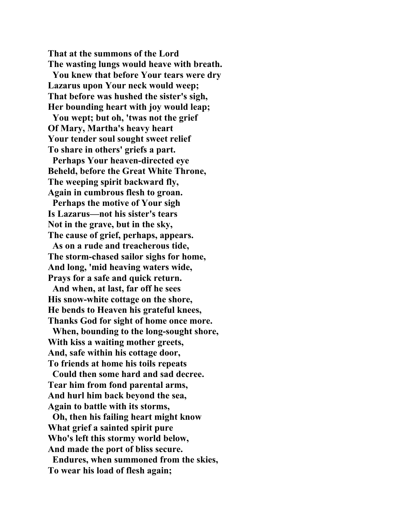**That at the summons of the Lord The wasting lungs would heave with breath.** 

 **You knew that before Your tears were dry Lazarus upon Your neck would weep; That before was hushed the sister's sigh, Her bounding heart with joy would leap;** 

 **You wept; but oh, 'twas not the grief Of Mary, Martha's heavy heart Your tender soul sought sweet relief To share in others' griefs a part.** 

 **Perhaps Your heaven-directed eye Beheld, before the Great White Throne, The weeping spirit backward fly, Again in cumbrous flesh to groan.** 

 **Perhaps the motive of Your sigh Is Lazarus—not his sister's tears Not in the grave, but in the sky, The cause of grief, perhaps, appears.** 

 **As on a rude and treacherous tide, The storm-chased sailor sighs for home, And long, 'mid heaving waters wide, Prays for a safe and quick return.** 

 **And when, at last, far off he sees His snow-white cottage on the shore, He bends to Heaven his grateful knees, Thanks God for sight of home once more.** 

 **When, bounding to the long-sought shore, With kiss a waiting mother greets, And, safe within his cottage door, To friends at home his toils repeats** 

 **Could then some hard and sad decree. Tear him from fond parental arms, And hurl him back beyond the sea, Again to battle with its storms,** 

 **Oh, then his failing heart might know What grief a sainted spirit pure Who's left this stormy world below, And made the port of bliss secure.** 

 **Endures, when summoned from the skies, To wear his load of flesh again;**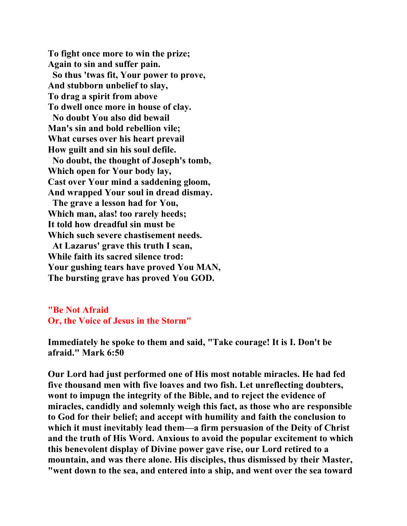**To fight once more to win the prize; Again to sin and suffer pain. So thus 'twas fit, Your power to prove, And stubborn unbelief to slay, To drag a spirit from above To dwell once more in house of clay. No doubt You also did bewail Man's sin and bold rebellion vile; What curses over his heart prevail How guilt and sin his soul defile. No doubt, the thought of Joseph's tomb, Which open for Your body lay, Cast over Your mind a saddening gloom, And wrapped Your soul in dread dismay. The grave a lesson had for You, Which man, alas! too rarely heeds; It told how dreadful sin must be Which such severe chastisement needs. At Lazarus' grave this truth I scan, While faith its sacred silence trod: Your gushing tears have proved You MAN, The bursting grave has proved You GOD.** 

**"Be Not Afraid Or, the Voice of Jesus in the Storm"**

**Immediately he spoke to them and said, "Take courage! It is I. Don't be afraid." Mark 6:50** 

**Our Lord had just performed one of His most notable miracles. He had fed five thousand men with five loaves and two fish. Let unreflecting doubters, wont to impugn the integrity of the Bible, and to reject the evidence of miracles, candidly and solemnly weigh this fact, as those who are responsible to God for their belief; and accept with humility and faith the conclusion to which it must inevitably lead them—a firm persuasion of the Deity of Christ and the truth of His Word. Anxious to avoid the popular excitement to which this benevolent display of Divine power gave rise, our Lord retired to a mountain, and was there alone. His disciples, thus dismissed by their Master, "went down to the sea, and entered into a ship, and went over the sea toward**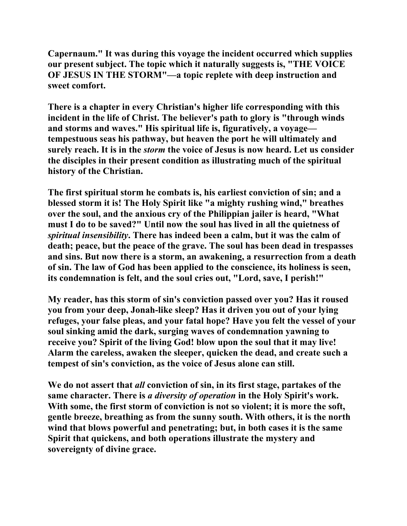**Capernaum." It was during this voyage the incident occurred which supplies our present subject. The topic which it naturally suggests is, "THE VOICE OF JESUS IN THE STORM"—a topic replete with deep instruction and sweet comfort.** 

**There is a chapter in every Christian's higher life corresponding with this incident in the life of Christ. The believer's path to glory is "through winds and storms and waves." His spiritual life is, figuratively, a voyage tempestuous seas his pathway, but heaven the port he will ultimately and surely reach. It is in the** *storm* **the voice of Jesus is now heard. Let us consider the disciples in their present condition as illustrating much of the spiritual history of the Christian.** 

**The first spiritual storm he combats is, his earliest conviction of sin; and a blessed storm it is! The Holy Spirit like "a mighty rushing wind," breathes over the soul, and the anxious cry of the Philippian jailer is heard, "What must I do to be saved?" Until now the soul has lived in all the quietness of**  *spiritual insensibility***. There has indeed been a calm, but it was the calm of death; peace, but the peace of the grave. The soul has been dead in trespasses and sins. But now there is a storm, an awakening, a resurrection from a death of sin. The law of God has been applied to the conscience, its holiness is seen, its condemnation is felt, and the soul cries out, "Lord, save, I perish!"** 

**My reader, has this storm of sin's conviction passed over you? Has it roused you from your deep, Jonah-like sleep? Has it driven you out of your lying refuges, your false pleas, and your fatal hope? Have you felt the vessel of your soul sinking amid the dark, surging waves of condemnation yawning to receive you? Spirit of the living God! blow upon the soul that it may live! Alarm the careless, awaken the sleeper, quicken the dead, and create such a tempest of sin's conviction, as the voice of Jesus alone can still.** 

**We do not assert that** *all* **conviction of sin, in its first stage, partakes of the same character. There is** *a diversity of operation* **in the Holy Spirit's work. With some, the first storm of conviction is not so violent; it is more the soft, gentle breeze, breathing as from the sunny south. With others, it is the north wind that blows powerful and penetrating; but, in both cases it is the same Spirit that quickens, and both operations illustrate the mystery and sovereignty of divine grace.**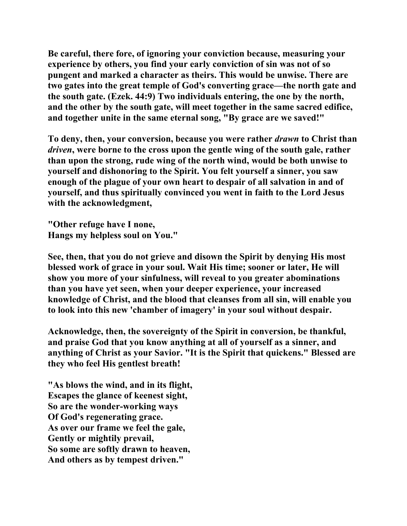**Be careful, there fore, of ignoring your conviction because, measuring your experience by others, you find your early conviction of sin was not of so pungent and marked a character as theirs. This would be unwise. There are two gates into the great temple of God's converting grace—the north gate and the south gate. (Ezek. 44:9) Two individuals entering, the one by the north, and the other by the south gate, will meet together in the same sacred edifice, and together unite in the same eternal song, "By grace are we saved!"** 

**To deny, then, your conversion, because you were rather** *drawn* **to Christ than**  *driven***, were borne to the cross upon the gentle wing of the south gale, rather than upon the strong, rude wing of the north wind, would be both unwise to yourself and dishonoring to the Spirit. You felt yourself a sinner, you saw enough of the plague of your own heart to despair of all salvation in and of yourself, and thus spiritually convinced you went in faith to the Lord Jesus with the acknowledgment,** 

**"Other refuge have I none, Hangs my helpless soul on You."** 

**See, then, that you do not grieve and disown the Spirit by denying His most blessed work of grace in your soul. Wait His time; sooner or later, He will show you more of your sinfulness, will reveal to you greater abominations than you have yet seen, when your deeper experience, your increased knowledge of Christ, and the blood that cleanses from all sin, will enable you to look into this new 'chamber of imagery' in your soul without despair.** 

**Acknowledge, then, the sovereignty of the Spirit in conversion, be thankful, and praise God that you know anything at all of yourself as a sinner, and anything of Christ as your Savior. "It is the Spirit that quickens." Blessed are they who feel His gentlest breath!** 

**"As blows the wind, and in its flight, Escapes the glance of keenest sight, So are the wonder-working ways Of God's regenerating grace. As over our frame we feel the gale, Gently or mightily prevail, So some are softly drawn to heaven, And others as by tempest driven."**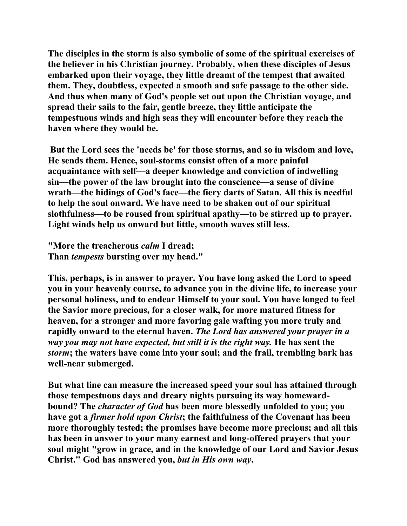**The disciples in the storm is also symbolic of some of the spiritual exercises of the believer in his Christian journey. Probably, when these disciples of Jesus embarked upon their voyage, they little dreamt of the tempest that awaited them. They, doubtless, expected a smooth and safe passage to the other side. And thus when many of God's people set out upon the Christian voyage, and spread their sails to the fair, gentle breeze, they little anticipate the tempestuous winds and high seas they will encounter before they reach the haven where they would be.** 

 **But the Lord sees the 'needs be' for those storms, and so in wisdom and love, He sends them. Hence, soul-storms consist often of a more painful acquaintance with self—a deeper knowledge and conviction of indwelling sin—the power of the law brought into the conscience—a sense of divine wrath—the hidings of God's face—the fiery darts of Satan. All this is needful to help the soul onward. We have need to be shaken out of our spiritual slothfulness—to be roused from spiritual apathy—to be stirred up to prayer. Light winds help us onward but little, smooth waves still less.** 

**"More the treacherous** *calm* **I dread; Than** *tempests* **bursting over my head."** 

**This, perhaps, is in answer to prayer. You have long asked the Lord to speed you in your heavenly course, to advance you in the divine life, to increase your personal holiness, and to endear Himself to your soul. You have longed to feel the Savior more precious, for a closer walk, for more matured fitness for heaven, for a stronger and more favoring gale wafting you more truly and rapidly onward to the eternal haven.** *The Lord has answered your prayer in a way you may not have expected, but still it is the right way.* **He has sent the**  *storm***; the waters have come into your soul; and the frail, trembling bark has well-near submerged.** 

**But what line can measure the increased speed your soul has attained through those tempestuous days and dreary nights pursuing its way homewardbound? The** *character of God* **has been more blessedly unfolded to you; you have got a** *firmer hold upon Christ***; the faithfulness of the Covenant has been more thoroughly tested; the promises have become more precious; and all this has been in answer to your many earnest and long-offered prayers that your soul might "grow in grace, and in the knowledge of our Lord and Savior Jesus Christ." God has answered you,** *but in His own way***.**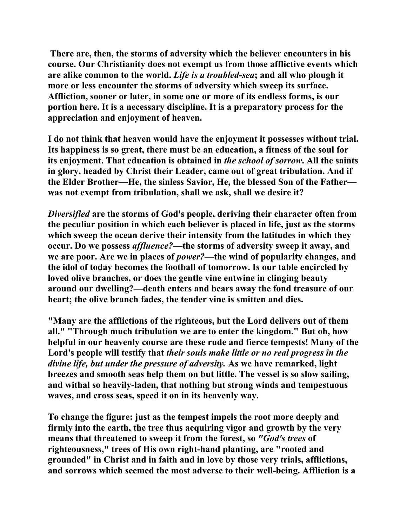**There are, then, the storms of adversity which the believer encounters in his course. Our Christianity does not exempt us from those afflictive events which are alike common to the world.** *Life is a troubled-sea***; and all who plough it more or less encounter the storms of adversity which sweep its surface. Affliction, sooner or later, in some one or more of its endless forms, is our portion here. It is a necessary discipline. It is a preparatory process for the appreciation and enjoyment of heaven.** 

**I do not think that heaven would have the enjoyment it possesses without trial. Its happiness is so great, there must be an education, a fitness of the soul for its enjoyment. That education is obtained in** *the school of sorrow***. All the saints in glory, headed by Christ their Leader, came out of great tribulation. And if the Elder Brother—He, the sinless Savior, He, the blessed Son of the Father was not exempt from tribulation, shall we ask, shall we desire it?** 

*Diversified* **are the storms of God's people, deriving their character often from the peculiar position in which each believer is placed in life, just as the storms which sweep the ocean derive their intensity from the latitudes in which they occur. Do we possess** *affluence?***—the storms of adversity sweep it away, and we are poor. Are we in places of** *power?***—the wind of popularity changes, and the idol of today becomes the football of tomorrow. Is our table encircled by loved olive branches, or does the gentle vine entwine in clinging beauty around our dwelling?—death enters and bears away the fond treasure of our heart; the olive branch fades, the tender vine is smitten and dies.** 

**"Many are the afflictions of the righteous, but the Lord delivers out of them all." "Through much tribulation we are to enter the kingdom." But oh, how helpful in our heavenly course are these rude and fierce tempests! Many of the Lord's people will testify that** *their souls make little or no real progress in the divine life, but under the pressure of adversity.* **As we have remarked, light breezes and smooth seas help them on but little. The vessel is so slow sailing, and withal so heavily-laden, that nothing but strong winds and tempestuous waves, and cross seas, speed it on in its heavenly way.** 

**To change the figure: just as the tempest impels the root more deeply and firmly into the earth, the tree thus acquiring vigor and growth by the very means that threatened to sweep it from the forest, so** *"God's trees* **of righteousness," trees of His own right-hand planting, are "rooted and grounded" in Christ and in faith and in love by those very trials, afflictions, and sorrows which seemed the most adverse to their well-being. Affliction is a**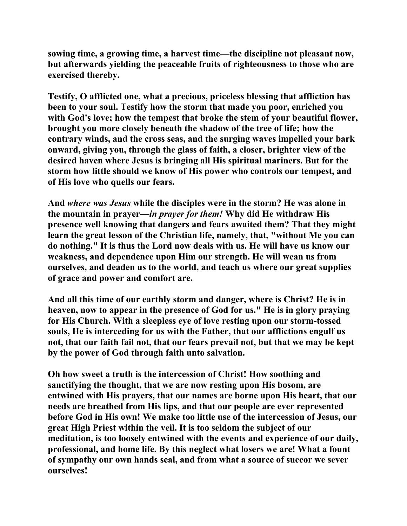**sowing time, a growing time, a harvest time—the discipline not pleasant now, but afterwards yielding the peaceable fruits of righteousness to those who are exercised thereby.** 

**Testify, O afflicted one, what a precious, priceless blessing that affliction has been to your soul. Testify how the storm that made you poor, enriched you with God's love; how the tempest that broke the stem of your beautiful flower, brought you more closely beneath the shadow of the tree of life; how the contrary winds, and the cross seas, and the surging waves impelled your bark onward, giving you, through the glass of faith, a closer, brighter view of the desired haven where Jesus is bringing all His spiritual mariners. But for the storm how little should we know of His power who controls our tempest, and of His love who quells our fears.** 

**And** *where was Jesus* **while the disciples were in the storm? He was alone in the mountain in prayer***—in prayer for them!* **Why did He withdraw His presence well knowing that dangers and fears awaited them? That they might learn the great lesson of the Christian life, namely, that, "without Me you can do nothing." It is thus the Lord now deals with us. He will have us know our weakness, and dependence upon Him our strength. He will wean us from ourselves, and deaden us to the world, and teach us where our great supplies of grace and power and comfort are.** 

**And all this time of our earthly storm and danger, where is Christ? He is in heaven, now to appear in the presence of God for us." He is in glory praying for His Church. With a sleepless eye of love resting upon our storm-tossed souls, He is interceding for us with the Father, that our afflictions engulf us not, that our faith fail not, that our fears prevail not, but that we may be kept by the power of God through faith unto salvation.** 

**Oh how sweet a truth is the intercession of Christ! How soothing and sanctifying the thought, that we are now resting upon His bosom, are entwined with His prayers, that our names are borne upon His heart, that our needs are breathed from His lips, and that our people are ever represented before God in His own! We make too little use of the intercession of Jesus, our great High Priest within the veil. It is too seldom the subject of our meditation, is too loosely entwined with the events and experience of our daily, professional, and home life. By this neglect what losers we are! What a fount of sympathy our own hands seal, and from what a source of succor we sever ourselves!**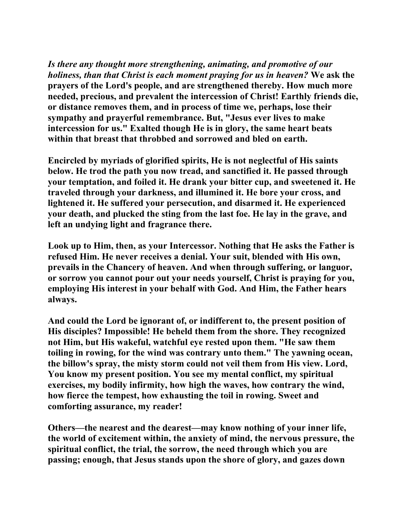*Is there any thought more strengthening, animating, and promotive of our holiness, than that Christ is each moment praying for us in heaven?* **We ask the prayers of the Lord's people, and are strengthened thereby. How much more needed, precious, and prevalent the intercession of Christ! Earthly friends die, or distance removes them, and in process of time we, perhaps, lose their sympathy and prayerful remembrance. But, "Jesus ever lives to make intercession for us." Exalted though He is in glory, the same heart beats within that breast that throbbed and sorrowed and bled on earth.** 

**Encircled by myriads of glorified spirits, He is not neglectful of His saints below. He trod the path you now tread, and sanctified it. He passed through your temptation, and foiled it. He drank your bitter cup, and sweetened it. He traveled through your darkness, and illumined it. He bore your cross, and lightened it. He suffered your persecution, and disarmed it. He experienced your death, and plucked the sting from the last foe. He lay in the grave, and left an undying light and fragrance there.** 

**Look up to Him, then, as your Intercessor. Nothing that He asks the Father is refused Him. He never receives a denial. Your suit, blended with His own, prevails in the Chancery of heaven. And when through suffering, or languor, or sorrow you cannot pour out your needs yourself, Christ is praying for you, employing His interest in your behalf with God. And Him, the Father hears always.** 

**And could the Lord be ignorant of, or indifferent to, the present position of His disciples? Impossible! He beheld them from the shore. They recognized not Him, but His wakeful, watchful eye rested upon them. "He saw them toiling in rowing, for the wind was contrary unto them." The yawning ocean, the billow's spray, the misty storm could not veil them from His view. Lord, You know my present position. You see my mental conflict, my spiritual exercises, my bodily infirmity, how high the waves, how contrary the wind, how fierce the tempest, how exhausting the toil in rowing. Sweet and comforting assurance, my reader!** 

**Others—the nearest and the dearest—may know nothing of your inner life, the world of excitement within, the anxiety of mind, the nervous pressure, the spiritual conflict, the trial, the sorrow, the need through which you are passing; enough, that Jesus stands upon the shore of glory, and gazes down**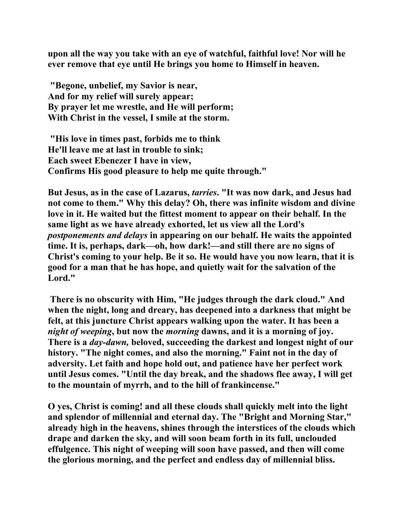**upon all the way you take with an eye of watchful, faithful love! Nor will he ever remove that eye until He brings you home to Himself in heaven.** 

 **"Begone, unbelief, my Savior is near, And for my relief will surely appear; By prayer let me wrestle, and He will perform; With Christ in the vessel, I smile at the storm.** 

 **"His love in times past, forbids me to think He'll leave me at last in trouble to sink; Each sweet Ebenezer I have in view, Confirms His good pleasure to help me quite through."** 

**But Jesus, as in the case of Lazarus,** *tarries***. "It was now dark, and Jesus had not come to them." Why this delay? Oh, there was infinite wisdom and divine love in it. He waited but the fittest moment to appear on their behalf. In the same light as we have already exhorted, let us view all the Lord's**  *postponements and delays* **in appearing on our behalf. He waits the appointed time. It is, perhaps, dark—oh, how dark!—and still there are no signs of Christ's coming to your help. Be it so. He would have you now learn, that it is good for a man that he has hope, and quietly wait for the salvation of the Lord."** 

 **There is no obscurity with Him, "He judges through the dark cloud." And when the night, long and dreary, has deepened into a darkness that might be felt, at this juncture Christ appears walking upon the water. It has been a**  *night of weeping***, but now the** *morning* **dawns, and it is a morning of joy. There is a** *day-dawn,* **beloved, succeeding the darkest and longest night of our history. "The night comes, and also the morning." Faint not in the day of adversity. Let faith and hope hold out, and patience have her perfect work until Jesus comes. "Until the day break, and the shadows flee away, I will get to the mountain of myrrh, and to the hill of frankincense."** 

**O yes, Christ is coming! and all these clouds shall quickly melt into the light and splendor of millennial and eternal day. The "Bright and Morning Star," already high in the heavens, shines through the interstices of the clouds which drape and darken the sky, and will soon beam forth in its full, unclouded effulgence. This night of weeping will soon have passed, and then will come the glorious morning, and the perfect and endless day of millennial bliss.**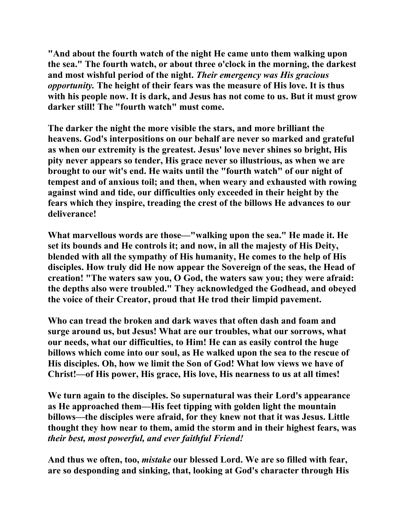**"And about the fourth watch of the night He came unto them walking upon the sea." The fourth watch, or about three o'clock in the morning, the darkest and most wishful period of the night.** *Their emergency was His gracious opportunity.* **The height of their fears was the measure of His love. It is thus with his people now. It is dark, and Jesus has not come to us. But it must grow darker still! The "fourth watch" must come.** 

**The darker the night the more visible the stars, and more brilliant the heavens. God's interpositions on our behalf are never so marked and grateful as when our extremity is the greatest. Jesus' love never shines so bright, His pity never appears so tender, His grace never so illustrious, as when we are brought to our wit's end. He waits until the "fourth watch" of our night of tempest and of anxious toil; and then, when weary and exhausted with rowing against wind and tide, our difficulties only exceeded in their height by the fears which they inspire, treading the crest of the billows He advances to our deliverance!** 

**What marvellous words are those—"walking upon the sea." He made it. He set its bounds and He controls it; and now, in all the majesty of His Deity, blended with all the sympathy of His humanity, He comes to the help of His disciples. How truly did He now appear the Sovereign of the seas, the Head of creation! "The waters saw you, O God, the waters saw you; they were afraid: the depths also were troubled." They acknowledged the Godhead, and obeyed the voice of their Creator, proud that He trod their limpid pavement.** 

**Who can tread the broken and dark waves that often dash and foam and surge around us, but Jesus! What are our troubles, what our sorrows, what our needs, what our difficulties, to Him! He can as easily control the huge billows which come into our soul, as He walked upon the sea to the rescue of His disciples. Oh, how we limit the Son of God! What low views we have of Christ!—of His power, His grace, His love, His nearness to us at all times!** 

**We turn again to the disciples. So supernatural was their Lord's appearance as He approached them—His feet tipping with golden light the mountain billows—the disciples were afraid, for they knew not that it was Jesus. Little thought they how near to them, amid the storm and in their highest fears, was**  *their best, most powerful, and ever faithful Friend!* 

**And thus we often, too,** *mistake* **our blessed Lord. We are so filled with fear, are so desponding and sinking, that, looking at God's character through His**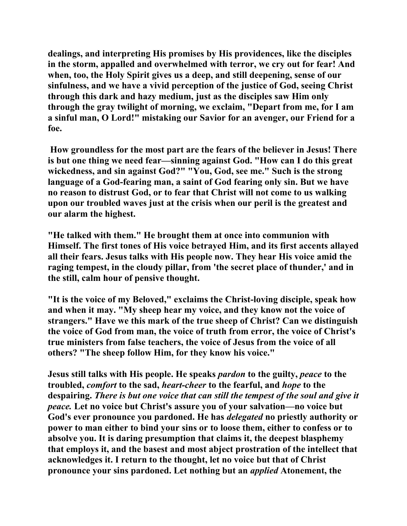**dealings, and interpreting His promises by His providences, like the disciples in the storm, appalled and overwhelmed with terror, we cry out for fear! And when, too, the Holy Spirit gives us a deep, and still deepening, sense of our sinfulness, and we have a vivid perception of the justice of God, seeing Christ through this dark and hazy medium, just as the disciples saw Him only through the gray twilight of morning, we exclaim, "Depart from me, for I am a sinful man, O Lord!" mistaking our Savior for an avenger, our Friend for a foe.** 

 **How groundless for the most part are the fears of the believer in Jesus! There is but one thing we need fear—sinning against God. "How can I do this great wickedness, and sin against God?" "You, God, see me." Such is the strong language of a God-fearing man, a saint of God fearing only sin. But we have no reason to distrust God, or to fear that Christ will not come to us walking upon our troubled waves just at the crisis when our peril is the greatest and our alarm the highest.** 

**"He talked with them." He brought them at once into communion with Himself. The first tones of His voice betrayed Him, and its first accents allayed all their fears. Jesus talks with His people now. They hear His voice amid the raging tempest, in the cloudy pillar, from 'the secret place of thunder,' and in the still, calm hour of pensive thought.** 

**"It is the voice of my Beloved," exclaims the Christ-loving disciple, speak how and when it may. "My sheep hear my voice, and they know not the voice of strangers." Have we this mark of the true sheep of Christ? Can we distinguish the voice of God from man, the voice of truth from error, the voice of Christ's true ministers from false teachers, the voice of Jesus from the voice of all others? "The sheep follow Him, for they know his voice."** 

**Jesus still talks with His people. He speaks** *pardon* **to the guilty,** *peace* **to the troubled,** *comfort* **to the sad,** *heart-cheer* **to the fearful, and** *hope* **to the despairing.** *There is but one voice that can still the tempest of the soul and give it peace.* **Let no voice but Christ's assure you of your salvation—no voice but God's ever pronounce you pardoned. He has** *delegated* **no priestly authority or power to man either to bind your sins or to loose them, either to confess or to absolve you. It is daring presumption that claims it, the deepest blasphemy that employs it, and the basest and most abject prostration of the intellect that acknowledges it. I return to the thought, let no voice but that of Christ pronounce your sins pardoned. Let nothing but an** *applied* **Atonement, the**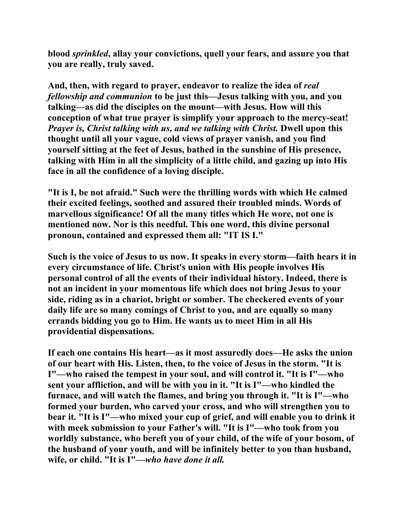**blood** *sprinkled***, allay your convictions, quell your fears, and assure you that you are really, truly saved.** 

**And, then, with regard to prayer, endeavor to realize the idea of** *real fellowship and communion* **to be just this—Jesus talking with you, and you talking—as did the disciples on the mount—with Jesus. How will this conception of what true prayer is simplify your approach to the mercy-seat!**  *Prayer is, Christ talking with us, and we talking with Christ. Dwell upon this* **thought until all your vague, cold views of prayer vanish, and you find yourself sitting at the feet of Jesus, bathed in the sunshine of His presence, talking with Him in all the simplicity of a little child, and gazing up into His face in all the confidence of a loving disciple.** 

**"It is I, be not afraid." Such were the thrilling words with which He calmed their excited feelings, soothed and assured their troubled minds. Words of marvellous significance! Of all the many titles which He wore, not one is mentioned now. Nor is this needful. This one word, this divine personal pronoun, contained and expressed them all: "IT IS I."** 

**Such is the voice of Jesus to us now. It speaks in every storm—faith hears it in every circumstance of life. Christ's union with His people involves His personal control of all the events of their individual history. Indeed, there is not an incident in your momentous life which does not bring Jesus to your side, riding as in a chariot, bright or somber. The checkered events of your daily life are so many comings of Christ to you, and are equally so many errands bidding you go to Him. He wants us to meet Him in all His providential dispensations.** 

**If each one contains His heart—as it most assuredly does—He asks the union of our heart with His. Listen, then, to the voice of Jesus in the storm. "It is I"—who raised the tempest in your soul, and will control it. "It is I"—who sent your affliction, and will be with you in it. "It is I"—who kindled the furnace, and will watch the flames, and bring you through it. "It is I"—who formed your burden, who carved your cross, and who will strengthen you to bear it. "It is I"—who mixed your cup of grief, and will enable you to drink it with meek submission to your Father's will. "It is I"—who took from you worldly substance, who bereft you of your child, of the wife of your bosom, of the husband of your youth, and will be infinitely better to you than husband, wife, or child. "It is I"—***who have done it all.*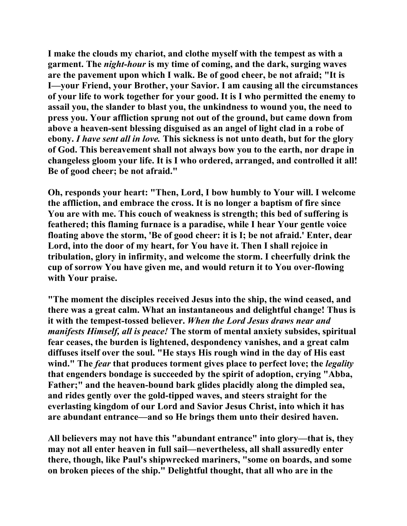**I make the clouds my chariot, and clothe myself with the tempest as with a garment. The** *night-hour* **is my time of coming, and the dark, surging waves are the pavement upon which I walk. Be of good cheer, be not afraid; "It is I—your Friend, your Brother, your Savior. I am causing all the circumstances of your life to work together for your good. It is I who permitted the enemy to assail you, the slander to blast you, the unkindness to wound you, the need to press you. Your affliction sprung not out of the ground, but came down from above a heaven-sent blessing disguised as an angel of light clad in a robe of ebony.** *I have sent all in love.* **This sickness is not unto death, but for the glory of God. This bereavement shall not always bow you to the earth, nor drape in changeless gloom your life. It is I who ordered, arranged, and controlled it all! Be of good cheer; be not afraid."** 

**Oh, responds your heart: "Then, Lord, I bow humbly to Your will. I welcome the affliction, and embrace the cross. It is no longer a baptism of fire since You are with me. This couch of weakness is strength; this bed of suffering is feathered; this flaming furnace is a paradise, while I hear Your gentle voice floating above the storm, 'Be of good cheer: it is I; be not afraid.' Enter, dear Lord, into the door of my heart, for You have it. Then I shall rejoice in tribulation, glory in infirmity, and welcome the storm. I cheerfully drink the cup of sorrow You have given me, and would return it to You over-flowing with Your praise.** 

**"The moment the disciples received Jesus into the ship, the wind ceased, and there was a great calm. What an instantaneous and delightful change! Thus is it with the tempest-tossed believer.** *When the Lord Jesus draws near and manifests Himself, all is peace!* **The storm of mental anxiety subsides, spiritual fear ceases, the burden is lightened, despondency vanishes, and a great calm diffuses itself over the soul. "He stays His rough wind in the day of His east wind." The** *fear* **that produces torment gives place to perfect love; the** *legality* **that engenders bondage is succeeded by the spirit of adoption, crying "Abba, Father;" and the heaven-bound bark glides placidly along the dimpled sea, and rides gently over the gold-tipped waves, and steers straight for the everlasting kingdom of our Lord and Savior Jesus Christ, into which it has are abundant entrance—and so He brings them unto their desired haven.** 

**All believers may not have this "abundant entrance" into glory—that is, they may not all enter heaven in full sail—nevertheless, all shall assuredly enter there, though, like Paul's shipwrecked mariners, "some on boards, and some on broken pieces of the ship." Delightful thought, that all who are in the**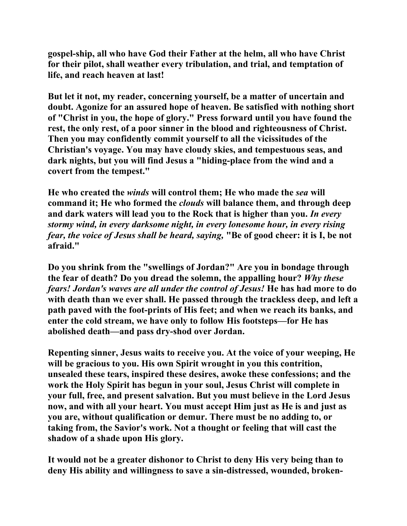**gospel-ship, all who have God their Father at the helm, all who have Christ for their pilot, shall weather every tribulation, and trial, and temptation of life, and reach heaven at last!** 

**But let it not, my reader, concerning yourself, be a matter of uncertain and doubt. Agonize for an assured hope of heaven. Be satisfied with nothing short of "Christ in you, the hope of glory." Press forward until you have found the rest, the only rest, of a poor sinner in the blood and righteousness of Christ. Then you may confidently commit yourself to all the vicissitudes of the Christian's voyage. You may have cloudy skies, and tempestuous seas, and dark nights, but you will find Jesus a "hiding-place from the wind and a covert from the tempest."** 

**He who created the** *winds* **will control them; He who made the** *sea* **will command it; He who formed the** *clouds* **will balance them, and through deep and dark waters will lead you to the Rock that is higher than you.** *In every stormy wind, in every darksome night, in every lonesome hour, in every rising fear, the voice of Jesus shall be heard, saying,* **"Be of good cheer: it is I, be not afraid."** 

**Do you shrink from the "swellings of Jordan?" Are you in bondage through the fear of death? Do you dread the solemn, the appalling hour?** *Why these fears! Jordan's waves are all under the control of Jesus!* **He has had more to do with death than we ever shall. He passed through the trackless deep, and left a path paved with the foot-prints of His feet; and when we reach its banks, and enter the cold stream, we have only to follow His footsteps—for He has abolished death—and pass dry-shod over Jordan.** 

**Repenting sinner, Jesus waits to receive you. At the voice of your weeping, He will be gracious to you. His own Spirit wrought in you this contrition, unsealed these tears, inspired these desires, awoke these confessions; and the work the Holy Spirit has begun in your soul, Jesus Christ will complete in your full, free, and present salvation. But you must believe in the Lord Jesus now, and with all your heart. You must accept Him just as He is and just as you are, without qualification or demur. There must be no adding to, or taking from, the Savior's work. Not a thought or feeling that will cast the shadow of a shade upon His glory.** 

**It would not be a greater dishonor to Christ to deny His very being than to deny His ability and willingness to save a sin-distressed, wounded, broken-**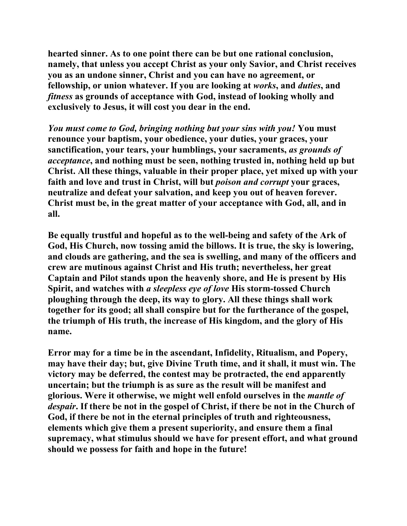**hearted sinner. As to one point there can be but one rational conclusion, namely, that unless you accept Christ as your only Savior, and Christ receives you as an undone sinner, Christ and you can have no agreement, or fellowship, or union whatever. If you are looking at** *works***, and** *duties***, and**  *fitness* **as grounds of acceptance with God, instead of looking wholly and exclusively to Jesus, it will cost you dear in the end.** 

*You must come to God, bringing nothing but your sins with you!* **You must renounce your baptism, your obedience, your duties, your graces, your sanctification, your tears, your humblings, your sacraments,** *as grounds of acceptance***, and nothing must be seen, nothing trusted in, nothing held up but Christ. All these things, valuable in their proper place, yet mixed up with your faith and love and trust in Christ, will but** *poison and corrupt* **your graces, neutralize and defeat your salvation, and keep you out of heaven forever. Christ must be, in the great matter of your acceptance with God, all, and in all.** 

**Be equally trustful and hopeful as to the well-being and safety of the Ark of God, His Church, now tossing amid the billows. It is true, the sky is lowering, and clouds are gathering, and the sea is swelling, and many of the officers and crew are mutinous against Christ and His truth; nevertheless, her great Captain and Pilot stands upon the heavenly shore, and He is present by His Spirit, and watches with** *a sleepless eye of love* **His storm-tossed Church ploughing through the deep, its way to glory. All these things shall work together for its good; all shall conspire but for the furtherance of the gospel, the triumph of His truth, the increase of His kingdom, and the glory of His name.** 

**Error may for a time be in the ascendant, Infidelity, Ritualism, and Popery, may have their day; but, give Divine Truth time, and it shall, it must win. The victory may be deferred, the contest may be protracted, the end apparently uncertain; but the triumph is as sure as the result will be manifest and glorious. Were it otherwise, we might well enfold ourselves in the** *mantle of despair***. If there be not in the gospel of Christ, if there be not in the Church of God, if there be not in the eternal principles of truth and righteousness, elements which give them a present superiority, and ensure them a final supremacy, what stimulus should we have for present effort, and what ground should we possess for faith and hope in the future!**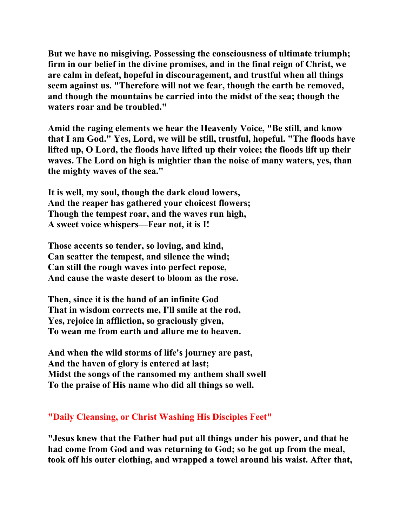**But we have no misgiving. Possessing the consciousness of ultimate triumph; firm in our belief in the divine promises, and in the final reign of Christ, we are calm in defeat, hopeful in discouragement, and trustful when all things seem against us. "Therefore will not we fear, though the earth be removed, and though the mountains be carried into the midst of the sea; though the waters roar and be troubled."** 

**Amid the raging elements we hear the Heavenly Voice, "Be still, and know that I am God." Yes, Lord, we will be still, trustful, hopeful. "The floods have lifted up, O Lord, the floods have lifted up their voice; the floods lift up their waves. The Lord on high is mightier than the noise of many waters, yes, than the mighty waves of the sea."** 

**It is well, my soul, though the dark cloud lowers, And the reaper has gathered your choicest flowers; Though the tempest roar, and the waves run high, A sweet voice whispers—Fear not, it is I!** 

**Those accents so tender, so loving, and kind, Can scatter the tempest, and silence the wind; Can still the rough waves into perfect repose, And cause the waste desert to bloom as the rose.** 

**Then, since it is the hand of an infinite God That in wisdom corrects me, I'll smile at the rod, Yes, rejoice in affliction, so graciously given, To wean me from earth and allure me to heaven.** 

**And when the wild storms of life's journey are past, And the haven of glory is entered at last; Midst the songs of the ransomed my anthem shall swell To the praise of His name who did all things so well.** 

## **"Daily Cleansing, or Christ Washing His Disciples Feet"**

**"Jesus knew that the Father had put all things under his power, and that he had come from God and was returning to God; so he got up from the meal, took off his outer clothing, and wrapped a towel around his waist. After that,**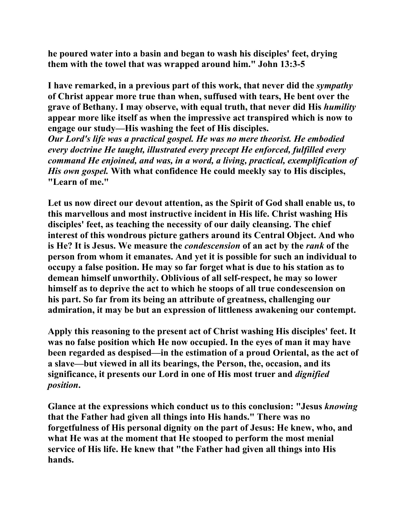**he poured water into a basin and began to wash his disciples' feet, drying them with the towel that was wrapped around him." John 13:3-5** 

**I have remarked, in a previous part of this work, that never did the** *sympathy* **of Christ appear more true than when, suffused with tears, He bent over the grave of Bethany. I may observe, with equal truth, that never did His** *humility* **appear more like itself as when the impressive act transpired which is now to engage our study—His washing the feet of His disciples.**  *Our Lord's life was a practical gospel. He was no mere theorist. He embodied every doctrine He taught, illustrated every precept He enforced, fulfilled every command He enjoined, and was, in a word, a living, practical, exemplification of His own gospel.* **With what confidence He could meekly say to His disciples, "Learn of me."** 

**Let us now direct our devout attention, as the Spirit of God shall enable us, to this marvellous and most instructive incident in His life. Christ washing His disciples' feet, as teaching the necessity of our daily cleansing. The chief interest of this wondrous picture gathers around its Central Object. And who is He? It is Jesus. We measure the** *condescension* **of an act by the** *rank* **of the person from whom it emanates. And yet it is possible for such an individual to occupy a false position. He may so far forget what is due to his station as to demean himself unworthily. Oblivious of all self-respect, he may so lower himself as to deprive the act to which he stoops of all true condescension on his part. So far from its being an attribute of greatness, challenging our admiration, it may be but an expression of littleness awakening our contempt.** 

**Apply this reasoning to the present act of Christ washing His disciples' feet. It was no false position which He now occupied. In the eyes of man it may have been regarded as despised—in the estimation of a proud Oriental, as the act of a slave—but viewed in all its bearings, the Person, the, occasion, and its significance, it presents our Lord in one of His most truer and** *dignified position***.** 

**Glance at the expressions which conduct us to this conclusion: "Jesus** *knowing* **that the Father had given all things into His hands." There was no forgetfulness of His personal dignity on the part of Jesus: He knew, who, and what He was at the moment that He stooped to perform the most menial service of His life. He knew that "the Father had given all things into His hands.**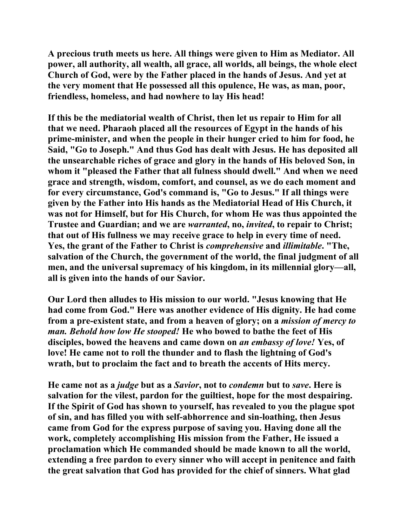**A precious truth meets us here. All things were given to Him as Mediator. All power, all authority, all wealth, all grace, all worlds, all beings, the whole elect Church of God, were by the Father placed in the hands of Jesus. And yet at the very moment that He possessed all this opulence, He was, as man, poor, friendless, homeless, and had nowhere to lay His head!** 

**If this be the mediatorial wealth of Christ, then let us repair to Him for all that we need. Pharaoh placed all the resources of Egypt in the hands of his prime-minister, and when the people in their hunger cried to him for food, he Said, "Go to Joseph." And thus God has dealt with Jesus. He has deposited all the unsearchable riches of grace and glory in the hands of His beloved Son, in whom it "pleased the Father that all fulness should dwell." And when we need grace and strength, wisdom, comfort, and counsel, as we do each moment and for every circumstance, God's command is, "Go to Jesus." If all things were given by the Father into His hands as the Mediatorial Head of His Church, it was not for Himself, but for His Church, for whom He was thus appointed the Trustee and Guardian; and we are** *warranted***, no,** *invited***, to repair to Christ; that out of His fullness we may receive grace to help in every time of need. Yes, the grant of the Father to Christ is** *comprehensive* **and** *illimitable***. "The, salvation of the Church, the government of the world, the final judgment of all men, and the universal supremacy of his kingdom, in its millennial glory—all, all is given into the hands of our Savior.** 

**Our Lord then alludes to His mission to our world. "Jesus knowing that He had come from God." Here was another evidence of His dignity. He had come from a pre-existent state, and from a heaven of glory; on a** *mission of mercy to man. Behold how low He stooped!* **He who bowed to bathe the feet of His disciples, bowed the heavens and came down on** *an embassy of love!* **Yes, of love! He came not to roll the thunder and to flash the lightning of God's wrath, but to proclaim the fact and to breath the accents of Hits mercy.** 

**He came not as a** *judge* **but as a** *Savior***, not to** *condemn* **but to** *save***. Here is salvation for the vilest, pardon for the guiltiest, hope for the most despairing. If the Spirit of God has shown to yourself, has revealed to you the plague spot of sin, and has filled you with self-abhorrence and sin-loathing, then Jesus came from God for the express purpose of saving you. Having done all the work, completely accomplishing His mission from the Father, He issued a proclamation which He commanded should be made known to all the world, extending a free pardon to every sinner who will accept in penitence and faith the great salvation that God has provided for the chief of sinners. What glad**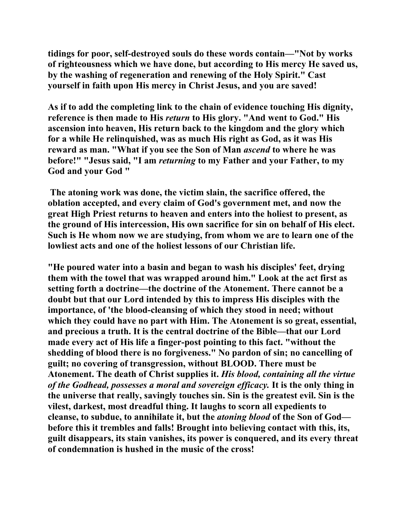**tidings for poor, self-destroyed souls do these words contain—"Not by works of righteousness which we have done, but according to His mercy He saved us, by the washing of regeneration and renewing of the Holy Spirit." Cast yourself in faith upon His mercy in Christ Jesus, and you are saved!** 

**As if to add the completing link to the chain of evidence touching His dignity, reference is then made to His** *return* **to His glory. "And went to God." His ascension into heaven, His return back to the kingdom and the glory which for a while He relinquished, was as much His right as God, as it was His reward as man. "What if you see the Son of Man** *ascend* **to where he was before!" "Jesus said, "I am** *returning* **to my Father and your Father, to my God and your God "** 

 **The atoning work was done, the victim slain, the sacrifice offered, the oblation accepted, and every claim of God's government met, and now the great High Priest returns to heaven and enters into the holiest to present, as the ground of His intercession, His own sacrifice for sin on behalf of His elect. Such is He whom now we are studying, from whom we are to learn one of the lowliest acts and one of the holiest lessons of our Christian life.** 

**"He poured water into a basin and began to wash his disciples' feet, drying them with the towel that was wrapped around him." Look at the act first as setting forth a doctrine—the doctrine of the Atonement. There cannot be a doubt but that our Lord intended by this to impress His disciples with the importance, of 'the blood-cleansing of which they stood in need; without which they could have no part with Him. The Atonement is so great, essential, and precious a truth. It is the central doctrine of the Bible—that our Lord made every act of His life a finger-post pointing to this fact. "without the shedding of blood there is no forgiveness." No pardon of sin; no cancelling of guilt; no covering of transgression, without BLOOD. There must be Atonement. The death of Christ supplies it.** *His blood, containing all the virtue of the Godhead, possesses a moral and sovereign efficacy.* **It is the only thing in the universe that really, savingly touches sin. Sin is the greatest evil. Sin is the vilest, darkest, most dreadful thing. It laughs to scorn all expedients to cleanse, to subdue, to annihilate it, but the** *atoning blood* **of the Son of God before this it trembles and falls! Brought into believing contact with this, its, guilt disappears, its stain vanishes, its power is conquered, and its every threat of condemnation is hushed in the music of the cross!**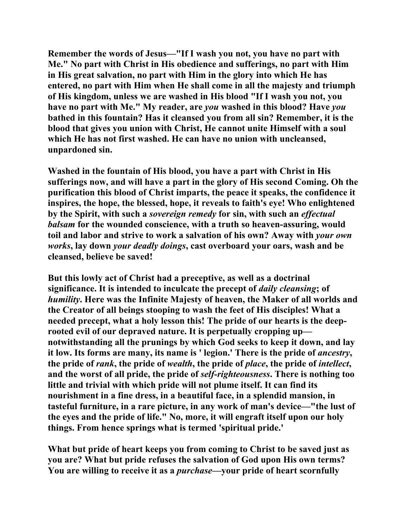**Remember the words of Jesus—"If I wash you not, you have no part with Me." No part with Christ in His obedience and sufferings, no part with Him in His great salvation, no part with Him in the glory into which He has entered, no part with Him when He shall come in all the majesty and triumph of His kingdom, unless we are washed in His blood "If I wash you not, you have no part with Me." My reader, are** *you* **washed in this blood? Have** *you* **bathed in this fountain? Has it cleansed you from all sin? Remember, it is the blood that gives you union with Christ, He cannot unite Himself with a soul which He has not first washed. He can have no union with uncleansed, unpardoned sin.** 

**Washed in the fountain of His blood, you have a part with Christ in His sufferings now, and will have a part in the glory of His second Coming. Oh the purification this blood of Christ imparts, the peace it speaks, the confidence it inspires, the hope, the blessed, hope, it reveals to faith's eye! Who enlightened by the Spirit, with such a** *sovereign remedy* **for sin, with such an** *effectual balsam* **for the wounded conscience, with a truth so heaven-assuring, would toil and labor and strive to work a salvation of his own? Away with** *your own works***, lay down** *your deadly doings***, cast overboard your oars, wash and be cleansed, believe be saved!** 

**But this lowly act of Christ had a preceptive, as well as a doctrinal significance. It is intended to inculcate the precept of** *daily cleansing***; of**  *humility***. Here was the Infinite Majesty of heaven, the Maker of all worlds and the Creator of all beings stooping to wash the feet of His disciples! What a needed precept, what a holy lesson this! The pride of our hearts is the deeprooted evil of our depraved nature. It is perpetually cropping up notwithstanding all the prunings by which God seeks to keep it down, and lay it low. Its forms are many, its name is ' legion.' There is the pride of** *ancestry***, the pride of** *rank***, the pride of** *wealth***, the pride of** *place***, the pride of** *intellect***, and the worst of all pride, the pride of** *self-righteousness***. There is nothing too little and trivial with which pride will not plume itself. It can find its nourishment in a fine dress, in a beautiful face, in a splendid mansion, in tasteful furniture, in a rare picture, in any work of man's device—"the lust of the eyes and the pride of life." No, more, it will engraft itself upon our holy things. From hence springs what is termed 'spiritual pride.'** 

**What but pride of heart keeps you from coming to Christ to be saved just as you are? What but pride refuses the salvation of God upon His own terms? You are willing to receive it as a** *purchase***—your pride of heart scornfully**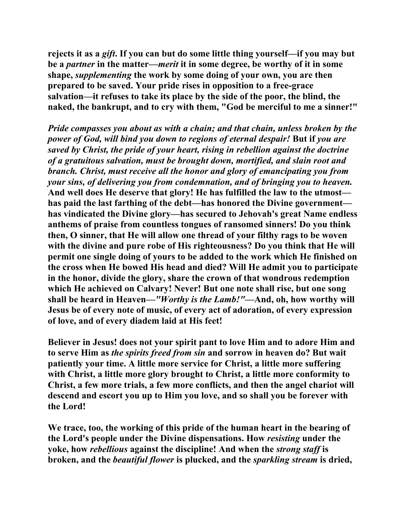**rejects it as a** *gift***. If you can but do some little thing yourself—if you may but be a** *partner* **in the matter—***merit* **it in some degree, be worthy of it in some shape,** *supplementing* **the work by some doing of your own, you are then prepared to be saved. Your pride rises in opposition to a free-grace salvation—it refuses to take its place by the side of the poor, the blind, the naked, the bankrupt, and to cry with them, "God be merciful to me a sinner!"** 

*Pride compasses you about as with a chain; and that chain, unless broken by the power of God, will bind you down to regions of eternal despair!* **But if** *you are saved by Christ, the pride of your heart, rising in rebellion against the doctrine of a gratuitous salvation, must be brought down, mortified, and slain root and branch. Christ, must receive all the honor and glory of emancipating you from your sins, of delivering you from condemnation, and of bringing you to heaven.* **And well does He deserve that glory! He has fulfilled the law to the utmost has paid the last farthing of the debt—has honored the Divine government has vindicated the Divine glory—has secured to Jehovah's great Name endless anthems of praise from countless tongues of ransomed sinners! Do you think then, O sinner, that He will allow one thread of your filthy rags to be woven with the divine and pure robe of His righteousness? Do you think that He will permit one single doing of yours to be added to the work which He finished on the cross when He bowed His head and died? Will He admit you to participate in the honor, divide the glory, share the crown of that wondrous redemption which He achieved on Calvary! Never! But one note shall rise, but one song shall be heard in Heaven***—"Worthy is the Lamb!"***—And, oh, how worthy will Jesus be of every note of music, of every act of adoration, of every expression of love, and of every diadem laid at His feet!** 

**Believer in Jesus! does not your spirit pant to love Him and to adore Him and to serve Him as** *the spirits freed from sin* **and sorrow in heaven do? But wait patiently your time. A little more service for Christ, a little more suffering with Christ, a little more glory brought to Christ, a little more conformity to Christ, a few more trials, a few more conflicts, and then the angel chariot will descend and escort you up to Him you love, and so shall you be forever with the Lord!** 

**We trace, too, the working of this pride of the human heart in the bearing of the Lord's people under the Divine dispensations. How** *resisting* **under the yoke, how** *rebellious* **against the discipline! And when the** *strong staff* **is broken, and the** *beautiful flower* **is plucked, and the** *sparkling stream* **is dried,**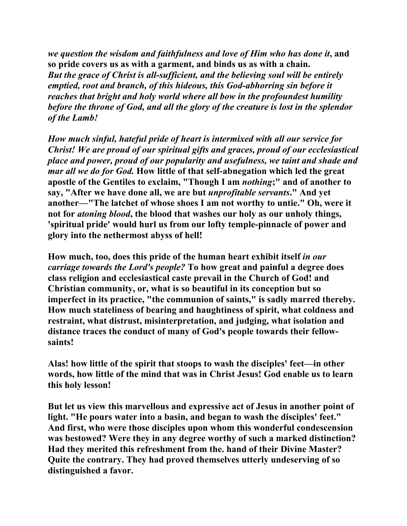*we question the wisdom and faithfulness and love of Him who has done it***, and so pride covers us as with a garment, and binds us as with a chain.**  *But the grace of Christ is all-sufficient, and the believing soul will be entirely emptied, root and branch, of this hideous, this God-abhorring sin before it reaches that bright and holy world where all bow in the profoundest humility before the throne of God, and all the glory of the creature is lost in the splendor of the Lamb!* 

*How much sinful, hateful pride of heart is intermixed with all our service for Christ! We are proud of our spiritual gifts and graces, proud of our ecclesiastical place and power, proud of our popularity and usefulness, we taint and shade and mar all we do for God.* **How little of that self-abnegation which led the great apostle of the Gentiles to exclaim, "Though I am** *nothing***;" and of another to say, "After we have done all, we are but** *unprofitable servants***." And yet another—"The latchet of whose shoes I am not worthy to untie." Oh, were it not for** *atoning blood***, the blood that washes our holy as our unholy things, 'spiritual pride' would hurl us from our lofty temple-pinnacle of power and glory into the nethermost abyss of hell!** 

**How much, too, does this pride of the human heart exhibit itself** *in our carriage towards the Lord's people?* **To how great and painful a degree does class religion and ecclesiastical caste prevail in the Church of God! and Christian community, or, what is so beautiful in its conception but so imperfect in its practice, "the communion of saints," is sadly marred thereby. How much stateliness of bearing and haughtiness of spirit, what coldness and restraint, what distrust, misinterpretation, and judging, what isolation and distance traces the conduct of many of God's people towards their fellowsaints!** 

**Alas! how little of the spirit that stoops to wash the disciples' feet—in other words, how little of the mind that was in Christ Jesus! God enable us to learn this holy lesson!** 

**But let us view this marvellous and expressive act of Jesus in another point of light. "He pours water into a basin, and began to wash the disciples' feet." And first, who were those disciples upon whom this wonderful condescension was bestowed? Were they in any degree worthy of such a marked distinction? Had they merited this refreshment from the. hand of their Divine Master? Quite the contrary. They had proved themselves utterly undeserving of so distinguished a favor.**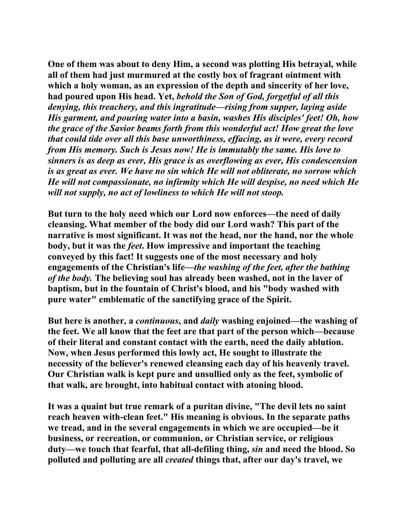**One of them was about to deny Him, a second was plotting His betrayal, while all of them had just murmured at the costly box of fragrant ointment with which a holy woman, as an expression of the depth and sincerity of her love, had poured upon His head. Yet,** *behold the Son of God, forgetful of all this denying, this treachery, and this ingratitude—rising from supper, laying aside His garment, and pouring water into a basin, washes His disciples' feet! Oh, how the grace of the Savior beams forth from this wonderful act! How great the love that could tide over all this base unworthiness, effacing, as it were, every record from His memory. Such is Jesus now! He is immutably the same. His love to sinners is as deep as ever, His grace is as overflowing as ever, His condescension is as great as ever. We have no sin which He will not obliterate, no sorrow which He will not compassionate, no infirmity which He will despise, no need which He will not supply, no act of lowliness to which He will not stoop.*

**But turn to the holy need which our Lord now enforces—the need of daily cleansing. What member of the body did our Lord wash? This part of the narrative is most significant. It was not the head, nor the hand, nor the whole body, but it was the** *feet***. How impressive and important the teaching conveyed by this fact! It suggests one of the most necessary and holy engagements of the Christian's life—***the washing of the feet, after the bathing of the body.* **The believing soul has already been washed, not in the laver of baptism, but in the fountain of Christ's blood, and his "body washed with pure water" emblematic of the sanctifying grace of the Spirit.** 

**But here is another, a** *continuous***, and** *daily* **washing enjoined—the washing of the feet. We all know that the feet are that part of the person which—because of their literal and constant contact with the earth, need the daily ablution. Now, when Jesus performed this lowly act, He sought to illustrate the necessity of the believer's renewed cleansing each day of his heavenly travel. Our Christian walk is kept pure and unsullied only as the feet, symbolic of that walk, are brought, into habitual contact with atoning blood.** 

**It was a quaint but true remark of a puritan divine, "The devil lets no saint reach heaven with-clean feet." His meaning is obvious. In the separate paths we tread, and in the several engagements in which we are occupied—be it business, or recreation, or communion, or Christian service, or religious duty—we touch that fearful, that all-defiling thing,** *sin* **and need the blood. So polluted and polluting are all** *created* **things that, after our day's travel, we**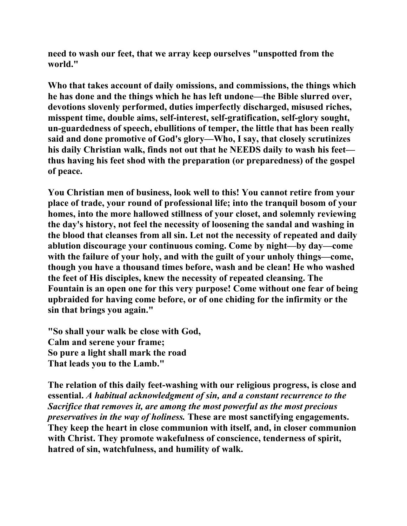**need to wash our feet, that we array keep ourselves "unspotted from the world."** 

**Who that takes account of daily omissions, and commissions, the things which he has done and the things which he has left undone—the Bible slurred over, devotions slovenly performed, duties imperfectly discharged, misused riches, misspent time, double aims, self-interest, self-gratification, self-glory sought, un-guardedness of speech, ebullitions of temper, the little that has been really said and done promotive of God's glory—Who, I say, that closely scrutinizes his daily Christian walk, finds not out that he NEEDS daily to wash his feet thus having his feet shod with the preparation (or preparedness) of the gospel of peace.** 

**You Christian men of business, look well to this! You cannot retire from your place of trade, your round of professional life; into the tranquil bosom of your homes, into the more hallowed stillness of your closet, and solemnly reviewing the day's history, not feel the necessity of loosening the sandal and washing in the blood that cleanses from all sin. Let not the necessity of repeated and daily ablution discourage your continuous coming. Come by night—by day—come with the failure of your holy, and with the guilt of your unholy things—come, though you have a thousand times before, wash and be clean! He who washed the feet of His disciples, knew the necessity of repeated cleansing. The Fountain is an open one for this very purpose! Come without one fear of being upbraided for having come before, or of one chiding for the infirmity or the sin that brings you again."** 

**"So shall your walk be close with God, Calm and serene your frame; So pure a light shall mark the road That leads you to the Lamb."** 

**The relation of this daily feet-washing with our religious progress, is close and essential.** *A habitual acknowledgment of sin, and a constant recurrence to the Sacrifice that removes it, are among the most powerful as the most precious preservatives in the way of holiness.* **These are most sanctifying engagements. They keep the heart in close communion with itself, and, in closer communion with Christ. They promote wakefulness of conscience, tenderness of spirit, hatred of sin, watchfulness, and humility of walk.**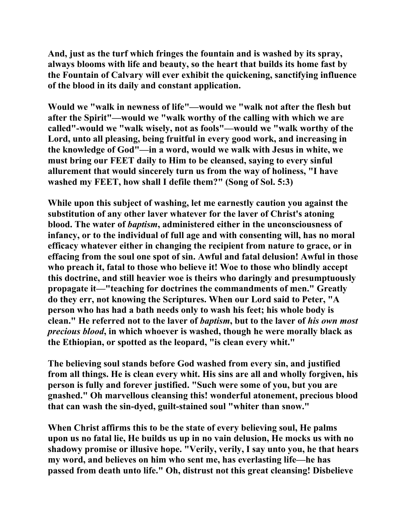**And, just as the turf which fringes the fountain and is washed by its spray, always blooms with life and beauty, so the heart that builds its home fast by the Fountain of Calvary will ever exhibit the quickening, sanctifying influence of the blood in its daily and constant application.** 

**Would we "walk in newness of life"—would we "walk not after the flesh but after the Spirit"—would we "walk worthy of the calling with which we are called"-would we "walk wisely, not as fools"—would we "walk worthy of the Lord, unto all pleasing, being fruitful in every good work, and increasing in the knowledge of God"—in a word, would we walk with Jesus in white, we must bring our FEET daily to Him to be cleansed, saying to every sinful allurement that would sincerely turn us from the way of holiness, "I have washed my FEET, how shall I defile them?" (Song of Sol. 5:3)** 

**While upon this subject of washing, let me earnestly caution you against the substitution of any other laver whatever for the laver of Christ's atoning blood. The water of** *baptism***, administered either in the unconsciousness of infancy, or to the individual of full age and with consenting will, has no moral efficacy whatever either in changing the recipient from nature to grace, or in effacing from the soul one spot of sin. Awful and fatal delusion! Awful in those who preach it, fatal to those who believe it! Woe to those who blindly accept this doctrine, and still heavier woe is theirs who daringly and presumptuously propagate it—"teaching for doctrines the commandments of men." Greatly do they err, not knowing the Scriptures. When our Lord said to Peter, "A person who has had a bath needs only to wash his feet; his whole body is clean." He referred not to the laver of** *baptism***, but to the laver of** *his own most precious blood***, in which whoever is washed, though he were morally black as the Ethiopian, or spotted as the leopard, "is clean every whit."** 

**The believing soul stands before God washed from every sin, and justified from all things. He is clean every whit. His sins are all and wholly forgiven, his person is fully and forever justified. "Such were some of you, but you are gnashed." Oh marvellous cleansing this! wonderful atonement, precious blood that can wash the sin-dyed, guilt-stained soul "whiter than snow."** 

**When Christ affirms this to be the state of every believing soul, He palms upon us no fatal lie, He builds us up in no vain delusion, He mocks us with no shadowy promise or illusive hope. "Verily, verily, I say unto you, he that hears my word, and believes on him who sent me, has everlasting life—he has passed from death unto life." Oh, distrust not this great cleansing! Disbelieve**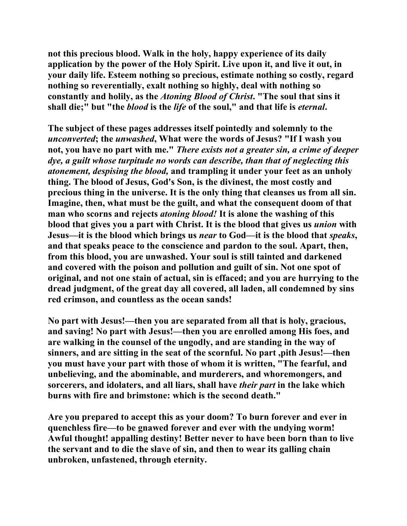**not this precious blood. Walk in the holy, happy experience of its daily application by the power of the Holy Spirit. Live upon it, and live it out, in your daily life. Esteem nothing so precious, estimate nothing so costly, regard nothing so reverentially, exalt nothing so highly, deal with nothing so constantly and holily, as the** *Atoning Blood of Christ***. "The soul that sins it shall die;" but "the** *blood* **is the** *life* **of the soul," and that life is** *eternal***.** 

**The subject of these pages addresses itself pointedly and solemnly to the**  *unconverted***; the** *unwashed***, What were the words of Jesus? "If I wash you not, you have no part with me."** *There exists not a greater sin, a crime of deeper dye, a guilt whose turpitude no words can describe, than that of neglecting this atonement, despising the blood,* **and trampling it under your feet as an unholy thing. The blood of Jesus, God's Son, is the divinest, the most costly and precious thing in the universe. It is the only thing that cleanses us from all sin. Imagine, then, what must be the guilt, and what the consequent doom of that man who scorns and rejects** *atoning blood!* **It is alone the washing of this blood that gives you a part with Christ. It is the blood that gives us** *union* **with Jesus—it is the blood which brings us** *near* **to God—it is the blood that** *speaks***, and that speaks peace to the conscience and pardon to the soul. Apart, then, from this blood, you are unwashed. Your soul is still tainted and darkened and covered with the poison and pollution and guilt of sin. Not one spot of original, and not one stain of actual, sin is effaced; and you are hurrying to the dread judgment, of the great day all covered, all laden, all condemned by sins red crimson, and countless as the ocean sands!** 

**No part with Jesus!—then you are separated from all that is holy, gracious, and saving! No part with Jesus!—then you are enrolled among His foes, and are walking in the counsel of the ungodly, and are standing in the way of sinners, and are sitting in the seat of the scornful. No part ,pith Jesus!—then you must have your part with those of whom it is written, "The fearful, and unbelieving, and the abominable, and murderers, and whoremongers, and sorcerers, and idolaters, and all liars, shall have** *their part* **in the lake which burns with fire and brimstone: which is the second death."** 

**Are you prepared to accept this as your doom? To burn forever and ever in quenchless fire—to be gnawed forever and ever with the undying worm! Awful thought! appalling destiny! Better never to have been born than to live the servant and to die the slave of sin, and then to wear its galling chain unbroken, unfastened, through eternity.**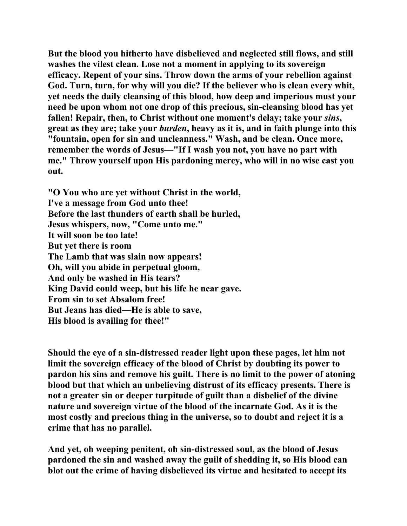**But the blood you hitherto have disbelieved and neglected still flows, and still washes the vilest clean. Lose not a moment in applying to its sovereign efficacy. Repent of your sins. Throw down the arms of your rebellion against God. Turn, turn, for why will you die? If the believer who is clean every whit, yet needs the daily cleansing of this blood, how deep and imperious must your need be upon whom not one drop of this precious, sin-cleansing blood has yet fallen! Repair, then, to Christ without one moment's delay; take your** *sins***, great as they are; take your** *burden***, heavy as it is, and in faith plunge into this "fountain, open for sin and uncleanness." Wash, and be clean. Once more, remember the words of Jesus—"If I wash you not, you have no part with me." Throw yourself upon His pardoning mercy, who will in no wise cast you out.** 

**"O You who are yet without Christ in the world, I've a message from God unto thee! Before the last thunders of earth shall be hurled, Jesus whispers, now, "Come unto me." It will soon be too late! But yet there is room The Lamb that was slain now appears! Oh, will you abide in perpetual gloom, And only be washed in His tears? King David could weep, but his life he near gave. From sin to set Absalom free! But Jeans has died—He is able to save, His blood is availing for thee!"** 

**Should the eye of a sin-distressed reader light upon these pages, let him not limit the sovereign efficacy of the blood of Christ by doubting its power to pardon his sins and remove his guilt. There is no limit to the power of atoning blood but that which an unbelieving distrust of its efficacy presents. There is not a greater sin or deeper turpitude of guilt than a disbelief of the divine nature and sovereign virtue of the blood of the incarnate God. As it is the most costly and precious thing in the universe, so to doubt and reject it is a crime that has no parallel.** 

**And yet, oh weeping penitent, oh sin-distressed soul, as the blood of Jesus pardoned the sin and washed away the guilt of shedding it, so His blood can blot out the crime of having disbelieved its virtue and hesitated to accept its**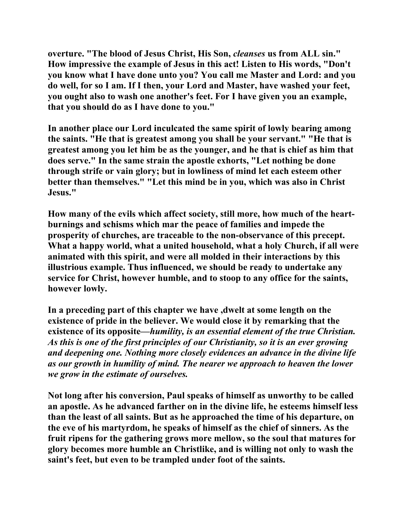**overture. "The blood of Jesus Christ, His Son,** *cleanses* **us from ALL sin." How impressive the example of Jesus in this act! Listen to His words, "Don't you know what I have done unto you? You call me Master and Lord: and you do well, for so I am. If I then, your Lord and Master, have washed your feet, you ought also to wash one another's feet. For I have given you an example, that you should do as I have done to you."** 

**In another place our Lord inculcated the same spirit of lowly bearing among the saints. "He that is greatest among you shall be your servant." "He that is greatest among you let him be as the younger, and he that is chief as him that does serve." In the same strain the apostle exhorts, "Let nothing be done through strife or vain glory; but in lowliness of mind let each esteem other better than themselves." "Let this mind be in you, which was also in Christ Jesus."** 

**How many of the evils which affect society, still more, how much of the heartburnings and schisms which mar the peace of families and impede the prosperity of churches, are traceable to the non-observance of this precept. What a happy world, what a united household, what a holy Church, if all were animated with this spirit, and were all molded in their interactions by this illustrious example. Thus influenced, we should be ready to undertake any service for Christ, however humble, and to stoop to any office for the saints, however lowly.** 

**In a preceding part of this chapter we have ,dwelt at some length on the existence of pride in the believer. We would close it by remarking that the existence of its opposite—***humility, is an essential element of the true Christian. As this is one of the first principles of our Christianity, so it is an ever growing and deepening one. Nothing more closely evidences an advance in the divine life as our growth in humility of mind. The nearer we approach to heaven the lower we grow in the estimate of ourselves.* 

**Not long after his conversion, Paul speaks of himself as unworthy to be called an apostle. As he advanced farther on in the divine life, he esteems himself less than the least of all saints. But as he approached the time of his departure, on the eve of his martyrdom, he speaks of himself as the chief of sinners. As the fruit ripens for the gathering grows more mellow, so the soul that matures for glory becomes more humble an Christlike, and is willing not only to wash the saint's feet, but even to be trampled under foot of the saints.**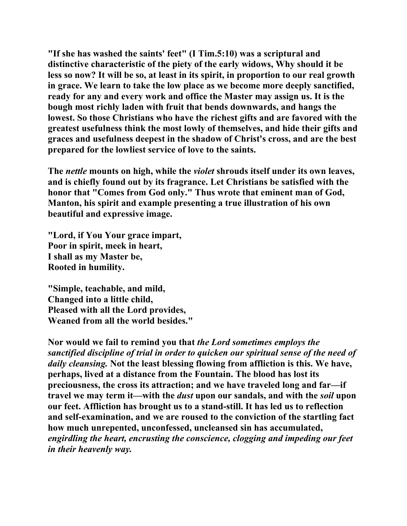**"If she has washed the saints' feet" (I Tim.5:10) was a scriptural and distinctive characteristic of the piety of the early widows, Why should it be less so now? It will be so, at least in its spirit, in proportion to our real growth in grace. We learn to take the low place as we become more deeply sanctified, ready for any and every work and office the Master may assign us. It is the bough most richly laden with fruit that bends downwards, and hangs the lowest. So those Christians who have the richest gifts and are favored with the greatest usefulness think the most lowly of themselves, and hide their gifts and graces and usefulness deepest in the shadow of Christ's cross, and are the best prepared for the lowliest service of love to the saints.** 

**The** *nettle* **mounts on high, while the** *violet* **shrouds itself under its own leaves, and is chiefly found out by its fragrance. Let Christians be satisfied with the honor that "Comes from God only." Thus wrote that eminent man of God, Manton, his spirit and example presenting a true illustration of his own beautiful and expressive image.** 

**"Lord, if You Your grace impart, Poor in spirit, meek in heart, I shall as my Master be, Rooted in humility.** 

**"Simple, teachable, and mild, Changed into a little child, Pleased with all the Lord provides, Weaned from all the world besides."** 

**Nor would we fail to remind you that** *the Lord sometimes employs the sanctified discipline of trial in order to quicken our spiritual sense of the need of daily cleansing.* **Not the least blessing flowing from affliction is this. We have, perhaps, lived at a distance from the Fountain. The blood has lost its preciousness, the cross its attraction; and we have traveled long and far—if travel we may term it—with the** *dust* **upon our sandals, and with the** *soil* **upon our feet. Affliction has brought us to a stand-still. It has led us to reflection and self-examination, and we are roused to the conviction of the startling fact how much unrepented, unconfessed, uncleansed sin has accumulated,**  *engirdling the heart, encrusting the conscience, clogging and impeding our feet in their heavenly way.*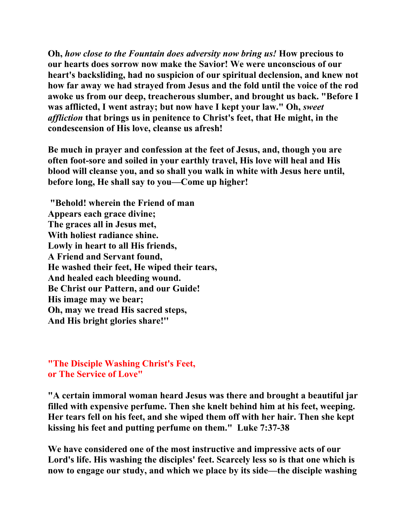**Oh,** *how close to the Fountain does adversity now bring us!* **How precious to our hearts does sorrow now make the Savior! We were unconscious of our heart's backsliding, had no suspicion of our spiritual declension, and knew not how far away we had strayed from Jesus and the fold until the voice of the rod awoke us from our deep, treacherous slumber, and brought us back. "Before I was afflicted, I went astray; but now have I kept your law." Oh,** *sweet affliction* **that brings us in penitence to Christ's feet, that He might, in the condescension of His love, cleanse us afresh!** 

**Be much in prayer and confession at the feet of Jesus, and, though you are often foot-sore and soiled in your earthly travel, His love will heal and His blood will cleanse you, and so shall you walk in white with Jesus here until, before long, He shall say to you—Come up higher!** 

 **"Behold! wherein the Friend of man Appears each grace divine; The graces all in Jesus met, With holiest radiance shine. Lowly in heart to all His friends, A Friend and Servant found, He washed their feet, He wiped their tears, And healed each bleeding wound. Be Christ our Pattern, and our Guide! His image may we bear; Oh, may we tread His sacred steps, And His bright glories share!''** 

**"The Disciple Washing Christ's Feet, or The Service of Love"**

**"A certain immoral woman heard Jesus was there and brought a beautiful jar filled with expensive perfume. Then she knelt behind him at his feet, weeping. Her tears fell on his feet, and she wiped them off with her hair. Then she kept kissing his feet and putting perfume on them." Luke 7:37-38** 

**We have considered one of the most instructive and impressive acts of our Lord's life. His washing the disciples' feet. Scarcely less so is that one which is now to engage our study, and which we place by its side—the disciple washing**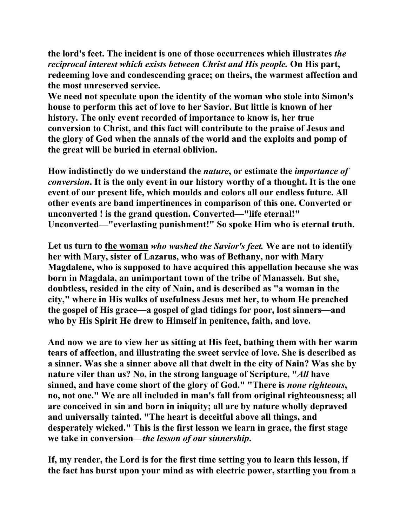**the lord's feet. The incident is one of those occurrences which illustrates** *the reciprocal interest which exists between Christ and His people.* **On His part, redeeming love and condescending grace; on theirs, the warmest affection and the most unreserved service.** 

**We need not speculate upon the identity of the woman who stole into Simon's house to perform this act of love to her Savior. But little is known of her history. The only event recorded of importance to know is, her true conversion to Christ, and this fact will contribute to the praise of Jesus and the glory of God when the annals of the world and the exploits and pomp of the great will be buried in eternal oblivion.** 

**How indistinctly do we understand the** *nature***, or estimate the** *importance of conversion***. It is the only event in our history worthy of a thought. It is the one event of our present life, which moulds and colors all our endless future. All other events are band impertinences in comparison of this one. Converted or unconverted ! is the grand question. Converted—"life eternal!" Unconverted—"everlasting punishment!" So spoke Him who is eternal truth.** 

**Let us turn to the woman** *who washed the Savior's feet.* **We are not to identify her with Mary, sister of Lazarus, who was of Bethany, nor with Mary Magdalene, who is supposed to have acquired this appellation because she was born in Magdala, an unimportant town of the tribe of Manasseh. But she, doubtless, resided in the city of Nain, and is described as "a woman in the city," where in His walks of usefulness Jesus met her, to whom He preached the gospel of His grace—a gospel of glad tidings for poor, lost sinners—and who by His Spirit He drew to Himself in penitence, faith, and love.** 

**And now we are to view her as sitting at His feet, bathing them with her warm tears of affection, and illustrating the sweet service of love. She is described as a sinner. Was she a sinner above all that dwelt in the city of Nain? Was she by nature viler than us? No, in the strong language of Scripture, "***All* **have sinned, and have come short of the glory of God." "There is** *none righteous***, no, not one." We are all included in man's fall from original righteousness; all are conceived in sin and born in iniquity; all are by nature wholly depraved and universally tainted. "The heart is deceitful above all things, and desperately wicked." This is the first lesson we learn in grace, the first stage we take in conversion—***the lesson of our sinnership***.** 

**If, my reader, the Lord is for the first time setting you to learn this lesson, if the fact has burst upon your mind as with electric power, startling you from a**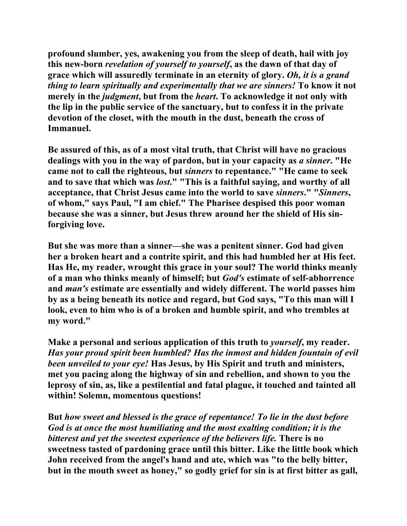**profound slumber, yes, awakening you from the sleep of death, hail with joy this new-born** *revelation of yourself to yourself***, as the dawn of that day of grace which will assuredly terminate in an eternity of glory.** *Oh, it is a grand thing to learn spiritually and experimentally that we are sinners!* **To know it not merely in the** *judgment***, but from the** *heart***. To acknowledge it not only with the lip in the public service of the sanctuary, but to confess it in the private devotion of the closet, with the mouth in the dust, beneath the cross of Immanuel.** 

**Be assured of this, as of a most vital truth, that Christ will have no gracious dealings with you in the way of pardon, but in your capacity as** *a sinner***. "He came not to call the righteous, but** *sinners* **to repentance." "He came to seek and to save that which was** *lost***." "This is a faithful saying, and worthy of all acceptance, that Christ Jesus came into the world to save** *sinners***." "***Sinners***, of whom," says Paul, "I am chief." The Pharisee despised this poor woman because she was a sinner, but Jesus threw around her the shield of His sinforgiving love.** 

**But she was more than a sinner—she was a penitent sinner. God had given her a broken heart and a contrite spirit, and this had humbled her at His feet. Has He, my reader, wrought this grace in your soul? The world thinks meanly of a man who thinks meanly of himself; but** *God's* **estimate of self-abhorrence and** *man's* **estimate are essentially and widely different. The world passes him by as a being beneath its notice and regard, but God says, "To this man will I look, even to him who is of a broken and humble spirit, and who trembles at my word."** 

**Make a personal and serious application of this truth to** *yourself***, my reader.**  *Has your proud spirit been humbled? Has the inmost and hidden fountain of evil been unveiled to your eye!* **Has Jesus, by His Spirit and truth and ministers, met you pacing along the highway of sin and rebellion, and shown to you the leprosy of sin, as, like a pestilential and fatal plague, it touched and tainted all within! Solemn, momentous questions!** 

**But** *how sweet and blessed is the grace of repentance! To lie in the dust before God is at once the most humiliating and the most exalting condition; it is the bitterest and yet the sweetest experience of the believers life.* **There is no sweetness tasted of pardoning grace until this bitter. Like the little book which John received from the angel's hand and ate, which was "to the belly bitter, but in the mouth sweet as honey," so godly grief for sin is at first bitter as gall,**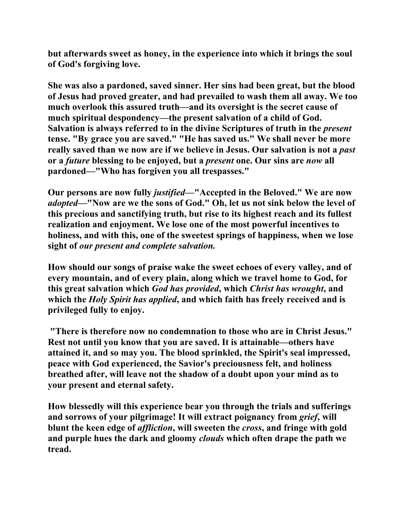**but afterwards sweet as honey, in the experience into which it brings the soul of God's forgiving love.** 

**She was also a pardoned, saved sinner. Her sins had been great, but the blood of Jesus had proved greater, and had prevailed to wash them all away. We too much overlook this assured truth—and its oversight is the secret cause of much spiritual despondency—the present salvation of a child of God. Salvation is always referred to in the divine Scriptures of truth in the** *present* **tense. "By grace you are saved." "He has saved us." We shall never be more really saved than we now are if we believe in Jesus. Our salvation is not a** *past* **or a** *future* **blessing to be enjoyed, but a** *present* **one. Our sins are** *now* **all pardoned—"Who has forgiven you all trespasses."** 

**Our persons are now fully** *justified***—"Accepted in the Beloved." We are now**  *adopted***—"Now are we the sons of God." Oh, let us not sink below the level of this precious and sanctifying truth, but rise to its highest reach and its fullest realization and enjoyment. We lose one of the most powerful incentives to holiness, and with this, one of the sweetest springs of happiness, when we lose sight of** *our present and complete salvation.* 

**How should our songs of praise wake the sweet echoes of every valley, and of every mountain, and of every plain, along which we travel home to God, for this great salvation which** *God has provided***, which** *Christ has wrought***, and which the** *Holy Spirit has applied***, and which faith has freely received and is privileged fully to enjoy.** 

 **"There is therefore now no condemnation to those who are in Christ Jesus." Rest not until you know that you are saved. It is attainable—others have attained it, and so may you. The blood sprinkled, the Spirit's seal impressed, peace with God experienced, the Savior's preciousness felt, and holiness breathed after, will leave not the shadow of a doubt upon your mind as to your present and eternal safety.** 

**How blessedly will this experience bear you through the trials and sufferings and sorrows of your pilgrimage! It will extract poignancy from** *grief***, will blunt the keen edge of** *affliction***, will sweeten the** *cross***, and fringe with gold and purple hues the dark and gloomy** *clouds* **which often drape the path we tread.**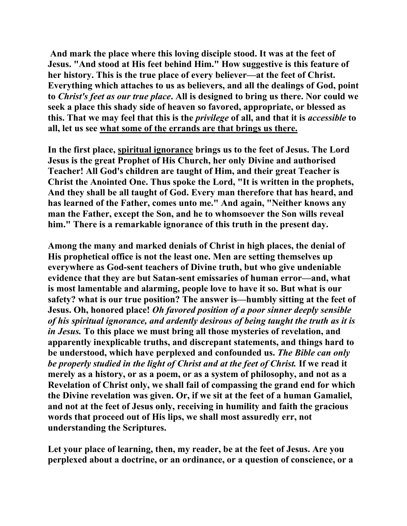**And mark the place where this loving disciple stood. It was at the feet of Jesus. "And stood at His feet behind Him." How suggestive is this feature of her history. This is the true place of every believer—at the feet of Christ. Everything which attaches to us as believers, and all the dealings of God, point to** *Christ's feet as our true place***. All is designed to bring us there. Nor could we seek a place this shady side of heaven so favored, appropriate, or blessed as this. That we may feel that this is the** *privilege* **of all, and that it is** *accessible* **to all, let us see what some of the errands are that brings us there.**

**In the first place, spiritual ignorance brings us to the feet of Jesus. The Lord Jesus is the great Prophet of His Church, her only Divine and authorised Teacher! All God's children are taught of Him, and their great Teacher is Christ the Anointed One. Thus spoke the Lord, "It is written in the prophets, And they shall be all taught of God. Every man therefore that has heard, and has learned of the Father, comes unto me." And again, "Neither knows any man the Father, except the Son, and he to whomsoever the Son wills reveal him." There is a remarkable ignorance of this truth in the present day.** 

**Among the many and marked denials of Christ in high places, the denial of His prophetical office is not the least one. Men are setting themselves up everywhere as God-sent teachers of Divine truth, but who give undeniable evidence that they are but Satan-sent emissaries of human error—and, what is most lamentable and alarming, people love to have it so. But what is our safety? what is our true position? The answer is—humbly sitting at the feet of Jesus. Oh, honored place!** *Oh favored position of a poor sinner deeply sensible of his spiritual ignorance, and ardently desirous of being taught the truth as it is in Jesus.* **To this place we must bring all those mysteries of revelation, and apparently inexplicable truths, and discrepant statements, and things hard to be understood, which have perplexed and confounded us.** *The Bible can only be properly studied in the light of Christ and at the feet of Christ.* **If we read it merely as a history, or as a poem, or as a system of philosophy, and not as a Revelation of Christ only, we shall fail of compassing the grand end for which the Divine revelation was given. Or, if we sit at the feet of a human Gamaliel, and not at the feet of Jesus only, receiving in humility and faith the gracious words that proceed out of His lips, we shall most assuredly err, not understanding the Scriptures.** 

**Let your place of learning, then, my reader, be at the feet of Jesus. Are you perplexed about a doctrine, or an ordinance, or a question of conscience, or a**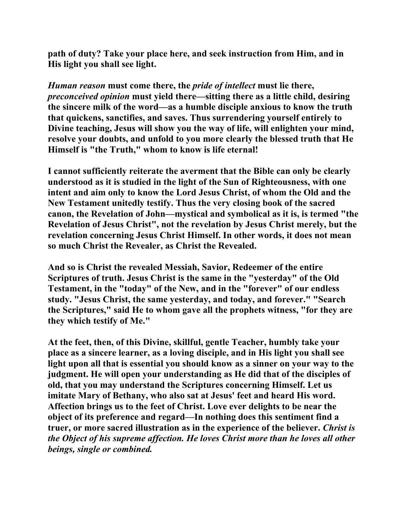**path of duty? Take your place here, and seek instruction from Him, and in His light you shall see light.** 

*Human reason* **must come there, the** *pride of intellect* **must lie there,**  *preconceived opinion* **must yield there—sitting there as a little child, desiring the sincere milk of the word—as a humble disciple anxious to know the truth that quickens, sanctifies, and saves. Thus surrendering yourself entirely to Divine teaching, Jesus will show you the way of life, will enlighten your mind, resolve your doubts, and unfold to you more clearly the blessed truth that He Himself is "the Truth," whom to know is life eternal!** 

**I cannot sufficiently reiterate the averment that the Bible can only be clearly understood as it is studied in the light of the Sun of Righteousness, with one intent and aim only to know the Lord Jesus Christ, of whom the Old and the New Testament unitedly testify. Thus the very closing book of the sacred canon, the Revelation of John—mystical and symbolical as it is, is termed "the Revelation of Jesus Christ", not the revelation by Jesus Christ merely, but the revelation concerning Jesus Christ Himself. In other words, it does not mean so much Christ the Revealer, as Christ the Revealed.** 

**And so is Christ the revealed Messiah, Savior, Redeemer of the entire Scriptures of truth. Jesus Christ is the same in the "yesterday" of the Old Testament, in the "today" of the New, and in the "forever" of our endless study. "Jesus Christ, the same yesterday, and today, and forever." "Search the Scriptures," said He to whom gave all the prophets witness, "for they are they which testify of Me."** 

**At the feet, then, of this Divine, skillful, gentle Teacher, humbly take your place as a sincere learner, as a loving disciple, and in His light you shall see light upon all that is essential you should know as a sinner on your way to the judgment. He will open your understanding as He did that of the disciples of old, that you may understand the Scriptures concerning Himself. Let us imitate Mary of Bethany, who also sat at Jesus' feet and heard His word. Affection brings us to the feet of Christ. Love ever delights to be near the object of its preference and regard—In nothing does this sentiment find a truer, or more sacred illustration as in the experience of the believer.** *Christ is the Object of his supreme affection. He loves Christ more than he loves all other beings, single or combined.*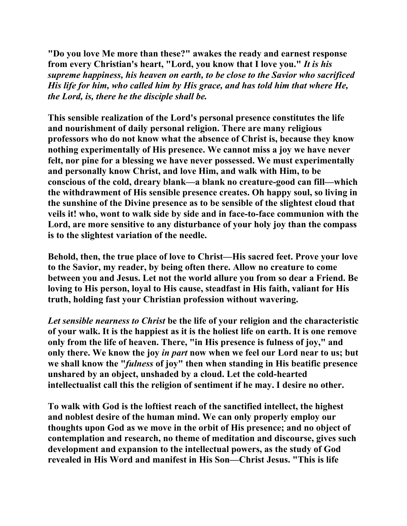**"Do you love Me more than these?" awakes the ready and earnest response from every Christian's heart, "Lord, you know that I love you."** *It is his supreme happiness, his heaven on earth, to be close to the Savior who sacrificed His life for him, who called him by His grace, and has told him that where He, the Lord, is, there he the disciple shall be.* 

**This sensible realization of the Lord's personal presence constitutes the life and nourishment of daily personal religion. There are many religious professors who do not know what the absence of Christ is, because they know nothing experimentally of His presence. We cannot miss a joy we have never felt, nor pine for a blessing we have never possessed. We must experimentally and personally know Christ, and love Him, and walk with Him, to be conscious of the cold, dreary blank—a blank no creature-good can fill—which the withdrawment of His sensible presence creates. Oh happy soul, so living in the sunshine of the Divine presence as to be sensible of the slightest cloud that veils it! who, wont to walk side by side and in face-to-face communion with the Lord, are more sensitive to any disturbance of your holy joy than the compass is to the slightest variation of the needle.** 

**Behold, then, the true place of love to Christ—His sacred feet. Prove your love to the Savior, my reader, by being often there. Allow no creature to come between you and Jesus. Let not the world allure you from so dear a Friend. Be loving to His person, loyal to His cause, steadfast in His faith, valiant for His truth, holding fast your Christian profession without wavering.** 

*Let sensible nearness to Christ* **be the life of your religion and the characteristic of your walk. It is the happiest as it is the holiest life on earth. It is one remove only from the life of heaven. There, "in His presence is fulness of joy," and only there. We know the joy** *in part* **now when we feel our Lord near to us; but we shall know the "***fulness* **of joy" then when standing in His beatific presence unshared by an object, unshaded by a cloud. Let the cold-hearted intellectualist call this the religion of sentiment if he may. I desire no other.** 

**To walk with God is the loftiest reach of the sanctified intellect, the highest and noblest desire of the human mind. We can only properly employ our thoughts upon God as we move in the orbit of His presence; and no object of contemplation and research, no theme of meditation and discourse, gives such development and expansion to the intellectual powers, as the study of God revealed in His Word and manifest in His Son—Christ Jesus. "This is life**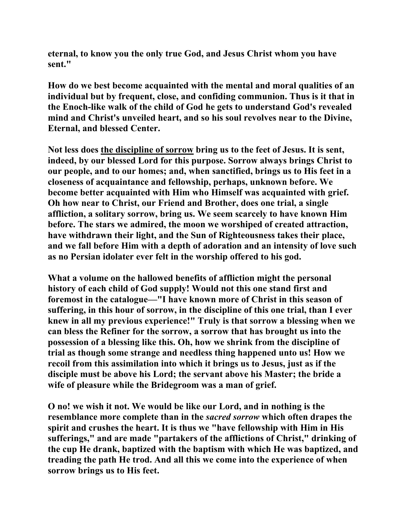**eternal, to know you the only true God, and Jesus Christ whom you have sent."** 

**How do we best become acquainted with the mental and moral qualities of an individual but by frequent, close, and confiding communion. Thus is it that in the Enoch-like walk of the child of God he gets to understand God's revealed mind and Christ's unveiled heart, and so his soul revolves near to the Divine, Eternal, and blessed Center.** 

**Not less does the discipline of sorrow bring us to the feet of Jesus. It is sent, indeed, by our blessed Lord for this purpose. Sorrow always brings Christ to our people, and to our homes; and, when sanctified, brings us to His feet in a closeness of acquaintance and fellowship, perhaps, unknown before. We become better acquainted with Him who Himself was acquainted with grief. Oh how near to Christ, our Friend and Brother, does one trial, a single affliction, a solitary sorrow, bring us. We seem scarcely to have known Him before. The stars we admired, the moon we worshiped of created attraction, have withdrawn their light, and the Sun of Righteousness takes their place, and we fall before Him with a depth of adoration and an intensity of love such as no Persian idolater ever felt in the worship offered to his god.** 

**What a volume on the hallowed benefits of affliction might the personal history of each child of God supply! Would not this one stand first and foremost in the catalogue—"I have known more of Christ in this season of suffering, in this hour of sorrow, in the discipline of this one trial, than I ever knew in all my previous experience!" Truly is that sorrow a blessing when we can bless the Refiner for the sorrow, a sorrow that has brought us into the possession of a blessing like this. Oh, how we shrink from the discipline of trial as though some strange and needless thing happened unto us! How we recoil from this assimilation into which it brings us to Jesus, just as if the disciple must be above his Lord; the servant above his Master; the bride a wife of pleasure while the Bridegroom was a man of grief.** 

**O no! we wish it not. We would be like our Lord, and in nothing is the resemblance more complete than in the** *sacred sorrow* **which often drapes the spirit and crushes the heart. It is thus we "have fellowship with Him in His sufferings," and are made "partakers of the afflictions of Christ," drinking of the cup He drank, baptized with the baptism with which He was baptized, and treading the path He trod. And all this we come into the experience of when sorrow brings us to His feet.**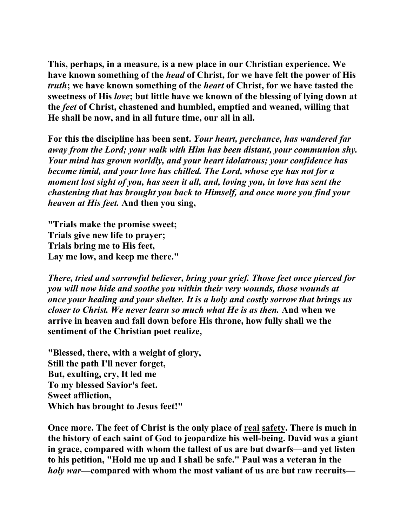**This, perhaps, in a measure, is a new place in our Christian experience. We have known something of the** *head* **of Christ, for we have felt the power of His**  *truth***; we have known something of the** *heart* **of Christ, for we have tasted the sweetness of His** *love***; but little have we known of the blessing of lying down at the** *feet* **of Christ, chastened and humbled, emptied and weaned, willing that He shall be now, and in all future time, our all in all.** 

**For this the discipline has been sent.** *Your heart, perchance, has wandered far away from the Lord; your walk with Him has been distant, your communion shy. Your mind has grown worldly, and your heart idolatrous; your confidence has become timid, and your love has chilled. The Lord, whose eye has not for a moment lost sight of you, has seen it all, and, loving you, in love has sent the chastening that has brought you back to Himself, and once more you find your heaven at His feet.* **And then you sing,** 

**"Trials make the promise sweet; Trials give new life to prayer; Trials bring me to His feet, Lay me low, and keep me there."** 

*There, tried and sorrowful believer, bring your grief. Those feet once pierced for you will now hide and soothe you within their very wounds, those wounds at once your healing and your shelter. It is a holy and costly sorrow that brings us closer to Christ. We never learn so much what He is as then.* **And when we arrive in heaven and fall down before His throne, how fully shall we the sentiment of the Christian poet realize,** 

**"Blessed, there, with a weight of glory, Still the path I'll never forget, But, exulting, cry, It led me To my blessed Savior's feet. Sweet affliction, Which has brought to Jesus feet!"** 

**Once more. The feet of Christ is the only place of real safety. There is much in the history of each saint of God to jeopardize his well-being. David was a giant in grace, compared with whom the tallest of us are but dwarfs—and yet listen to his petition, "Hold me up and I shall be safe." Paul was a veteran in the**  *holy war***—compared with whom the most valiant of us are but raw recruits—**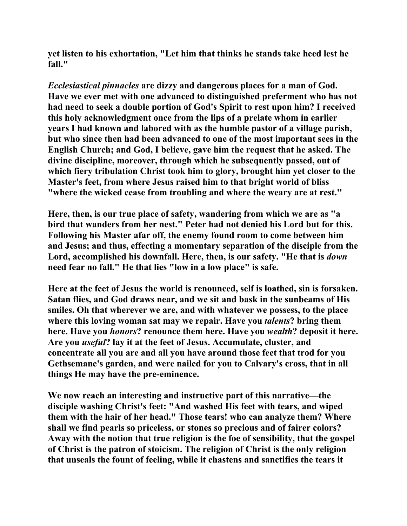**yet listen to his exhortation, "Let him that thinks he stands take heed lest he fall."** 

*Ecclesiastical pinnacles* **are dizzy and dangerous places for a man of God. Have we ever met with one advanced to distinguished preferment who has not had need to seek a double portion of God's Spirit to rest upon him? I received this holy acknowledgment once from the lips of a prelate whom in earlier years I had known and labored with as the humble pastor of a village parish, but who since then had been advanced to one of the most important sees in the English Church; and God, I believe, gave him the request that he asked. The divine discipline, moreover, through which he subsequently passed, out of which fiery tribulation Christ took him to glory, brought him yet closer to the Master's feet, from where Jesus raised him to that bright world of bliss "where the wicked cease from troubling and where the weary are at rest.''** 

**Here, then, is our true place of safety, wandering from which we are as "a bird that wanders from her nest." Peter had not denied his Lord but for this. Following his Master afar off, the enemy found room to come between him and Jesus; and thus, effecting a momentary separation of the disciple from the Lord, accomplished his downfall. Here, then, is our safety. "He that is** *down* **need fear no fall." He that lies "low in a low place" is safe.** 

**Here at the feet of Jesus the world is renounced, self is loathed, sin is forsaken. Satan flies, and God draws near, and we sit and bask in the sunbeams of His smiles. Oh that wherever we are, and with whatever we possess, to the place where this loving woman sat may we repair. Have you** *talents***? bring them here. Have you** *honors***? renounce them here. Have you** *wealth***? deposit it here. Are you** *useful***? lay it at the feet of Jesus. Accumulate, cluster, and concentrate all you are and all you have around those feet that trod for you Gethsemane's garden, and were nailed for you to Calvary's cross, that in all things He may have the pre-eminence.** 

**We now reach an interesting and instructive part of this narrative—the disciple washing Christ's feet: "And washed His feet with tears, and wiped them with the hair of her head." Those tears! who can analyze them? Where shall we find pearls so priceless, or stones so precious and of fairer colors? Away with the notion that true religion is the foe of sensibility, that the gospel of Christ is the patron of stoicism. The religion of Christ is the only religion that unseals the fount of feeling, while it chastens and sanctifies the tears it**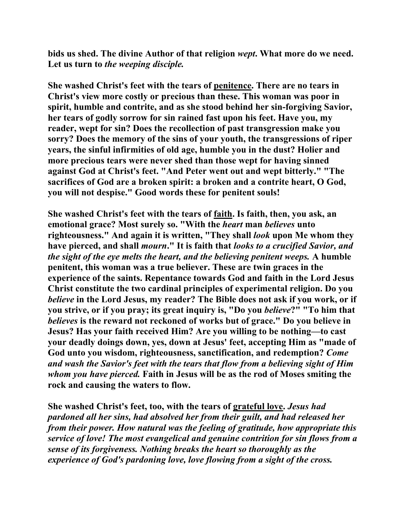**bids us shed. The divine Author of that religion** *wept***. What more do we need. Let us turn to** *the weeping disciple.*

**She washed Christ's feet with the tears of penitence. There are no tears in Christ's view more costly or precious than these. This woman was poor in spirit, humble and contrite, and as she stood behind her sin-forgiving Savior, her tears of godly sorrow for sin rained fast upon his feet. Have you, my reader, wept for sin? Does the recollection of past transgression make you sorry? Does the memory of the sins of your youth, the transgressions of riper years, the sinful infirmities of old age, humble you in the dust? Holier and more precious tears were never shed than those wept for having sinned against God at Christ's feet. "And Peter went out and wept bitterly." "The sacrifices of God are a broken spirit: a broken and a contrite heart, O God, you will not despise." Good words these for penitent souls!** 

**She washed Christ's feet with the tears of faith. Is faith, then, you ask, an emotional grace? Most surely so. "With the** *heart* **man** *believes* **unto righteousness." And again it is written, "They shall** *look* **upon Me whom they have pierced, and shall** *mourn***." It is faith that** *looks to a crucified Savior, and the sight of the eye melts the heart, and the believing penitent weeps.* **A humble penitent, this woman was a true believer. These are twin graces in the experience of the saints. Repentance towards God and faith in the Lord Jesus Christ constitute the two cardinal principles of experimental religion. Do you**  *believe* **in the Lord Jesus, my reader? The Bible does not ask if you work, or if you strive, or if you pray; its great inquiry is, "Do you** *believe***?" "To him that**  *believes* **is the reward not reckoned of works but of grace." Do you believe in Jesus? Has your faith received Him? Are you willing to be nothing—to cast your deadly doings down, yes, down at Jesus' feet, accepting Him as "made of God unto you wisdom, righteousness, sanctification, and redemption?** *Come and wash the Savior's feet with the tears that flow from a believing sight of Him whom you have pierced.* **Faith in Jesus will be as the rod of Moses smiting the rock and causing the waters to flow.** 

**She washed Christ's feet, too, with the tears of grateful love.** *Jesus had pardoned all her sins, had absolved her from their guilt, and had released her from their power. How natural was the feeling of gratitude, how appropriate this service of love! The most evangelical and genuine contrition for sin flows from a sense of its forgiveness. Nothing breaks the heart so thoroughly as the experience of God's pardoning love, love flowing from a sight of the cross.*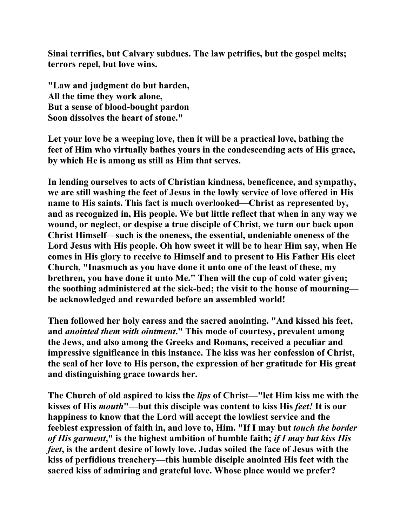**Sinai terrifies, but Calvary subdues. The law petrifies, but the gospel melts; terrors repel, but love wins.** 

**"Law and judgment do but harden, All the time they work alone, But a sense of blood-bought pardon Soon dissolves the heart of stone."** 

**Let your love be a weeping love, then it will be a practical love, bathing the feet of Him who virtually bathes yours in the condescending acts of His grace, by which He is among us still as Him that serves.** 

**In lending ourselves to acts of Christian kindness, beneficence, and sympathy, we are still washing the feet of Jesus in the lowly service of love offered in His name to His saints. This fact is much overlooked—Christ as represented by, and as recognized in, His people. We but little reflect that when in any way we wound, or neglect, or despise a true disciple of Christ, we turn our back upon Christ Himself—such is the oneness, the essential, undeniable oneness of the Lord Jesus with His people. Oh how sweet it will be to hear Him say, when He comes in His glory to receive to Himself and to present to His Father His elect Church, "Inasmuch as you have done it unto one of the least of these, my brethren, you have done it unto Me." Then will the cup of cold water given; the soothing administered at the sick-bed; the visit to the house of mourning be acknowledged and rewarded before an assembled world!** 

**Then followed her holy caress and the sacred anointing. "And kissed his feet, and** *anointed them with ointment***." This mode of courtesy, prevalent among the Jews, and also among the Greeks and Romans, received a peculiar and impressive significance in this instance. The kiss was her confession of Christ, the seal of her love to His person, the expression of her gratitude for His great and distinguishing grace towards her.** 

**The Church of old aspired to kiss the** *lips* **of Christ—"let Him kiss me with the kisses of His** *mouth***"—but this disciple was content to kiss His** *feet!* **It is our happiness to know that the Lord will accept the lowliest service and the feeblest expression of faith in, and love to, Him. "If I may but** *touch the border of His garment***," is the highest ambition of humble faith;** *if I may but kiss His feet***, is the ardent desire of lowly love. Judas soiled the face of Jesus with the kiss of perfidious treachery—this humble disciple anointed His feet with the sacred kiss of admiring and grateful love. Whose place would we prefer?**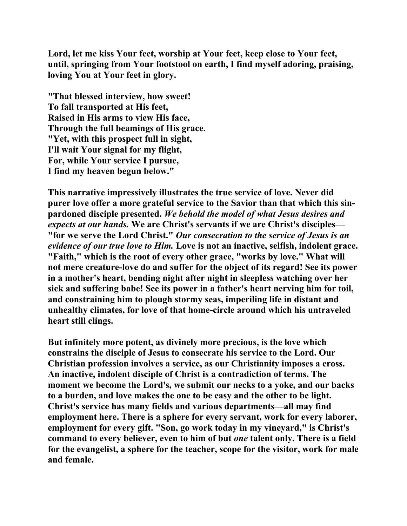**Lord, let me kiss Your feet, worship at Your feet, keep close to Your feet, until, springing from Your footstool on earth, I find myself adoring, praising, loving You at Your feet in glory.** 

**"That blessed interview, how sweet! To fall transported at His feet, Raised in His arms to view His face, Through the full beamings of His grace. "Yet, with this prospect full in sight, I'll wait Your signal for my flight, For, while Your service I pursue, I find my heaven begun below."** 

**This narrative impressively illustrates the true service of love. Never did purer love offer a more grateful service to the Savior than that which this sinpardoned disciple presented.** *We behold the model of what Jesus desires and expects at our hands.* **We are Christ's servants if we are Christ's disciples— "for we serve the Lord Christ."** *Our consecration to the service of Jesus is an evidence of our true love to Him.* **Love is not an inactive, selfish, indolent grace. "Faith," which is the root of every other grace, "works by love." What will not mere creature-love do and suffer for the object of its regard! See its power in a mother's heart, bending night after night in sleepless watching over her sick and suffering babe! See its power in a father's heart nerving him for toil, and constraining him to plough stormy seas, imperiling life in distant and unhealthy climates, for love of that home-circle around which his untraveled heart still clings.** 

**But infinitely more potent, as divinely more precious, is the love which constrains the disciple of Jesus to consecrate his service to the Lord. Our Christian profession involves a service, as our Christianity imposes a cross. An inactive, indolent disciple of Christ is a contradiction of terms. The moment we become the Lord's, we submit our necks to a yoke, and our backs to a burden, and love makes the one to be easy and the other to be light. Christ's service has many fields and various departments—all may find employment here. There is a sphere for every servant, work for every laborer, employment for every gift. "Son, go work today in my vineyard," is Christ's command to every believer, even to him of but** *one* **talent only. There is a field for the evangelist, a sphere for the teacher, scope for the visitor, work for male and female.**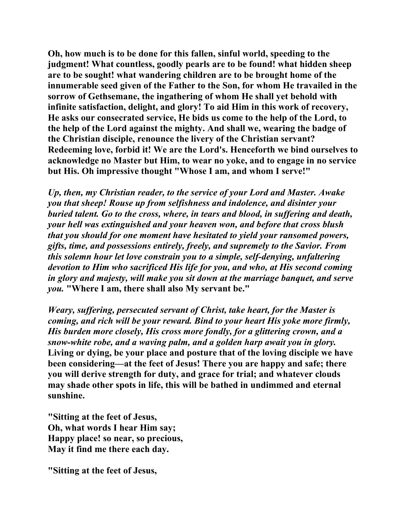**Oh, how much is to be done for this fallen, sinful world, speeding to the judgment! What countless, goodly pearls are to be found! what hidden sheep are to be sought! what wandering children are to be brought home of the innumerable seed given of the Father to the Son, for whom He travailed in the sorrow of Gethsemane, the ingathering of whom He shall yet behold with infinite satisfaction, delight, and glory! To aid Him in this work of recovery, He asks our consecrated service, He bids us come to the help of the Lord, to the help of the Lord against the mighty. And shall we, wearing the badge of the Christian disciple, renounce the livery of the Christian servant? Redeeming love, forbid it! We are the Lord's. Henceforth we bind ourselves to acknowledge no Master but Him, to wear no yoke, and to engage in no service but His. Oh impressive thought "Whose I am, and whom I serve!"** 

*Up, then, my Christian reader, to the service of your Lord and Master. Awake you that sheep! Rouse up from selfishness and indolence, and disinter your buried talent. Go to the cross, where, in tears and blood, in suffering and death, your hell was extinguished and your heaven won, and before that cross blush that you should for one moment have hesitated to yield your ransomed powers, gifts, time, and possessions entirely, freely, and supremely to the Savior. From this solemn hour let love constrain you to a simple, self-denying, unfaltering devotion to Him who sacrificed His life for you, and who, at His second coming in glory and majesty, will make you sit down at the marriage banquet, and serve you.* **"Where I am, there shall also My servant be."** 

*Weary, suffering, persecuted servant of Christ, take heart, for the Master is coming, and rich will be your reward. Bind to your heart His yoke more firmly, His burden more closely, His cross more fondly, for a glittering crown, and a snow-white robe, and a waving palm, and a golden harp await you in glory.*  **Living or dying, be your place and posture that of the loving disciple we have been considering—at the feet of Jesus! There you are happy and safe; there you will derive strength for duty, and grace for trial; and whatever clouds may shade other spots in life, this will be bathed in undimmed and eternal sunshine.** 

**"Sitting at the feet of Jesus, Oh, what words I hear Him say; Happy place! so near, so precious, May it find me there each day.** 

**"Sitting at the feet of Jesus,**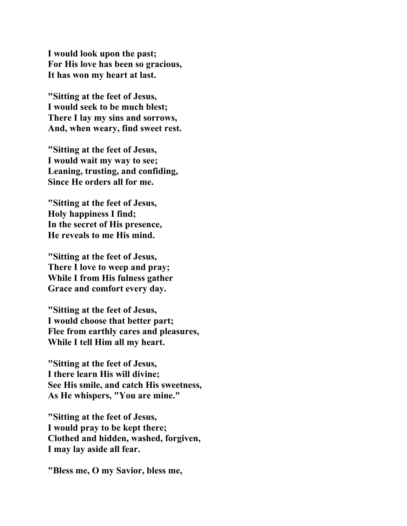**I would look upon the past; For His love has been so gracious, It has won my heart at last.** 

**"Sitting at the feet of Jesus, I would seek to be much blest; There I lay my sins and sorrows, And, when weary, find sweet rest.** 

**"Sitting at the feet of Jesus, I would wait my way to see; Leaning, trusting, and confiding, Since He orders all for me.** 

**"Sitting at the feet of Jesus, Holy happiness I find; In the secret of His presence, He reveals to me His mind.** 

**"Sitting at the feet of Jesus, There I love to weep and pray; While I from His fulness gather Grace and comfort every day.** 

**"Sitting at the feet of Jesus, I would choose that better part; Flee from earthly cares and pleasures, While I tell Him all my heart.** 

**"Sitting at the feet of Jesus, I there learn His will divine; See His smile, and catch His sweetness, As He whispers, "You are mine."** 

**"Sitting at the feet of Jesus, I would pray to be kept there; Clothed and hidden, washed, forgiven, I may lay aside all fear.** 

**"Bless me, O my Savior, bless me,**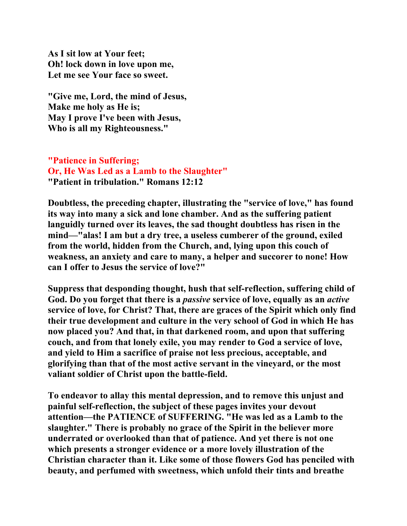**As I sit low at Your feet; Oh! lock down in love upon me, Let me see Your face so sweet.** 

**"Give me, Lord, the mind of Jesus, Make me holy as He is; May I prove I've been with Jesus, Who is all my Righteousness."** 

**"Patience in Suffering; Or, He Was Led as a Lamb to the Slaughter" "Patient in tribulation." Romans 12:12** 

**Doubtless, the preceding chapter, illustrating the "service of love," has found its way into many a sick and lone chamber. And as the suffering patient languidly turned over its leaves, the sad thought doubtless has risen in the mind—"alas! I am but a dry tree, a useless cumberer of the ground, exiled from the world, hidden from the Church, and, lying upon this couch of weakness, an anxiety and care to many, a helper and succorer to none! How can I offer to Jesus the service of love?"** 

**Suppress that desponding thought, hush that self-reflection, suffering child of God. Do you forget that there is a** *passive* **service of love, equally as an** *active* **service of love, for Christ? That, there are graces of the Spirit which only find their true development and culture in the very school of God in which He has now placed you? And that, in that darkened room, and upon that suffering couch, and from that lonely exile, you may render to God a service of love, and yield to Him a sacrifice of praise not less precious, acceptable, and glorifying than that of the most active servant in the vineyard, or the most valiant soldier of Christ upon the battle-field.** 

**To endeavor to allay this mental depression, and to remove this unjust and painful self-reflection, the subject of these pages invites your devout attention—the PATIENCE of SUFFERING. "He was led as a Lamb to the slaughter." There is probably no grace of the Spirit in the believer more underrated or overlooked than that of patience. And yet there is not one which presents a stronger evidence or a more lovely illustration of the Christian character than it. Like some of those flowers God has penciled with beauty, and perfumed with sweetness, which unfold their tints and breathe**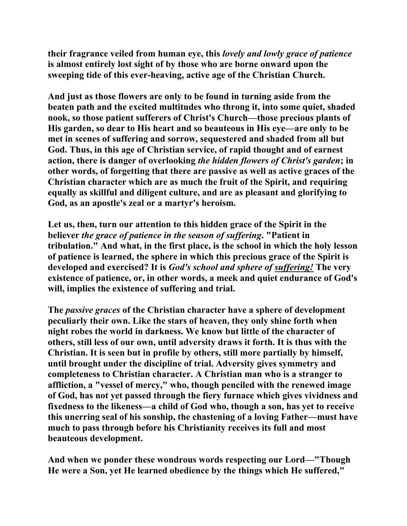**their fragrance veiled from human eye, this** *lovely and lowly grace of patience* **is almost entirely lost sight of by those who are borne onward upon the sweeping tide of this ever-heaving, active age of the Christian Church.** 

**And just as those flowers are only to be found in turning aside from the beaten path and the excited multitudes who throng it, into some quiet, shaded nook, so those patient sufferers of Christ's Church—those precious plants of His garden, so dear to His heart and so beauteous in His eye—are only to be met in scenes of suffering and sorrow, sequestered and shaded from all but God. Thus, in this age of Christian service, of rapid thought and of earnest action, there is danger of overlooking** *the hidden flowers of Christ's garden***; in other words, of forgetting that there are passive as well as active graces of the Christian character which are as much the fruit of the Spirit, and requiring equally as skillful and diligent culture, and are as pleasant and glorifying to God, as an apostle's zeal or a martyr's heroism.** 

**Let us, then, turn our attention to this hidden grace of the Spirit in the believer** *the grace of patience in the season of suffering***. "Patient in tribulation." And what, in the first place, is the school in which the holy lesson of patience is learned, the sphere in which this precious grace of the Spirit is developed and exercised? It is** *God's school and sphere of suffering!* **The very existence of patience, or, in other words, a meek and quiet endurance of God's will, implies the existence of suffering and trial.** 

**The** *passive graces* **of the Christian character have a sphere of development peculiarly their own. Like the stars of heaven, they only shine forth when night robes the world in darkness. We know but little of the character of others, still less of our own, until adversity draws it forth. It is thus with the Christian. It is seen but in profile by others, still more partially by himself, until brought under the discipline of trial. Adversity gives symmetry and completeness to Christian character. A Christian man who is a stranger to affliction, a "vessel of mercy," who, though penciled with the renewed image of God, has not yet passed through the fiery furnace which gives vividness and fixedness to the likeness—a child of God who, though a son, has yet to receive this unerring seal of his sonship, the chastening of a loving Father—must have much to pass through before his Christianity receives its full and most beauteous development.** 

**And when we ponder these wondrous words respecting our Lord—"Though He were a Son, yet He learned obedience by the things which He suffered,"**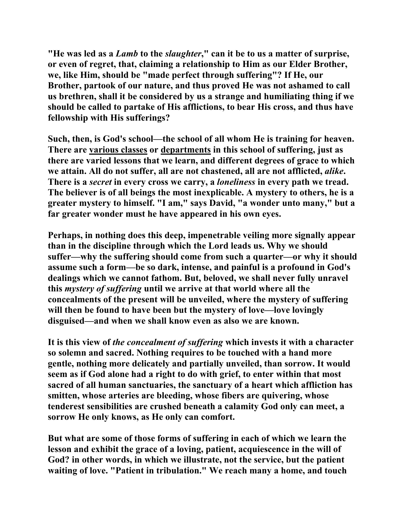**"He was led as a** *Lamb* **to the** *slaughter***," can it be to us a matter of surprise, or even of regret, that, claiming a relationship to Him as our Elder Brother, we, like Him, should be "made perfect through suffering"? If He, our Brother, partook of our nature, and thus proved He was not ashamed to call us brethren, shall it be considered by us a strange and humiliating thing if we should be called to partake of His afflictions, to bear His cross, and thus have fellowship with His sufferings?** 

**Such, then, is God's school—the school of all whom He is training for heaven. There are various classes or departments in this school of suffering, just as there are varied lessons that we learn, and different degrees of grace to which we attain. All do not suffer, all are not chastened, all are not afflicted,** *alike***. There is a** *secret* **in every cross we carry, a** *loneliness* **in every path we tread. The believer is of all beings the most inexplicable. A mystery to others, he is a greater mystery to himself. "I am," says David, "a wonder unto many," but a far greater wonder must he have appeared in his own eyes.** 

**Perhaps, in nothing does this deep, impenetrable veiling more signally appear than in the discipline through which the Lord leads us. Why we should suffer—why the suffering should come from such a quarter—or why it should assume such a form—be so dark, intense, and painful is a profound in God's dealings which we cannot fathom. But, beloved, we shall never fully unravel this** *mystery of suffering* **until we arrive at that world where all the concealments of the present will be unveiled, where the mystery of suffering will then be found to have been but the mystery of love—love lovingly disguised—and when we shall know even as also we are known.** 

**It is this view of** *the concealment of suffering* **which invests it with a character so solemn and sacred. Nothing requires to be touched with a hand more gentle, nothing more delicately and partially unveiled, than sorrow. It would seem as if God alone had a right to do with grief, to enter within that most sacred of all human sanctuaries, the sanctuary of a heart which affliction has smitten, whose arteries are bleeding, whose fibers are quivering, whose tenderest sensibilities are crushed beneath a calamity God only can meet, a sorrow He only knows, as He only can comfort.** 

**But what are some of those forms of suffering in each of which we learn the lesson and exhibit the grace of a loving, patient, acquiescence in the will of God? in other words, in which we illustrate, not the service, but the patient waiting of love. "Patient in tribulation." We reach many a home, and touch**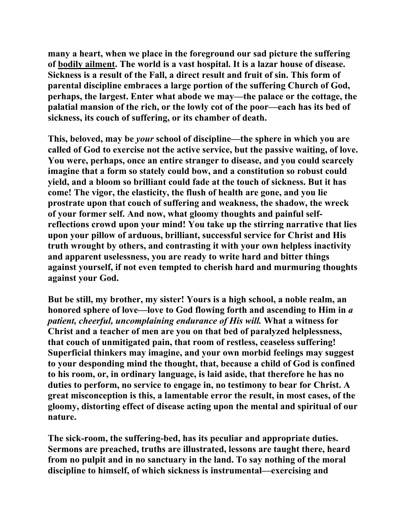**many a heart, when we place in the foreground our sad picture the suffering of bodily ailment. The world is a vast hospital. It is a lazar house of disease. Sickness is a result of the Fall, a direct result and fruit of sin. This form of parental discipline embraces a large portion of the suffering Church of God, perhaps, the largest. Enter what abode we may—the palace or the cottage, the palatial mansion of the rich, or the lowly cot of the poor—each has its bed of sickness, its couch of suffering, or its chamber of death.** 

**This, beloved, may be** *your* **school of discipline—the sphere in which you are called of God to exercise not the active service, but the passive waiting, of love. You were, perhaps, once an entire stranger to disease, and you could scarcely imagine that a form so stately could bow, and a constitution so robust could yield, and a bloom so brilliant could fade at the touch of sickness. But it has come! The vigor, the elasticity, the flush of health are gone, and you lie prostrate upon that couch of suffering and weakness, the shadow, the wreck of your former self. And now, what gloomy thoughts and painful selfreflections crowd upon your mind! You take up the stirring narrative that lies upon your pillow of arduous, brilliant, successful service for Christ and His truth wrought by others, and contrasting it with your own helpless inactivity and apparent uselessness, you are ready to write hard and bitter things against yourself, if not even tempted to cherish hard and murmuring thoughts against your God.** 

**But be still, my brother, my sister! Yours is a high school, a noble realm, an honored sphere of love—love to God flowing forth and ascending to Him in** *a patient, cheerful, uncomplaining endurance of His will.* **What a witness for Christ and a teacher of men are you on that bed of paralyzed helplessness, that couch of unmitigated pain, that room of restless, ceaseless suffering! Superficial thinkers may imagine, and your own morbid feelings may suggest to your desponding mind the thought, that, because a child of God is confined to his room, or, in ordinary language, is laid aside, that therefore he has no duties to perform, no service to engage in, no testimony to bear for Christ. A great misconception is this, a lamentable error the result, in most cases, of the gloomy, distorting effect of disease acting upon the mental and spiritual of our nature.** 

**The sick-room, the suffering-bed, has its peculiar and appropriate duties. Sermons are preached, truths are illustrated, lessons are taught there, heard from no pulpit and in no sanctuary in the land. To say nothing of the moral discipline to himself, of which sickness is instrumental—exercising and**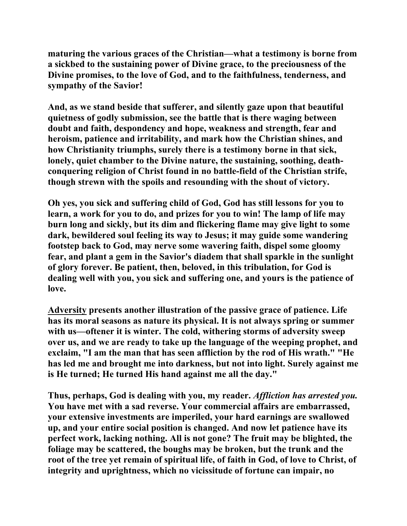**maturing the various graces of the Christian—what a testimony is borne from a sickbed to the sustaining power of Divine grace, to the preciousness of the Divine promises, to the love of God, and to the faithfulness, tenderness, and sympathy of the Savior!** 

**And, as we stand beside that sufferer, and silently gaze upon that beautiful quietness of godly submission, see the battle that is there waging between doubt and faith, despondency and hope, weakness and strength, fear and heroism, patience and irritability, and mark how the Christian shines, and how Christianity triumphs, surely there is a testimony borne in that sick, lonely, quiet chamber to the Divine nature, the sustaining, soothing, deathconquering religion of Christ found in no battle-field of the Christian strife, though strewn with the spoils and resounding with the shout of victory.** 

**Oh yes, you sick and suffering child of God, God has still lessons for you to learn, a work for you to do, and prizes for you to win! The lamp of life may burn long and sickly, but its dim and flickering flame may give light to some dark, bewildered soul feeling its way to Jesus; it may guide some wandering footstep back to God, may nerve some wavering faith, dispel some gloomy fear, and plant a gem in the Savior's diadem that shall sparkle in the sunlight of glory forever. Be patient, then, beloved, in this tribulation, for God is dealing well with you, you sick and suffering one, and yours is the patience of love.** 

**Adversity presents another illustration of the passive grace of patience. Life has its moral seasons as nature its physical. It is not always spring or summer with us—oftener it is winter. The cold, withering storms of adversity sweep over us, and we are ready to take up the language of the weeping prophet, and exclaim, "I am the man that has seen affliction by the rod of His wrath." "He has led me and brought me into darkness, but not into light. Surely against me is He turned; He turned His hand against me all the day."** 

**Thus, perhaps, God is dealing with you, my reader.** *Affliction has arrested you.* **You have met with a sad reverse. Your commercial affairs are embarrassed, your extensive investments are imperiled, your hard earnings are swallowed up, and your entire social position is changed. And now let patience have its perfect work, lacking nothing. All is not gone? The fruit may be blighted, the foliage may be scattered, the boughs may be broken, but the trunk and the root of the tree yet remain of spiritual life, of faith in God, of love to Christ, of integrity and uprightness, which no vicissitude of fortune can impair, no**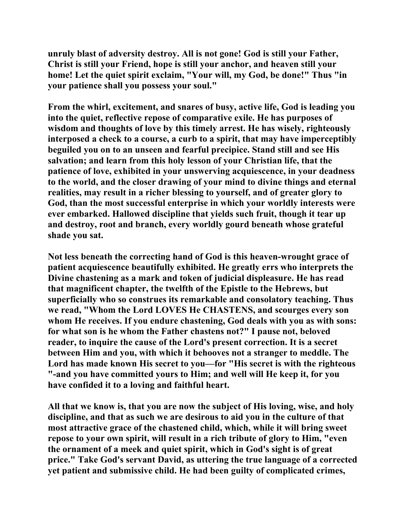**unruly blast of adversity destroy. All is not gone! God is still your Father, Christ is still your Friend, hope is still your anchor, and heaven still your home! Let the quiet spirit exclaim, "Your will, my God, be done!" Thus "in your patience shall you possess your soul."** 

**From the whirl, excitement, and snares of busy, active life, God is leading you into the quiet, reflective repose of comparative exile. He has purposes of wisdom and thoughts of love by this timely arrest. He has wisely, righteously interposed a check to a course, a curb to a spirit, that may have imperceptibly beguiled you on to an unseen and fearful precipice. Stand still and see His salvation; and learn from this holy lesson of your Christian life, that the patience of love, exhibited in your unswerving acquiescence, in your deadness to the world, and the closer drawing of your mind to divine things and eternal realities, may result in a richer blessing to yourself, and of greater glory to God, than the most successful enterprise in which your worldly interests were ever embarked. Hallowed discipline that yields such fruit, though it tear up and destroy, root and branch, every worldly gourd beneath whose grateful shade you sat.** 

**Not less beneath the correcting hand of God is this heaven-wrought grace of patient acquiescence beautifully exhibited. He greatly errs who interprets the Divine chastening as a mark and token of judicial displeasure. He has read that magnificent chapter, the twelfth of the Epistle to the Hebrews, but superficially who so construes its remarkable and consolatory teaching. Thus we read, "Whom the Lord LOVES He CHASTENS, and scourges every son whom He receives. If you endure chastening, God deals with you as with sons: for what son is he whom the Father chastens not?" I pause not, beloved reader, to inquire the cause of the Lord's present correction. It is a secret between Him and you, with which it behooves not a stranger to meddle. The Lord has made known His secret to you—for "His secret is with the righteous "-and you have committed yours to Him; and well will He keep it, for you have confided it to a loving and faithful heart.** 

**All that we know is, that you are now the subject of His loving, wise, and holy discipline, and that as such we are desirous to aid you in the culture of that most attractive grace of the chastened child, which, while it will bring sweet repose to your own spirit, will result in a rich tribute of glory to Him, "even the ornament of a meek and quiet spirit, which in God's sight is of great price." Take God's servant David, as uttering the true language of a corrected yet patient and submissive child. He had been guilty of complicated crimes,**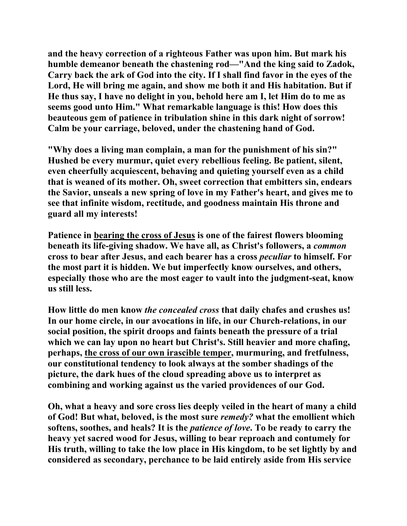**and the heavy correction of a righteous Father was upon him. But mark his humble demeanor beneath the chastening rod—"And the king said to Zadok, Carry back the ark of God into the city. If I shall find favor in the eyes of the Lord, He will bring me again, and show me both it and His habitation. But if He thus say, I have no delight in you, behold here am I, let Him do to me as seems good unto Him." What remarkable language is this! How does this beauteous gem of patience in tribulation shine in this dark night of sorrow! Calm be your carriage, beloved, under the chastening hand of God.** 

**"Why does a living man complain, a man for the punishment of his sin?" Hushed be every murmur, quiet every rebellious feeling. Be patient, silent, even cheerfully acquiescent, behaving and quieting yourself even as a child that is weaned of its mother. Oh, sweet correction that embitters sin, endears the Savior, unseals a new spring of love in my Father's heart, and gives me to see that infinite wisdom, rectitude, and goodness maintain His throne and guard all my interests!** 

**Patience in bearing the cross of Jesus is one of the fairest flowers blooming beneath its life-giving shadow. We have all, as Christ's followers, a** *common* **cross to bear after Jesus, and each bearer has a cross** *peculiar* **to himself. For the most part it is hidden. We but imperfectly know ourselves, and others, especially those who are the most eager to vault into the judgment-seat, know us still less.** 

**How little do men know** *the concealed cross* **that daily chafes and crushes us! In our home circle, in our avocations in life, in our Church-relations, in our social position, the spirit droops and faints beneath the pressure of a trial which we can lay upon no heart but Christ's. Still heavier and more chafing, perhaps, the cross of our own irascible temper, murmuring, and fretfulness, our constitutional tendency to look always at the somber shadings of the picture, the dark hues of the cloud spreading above us to interpret as combining and working against us the varied providences of our God.** 

**Oh, what a heavy and sore cross lies deeply veiled in the heart of many a child of God! But what, beloved, is the most sure** *remedy?* **what the emollient which softens, soothes, and heals? It is the** *patience of love***. To be ready to carry the heavy yet sacred wood for Jesus, willing to bear reproach and contumely for His truth, willing to take the low place in His kingdom, to be set lightly by and considered as secondary, perchance to be laid entirely aside from His service**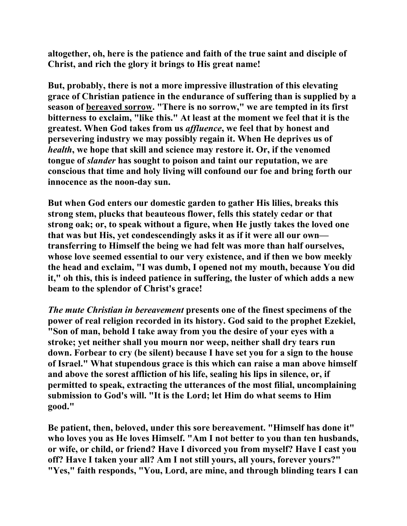**altogether, oh, here is the patience and faith of the true saint and disciple of Christ, and rich the glory it brings to His great name!** 

**But, probably, there is not a more impressive illustration of this elevating grace of Christian patience in the endurance of suffering than is supplied by a season of bereaved sorrow. "There is no sorrow," we are tempted in its first bitterness to exclaim, "like this." At least at the moment we feel that it is the greatest. When God takes from us** *affluence***, we feel that by honest and persevering industry we may possibly regain it. When He deprives us of**  *health***, we hope that skill and science may restore it. Or, if the venomed tongue of** *slander* **has sought to poison and taint our reputation, we are conscious that time and holy living will confound our foe and bring forth our innocence as the noon-day sun.** 

**But when God enters our domestic garden to gather His lilies, breaks this strong stem, plucks that beauteous flower, fells this stately cedar or that strong oak; or, to speak without a figure, when He justly takes the loved one that was but His, yet condescendingly asks it as if it were all our own transferring to Himself the being we had felt was more than half ourselves, whose love seemed essential to our very existence, and if then we bow meekly the head and exclaim, "I was dumb, I opened not my mouth, because You did it," oh this, this is indeed patience in suffering, the luster of which adds a new beam to the splendor of Christ's grace!** 

*The mute Christian in bereavement* **presents one of the finest specimens of the power of real religion recorded in its history. God said to the prophet Ezekiel, "Son of man, behold I take away from you the desire of your eyes with a stroke; yet neither shall you mourn nor weep, neither shall dry tears run down. Forbear to cry (be silent) because I have set you for a sign to the house of Israel." What stupendous grace is this which can raise a man above himself and above the sorest affliction of his life, sealing his lips in silence, or, if permitted to speak, extracting the utterances of the most filial, uncomplaining submission to God's will. "It is the Lord; let Him do what seems to Him good."** 

**Be patient, then, beloved, under this sore bereavement. "Himself has done it" who loves you as He loves Himself. "Am I not better to you than ten husbands, or wife, or child, or friend? Have I divorced you from myself? Have I cast you off? Have I taken your all? Am I not still yours, all yours, forever yours?" "Yes," faith responds, "You, Lord, are mine, and through blinding tears I can**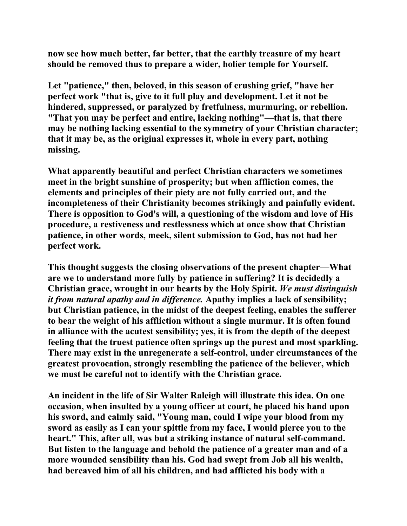**now see how much better, far better, that the earthly treasure of my heart should be removed thus to prepare a wider, holier temple for Yourself.** 

**Let "patience," then, beloved, in this season of crushing grief, "have her perfect work "that is, give to it full play and development. Let it not be hindered, suppressed, or paralyzed by fretfulness, murmuring, or rebellion. "That you may be perfect and entire, lacking nothing"—that is, that there may be nothing lacking essential to the symmetry of your Christian character; that it may be, as the original expresses it, whole in every part, nothing missing.** 

**What apparently beautiful and perfect Christian characters we sometimes meet in the bright sunshine of prosperity; but when affliction comes, the elements and principles of their piety are not fully carried out, and the incompleteness of their Christianity becomes strikingly and painfully evident. There is opposition to God's will, a questioning of the wisdom and love of His procedure, a restiveness and restlessness which at once show that Christian patience, in other words, meek, silent submission to God, has not had her perfect work.** 

**This thought suggests the closing observations of the present chapter—What are we to understand more fully by patience in suffering? It is decidedly a Christian grace, wrought in our hearts by the Holy Spirit.** *We must distinguish it from natural apathy and in difference.* **Apathy implies a lack of sensibility; but Christian patience, in the midst of the deepest feeling, enables the sufferer to bear the weight of his affliction without a single murmur. It is often found in alliance with the acutest sensibility; yes, it is from the depth of the deepest feeling that the truest patience often springs up the purest and most sparkling. There may exist in the unregenerate a self-control, under circumstances of the greatest provocation, strongly resembling the patience of the believer, which we must be careful not to identify with the Christian grace.** 

**An incident in the life of Sir Walter Raleigh will illustrate this idea. On one occasion, when insulted by a young officer at court, he placed his hand upon his sword, and calmly said, "Young man, could I wipe your blood from my sword as easily as I can your spittle from my face, I would pierce you to the heart." This, after all, was but a striking instance of natural self-command. But listen to the language and behold the patience of a greater man and of a more wounded sensibility than his. God had swept from Job all his wealth, had bereaved him of all his children, and had afflicted his body with a**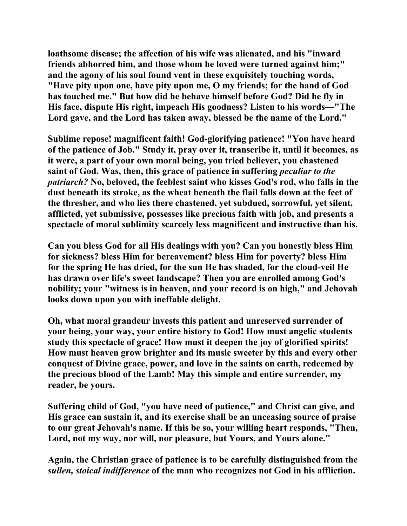**loathsome disease; the affection of his wife was alienated, and his "inward friends abhorred him, and those whom he loved were turned against him;" and the agony of his soul found vent in these exquisitely touching words, "Have pity upon one, have pity upon me, O my friends; for the hand of God has touched me." But how did he behave himself before God? Did he fly in His face, dispute His right, impeach His goodness? Listen to his words—"The Lord gave, and the Lord has taken away, blessed be the name of the Lord."** 

**Sublime repose! magnificent faith! God-glorifying patience! "You have heard of the patience of Job." Study it, pray over it, transcribe it, until it becomes, as it were, a part of your own moral being, you tried believer, you chastened saint of God. Was, then, this grace of patience in suffering** *peculiar to the patriarch?* **No, beloved, the feeblest saint who kisses God's rod, who falls in the dust beneath its stroke, as the wheat beneath the flail falls down at the feet of the thresher, and who lies there chastened, yet subdued, sorrowful, yet silent, afflicted, yet submissive, possesses like precious faith with job, and presents a spectacle of moral sublimity scarcely less magnificent and instructive than his.** 

**Can you bless God for all His dealings with you? Can you honestly bless Him for sickness? bless Him for bereavement? bless Him for poverty? bless Him for the spring He has dried, for the sun He has shaded, for the cloud-veil He has drawn over life's sweet landscape? Then you are enrolled among God's nobility; your "witness is in heaven, and your record is on high," and Jehovah looks down upon you with ineffable delight.** 

**Oh, what moral grandeur invests this patient and unreserved surrender of your being, your way, your entire history to God! How must angelic students study this spectacle of grace! How must it deepen the joy of glorified spirits! How must heaven grow brighter and its music sweeter by this and every other conquest of Divine grace, power, and love in the saints on earth, redeemed by the precious blood of the Lamb! May this simple and entire surrender, my reader, be yours.** 

**Suffering child of God, "you have need of patience," and Christ can give, and His grace can sustain it, and its exercise shall be an unceasing source of praise to our great Jehovah's name. If this be so, your willing heart responds, "Then, Lord, not my way, nor will, nor pleasure, but Yours, and Yours alone."** 

**Again, the Christian grace of patience is to be carefully distinguished from the**  *sullen, stoical indifference* **of the man who recognizes not God in his affliction.**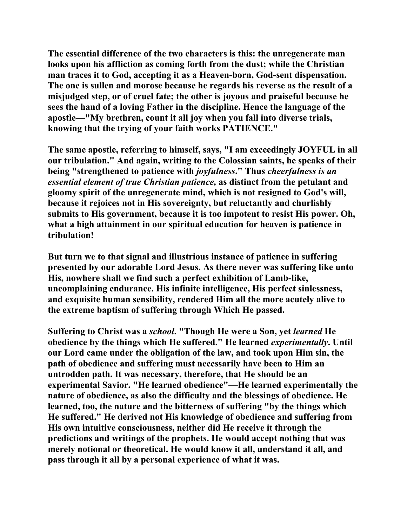**The essential difference of the two characters is this: the unregenerate man looks upon his affliction as coming forth from the dust; while the Christian man traces it to God, accepting it as a Heaven-born, God-sent dispensation. The one is sullen and morose because he regards his reverse as the result of a misjudged step, or of cruel fate; the other is joyous and praiseful because he sees the hand of a loving Father in the discipline. Hence the language of the apostle—"My brethren, count it all joy when you fall into diverse trials, knowing that the trying of your faith works PATIENCE."** 

**The same apostle, referring to himself, says, "I am exceedingly JOYFUL in all our tribulation." And again, writing to the Colossian saints, he speaks of their being "strengthened to patience with** *joyfulness***." Thus** *cheerfulness is an essential element of true Christian patience,* **as distinct from the petulant and gloomy spirit of the unregenerate mind, which is not resigned to God's will, because it rejoices not in His sovereignty, but reluctantly and churlishly submits to His government, because it is too impotent to resist His power. Oh, what a high attainment in our spiritual education for heaven is patience in tribulation!** 

**But turn we to that signal and illustrious instance of patience in suffering presented by our adorable Lord Jesus. As there never was suffering like unto His, nowhere shall we find such a perfect exhibition of Lamb-like, uncomplaining endurance. His infinite intelligence, His perfect sinlessness, and exquisite human sensibility, rendered Him all the more acutely alive to the extreme baptism of suffering through Which He passed.** 

**Suffering to Christ was a** *school***. "Though He were a Son, yet** *learned* **He obedience by the things which He suffered." He learned** *experimentally***. Until our Lord came under the obligation of the law, and took upon Him sin, the path of obedience and suffering must necessarily have been to Him an untrodden path. It was necessary, therefore, that He should be an experimental Savior. "He learned obedience"—He learned experimentally the nature of obedience, as also the difficulty and the blessings of obedience. He learned, too, the nature and the bitterness of suffering "by the things which He suffered." He derived not His knowledge of obedience and suffering from His own intuitive consciousness, neither did He receive it through the predictions and writings of the prophets. He would accept nothing that was merely notional or theoretical. He would know it all, understand it all, and pass through it all by a personal experience of what it was.**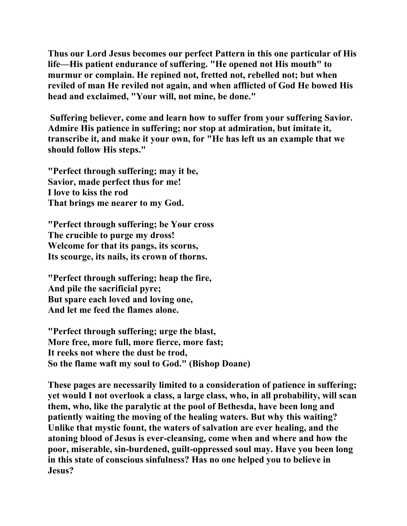**Thus our Lord Jesus becomes our perfect Pattern in this one particular of His life—His patient endurance of suffering. "He opened not His mouth" to murmur or complain. He repined not, fretted not, rebelled not; but when reviled of man He reviled not again, and when afflicted of God He bowed His head and exclaimed, "Your will, not mine, be done."** 

 **Suffering believer, come and learn how to suffer from your suffering Savior. Admire His patience in suffering; nor stop at admiration, but imitate it, transcribe it, and make it your own, for "He has left us an example that we should follow His steps."** 

**"Perfect through suffering; may it be, Savior, made perfect thus for me! I love to kiss the rod That brings me nearer to my God.** 

**"Perfect through suffering; be Your cross The crucible to purge my dross! Welcome for that its pangs, its scorns, Its scourge, its nails, its crown of thorns.** 

**"Perfect through suffering; heap the fire, And pile the sacrificial pyre; But spare each loved and loving one, And let me feed the flames alone.** 

**"Perfect through suffering; urge the blast, More free, more full, more fierce, more fast; It reeks not where the dust be trod, So the flame waft my soul to God." (Bishop Doane)** 

**These pages are necessarily limited to a consideration of patience in suffering; yet would I not overlook a class, a large class, who, in all probability, will scan them, who, like the paralytic at the pool of Bethesda, have been long and patiently waiting the moving of the healing waters. But why this waiting? Unlike that mystic fount, the waters of salvation are ever healing, and the atoning blood of Jesus is ever-cleansing, come when and where and how the poor, miserable, sin-burdened, guilt-oppressed soul may. Have you been long in this state of conscious sinfulness? Has no one helped you to believe in Jesus?**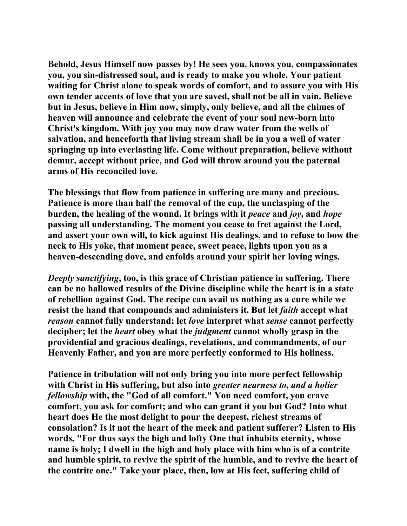**Behold, Jesus Himself now passes by! He sees you, knows you, compassionates you, you sin-distressed soul, and is ready to make you whole. Your patient waiting for Christ alone to speak words of comfort, and to assure you with His own tender accents of love that you are saved, shall not be all in vain. Believe but in Jesus, believe in Him now, simply, only believe, and all the chimes of heaven will announce and celebrate the event of your soul new-born into Christ's kingdom. With joy you may now draw water from the wells of salvation, and henceforth that living stream shall be in you a well of water springing up into everlasting life. Come without preparation, believe without demur, accept without price, and God will throw around you the paternal arms of His reconciled love.** 

**The blessings that flow from patience in suffering are many and precious. Patience is more than half the removal of the cup, the unclasping of the burden, the healing of the wound. It brings with it** *peace* **and** *joy***, and** *hope* **passing all understanding. The moment you cease to fret against the Lord, and assert your own will, to kick against His dealings, and to refuse to bow the neck to His yoke, that moment peace, sweet peace, lights upon you as a heaven-descending dove, and enfolds around your spirit her loving wings.** 

*Deeply sanctifying***, too, is this grace of Christian patience in suffering. There can be no hallowed results of the Divine discipline while the heart is in a state of rebellion against God. The recipe can avail us nothing as a cure while we resist the hand that compounds and administers it. But let** *faith* **accept what** *reason* **cannot fully understand; let** *love* **interpret what** *sense* **cannot perfectly decipher; let the** *heart* **obey what the** *judgment* **cannot wholly grasp in the providential and gracious dealings, revelations, and commandments, of our Heavenly Father, and you are more perfectly conformed to His holiness.** 

**Patience in tribulation will not only bring you into more perfect fellowship with Christ in His suffering, but also into** *greater nearness to, and a holier fellowship* **with, the "God of all comfort." You need comfort, you crave comfort, you ask for comfort; and who can grant it you but God? Into what heart does He the most delight to pour the deepest, richest streams of consolation? Is it not the heart of the meek and patient sufferer? Listen to His words, "For thus says the high and lofty One that inhabits eternity, whose name is holy; I dwell in the high and holy place with him who is of a contrite and humble spirit, to revive the spirit of the humble, and to revive the heart of the contrite one." Take your place, then, low at His feet, suffering child of**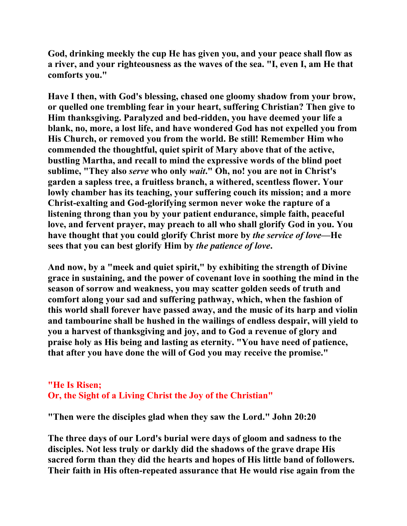**God, drinking meekly the cup He has given you, and your peace shall flow as a river, and your righteousness as the waves of the sea. "I, even I, am He that comforts you."** 

**Have I then, with God's blessing, chased one gloomy shadow from your brow, or quelled one trembling fear in your heart, suffering Christian? Then give to Him thanksgiving. Paralyzed and bed-ridden, you have deemed your life a blank, no, more, a lost life, and have wondered God has not expelled you from His Church, or removed you from the world. Be still! Remember Him who commended the thoughtful, quiet spirit of Mary above that of the active, bustling Martha, and recall to mind the expressive words of the blind poet sublime, "They also** *serve* **who only** *wait***." Oh, no! you are not in Christ's garden a sapless tree, a fruitless branch, a withered, scentless flower. Your lowly chamber has its teaching, your suffering couch its mission; and a more Christ-exalting and God-glorifying sermon never woke the rapture of a listening throng than you by your patient endurance, simple faith, peaceful love, and fervent prayer, may preach to all who shall glorify God in you. You have thought that you could glorify Christ more by** *the service of love***—He sees that you can best glorify Him by** *the patience of love***.** 

**And now, by a "meek and quiet spirit," by exhibiting the strength of Divine grace in sustaining, and the power of covenant love in soothing the mind in the season of sorrow and weakness, you may scatter golden seeds of truth and comfort along your sad and suffering pathway, which, when the fashion of this world shall forever have passed away, and the music of its harp and violin and tambourine shall be hushed in the wailings of endless despair, will yield to you a harvest of thanksgiving and joy, and to God a revenue of glory and praise holy as His being and lasting as eternity. "You have need of patience, that after you have done the will of God you may receive the promise."** 

## **"He Is Risen; Or, the Sight of a Living Christ the Joy of the Christian"**

**"Then were the disciples glad when they saw the Lord." John 20:20** 

**The three days of our Lord's burial were days of gloom and sadness to the disciples. Not less truly or darkly did the shadows of the grave drape His sacred form than they did the hearts and hopes of His little band of followers. Their faith in His often-repeated assurance that He would rise again from the**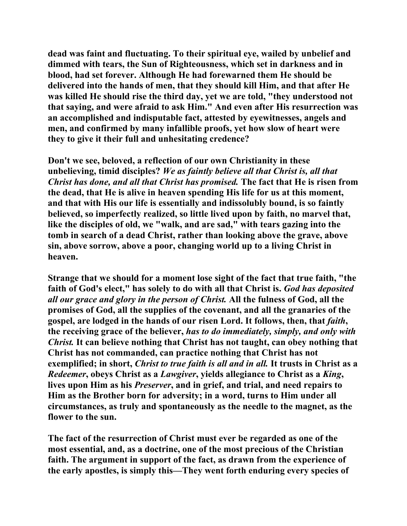**dead was faint and fluctuating. To their spiritual eye, wailed by unbelief and dimmed with tears, the Sun of Righteousness, which set in darkness and in blood, had set forever. Although He had forewarned them He should be delivered into the hands of men, that they should kill Him, and that after He was killed He should rise the third day, yet we are told, "they understood not that saying, and were afraid to ask Him." And even after His resurrection was an accomplished and indisputable fact, attested by eyewitnesses, angels and men, and confirmed by many infallible proofs, yet how slow of heart were they to give it their full and unhesitating credence?** 

**Don't we see, beloved, a reflection of our own Christianity in these unbelieving, timid disciples?** *We as faintly believe all that Christ is, all that Christ has done, and all that Christ has promised.* **The fact that He is risen from the dead, that He is alive in heaven spending His life for us at this moment, and that with His our life is essentially and indissolubly bound, is so faintly believed, so imperfectly realized, so little lived upon by faith, no marvel that, like the disciples of old, we "walk, and are sad," with tears gazing into the tomb in search of a dead Christ, rather than looking above the grave, above sin, above sorrow, above a poor, changing world up to a living Christ in heaven.** 

**Strange that we should for a moment lose sight of the fact that true faith, "the faith of God's elect," has solely to do with all that Christ is.** *God has deposited all our grace and glory in the person of Christ.* **All the fulness of God, all the promises of God, all the supplies of the covenant, and all the granaries of the**  gospel, are lodged in the hands of our risen Lord. It follows, then, that *faith*, **the receiving grace of the believer,** *has to do immediately, simply, and only with Christ.* **It can believe nothing that Christ has not taught, can obey nothing that Christ has not commanded, can practice nothing that Christ has not exemplified; in short,** *Christ to true faith is all and in all.* **It trusts in Christ as a**  *Redeemer***, obeys Christ as a** *Lawgiver***, yields allegiance to Christ as a** *King***, lives upon Him as his** *Preserver***, and in grief, and trial, and need repairs to Him as the Brother born for adversity; in a word, turns to Him under all circumstances, as truly and spontaneously as the needle to the magnet, as the flower to the sun.** 

**The fact of the resurrection of Christ must ever be regarded as one of the most essential, and, as a doctrine, one of the most precious of the Christian faith. The argument in support of the fact, as drawn from the experience of the early apostles, is simply this—They went forth enduring every species of**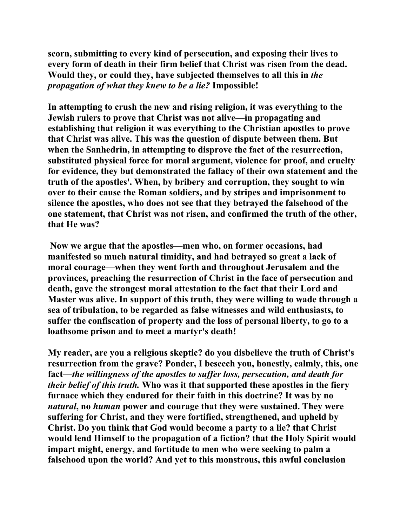**scorn, submitting to every kind of persecution, and exposing their lives to every form of death in their firm belief that Christ was risen from the dead. Would they, or could they, have subjected themselves to all this in** *the propagation of what they knew to be a lie?* **Impossible!** 

**In attempting to crush the new and rising religion, it was everything to the Jewish rulers to prove that Christ was not alive—in propagating and establishing that religion it was everything to the Christian apostles to prove that Christ was alive. This was the question of dispute between them. But when the Sanhedrin, in attempting to disprove the fact of the resurrection, substituted physical force for moral argument, violence for proof, and cruelty for evidence, they but demonstrated the fallacy of their own statement and the truth of the apostles'. When, by bribery and corruption, they sought to win over to their cause the Roman soldiers, and by stripes and imprisonment to silence the apostles, who does not see that they betrayed the falsehood of the one statement, that Christ was not risen, and confirmed the truth of the other, that He was?** 

 **Now we argue that the apostles—men who, on former occasions, had manifested so much natural timidity, and had betrayed so great a lack of moral courage—when they went forth and throughout Jerusalem and the provinces, preaching the resurrection of Christ in the face of persecution and death, gave the strongest moral attestation to the fact that their Lord and Master was alive. In support of this truth, they were willing to wade through a sea of tribulation, to be regarded as false witnesses and wild enthusiasts, to suffer the confiscation of property and the loss of personal liberty, to go to a loathsome prison and to meet a martyr's death!** 

**My reader, are you a religious skeptic? do you disbelieve the truth of Christ's resurrection from the grave? Ponder, I beseech you, honestly, calmly, this, one fact—***the willingness of the apostles to suffer loss, persecution, and death for their belief of this truth.* **Who was it that supported these apostles in the fiery furnace which they endured for their faith in this doctrine? It was by no**  *natural***, no** *human* **power and courage that they were sustained. They were suffering for Christ, and they were fortified, strengthened, and upheld by Christ. Do you think that God would become a party to a lie? that Christ would lend Himself to the propagation of a fiction? that the Holy Spirit would impart might, energy, and fortitude to men who were seeking to palm a falsehood upon the world? And yet to this monstrous, this awful conclusion**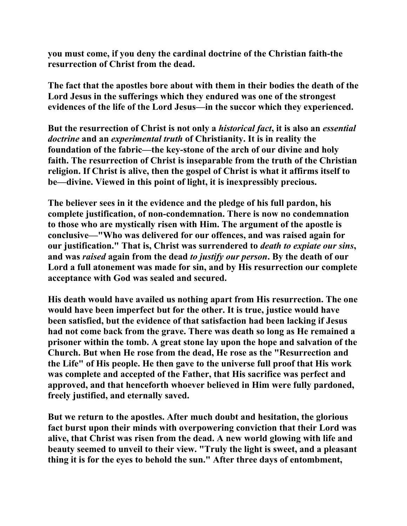**you must come, if you deny the cardinal doctrine of the Christian faith-the resurrection of Christ from the dead.** 

**The fact that the apostles bore about with them in their bodies the death of the Lord Jesus in the sufferings which they endured was one of the strongest evidences of the life of the Lord Jesus—in the succor which they experienced.** 

**But the resurrection of Christ is not only a** *historical fact***, it is also an** *essential doctrine* **and an** *experimental truth* **of Christianity. It is in reality the foundation of the fabric—the key-stone of the arch of our divine and holy faith. The resurrection of Christ is inseparable from the truth of the Christian religion. If Christ is alive, then the gospel of Christ is what it affirms itself to be—divine. Viewed in this point of light, it is inexpressibly precious.** 

**The believer sees in it the evidence and the pledge of his full pardon, his complete justification, of non-condemnation. There is now no condemnation to those who are mystically risen with Him. The argument of the apostle is conclusive—"Who was delivered for our offences, and was raised again for our justification." That is, Christ was surrendered to** *death to expiate our sins***, and was** *raised* **again from the dead** *to justify our person***. By the death of our Lord a full atonement was made for sin, and by His resurrection our complete acceptance with God was sealed and secured.** 

**His death would have availed us nothing apart from His resurrection. The one would have been imperfect but for the other. It is true, justice would have been satisfied, but the evidence of that satisfaction had been lacking if Jesus had not come back from the grave. There was death so long as He remained a prisoner within the tomb. A great stone lay upon the hope and salvation of the Church. But when He rose from the dead, He rose as the "Resurrection and the Life" of His people. He then gave to the universe full proof that His work was complete and accepted of the Father, that His sacrifice was perfect and approved, and that henceforth whoever believed in Him were fully pardoned, freely justified, and eternally saved.** 

**But we return to the apostles. After much doubt and hesitation, the glorious fact burst upon their minds with overpowering conviction that their Lord was alive, that Christ was risen from the dead. A new world glowing with life and beauty seemed to unveil to their view. "Truly the light is sweet, and a pleasant thing it is for the eyes to behold the sun." After three days of entombment,**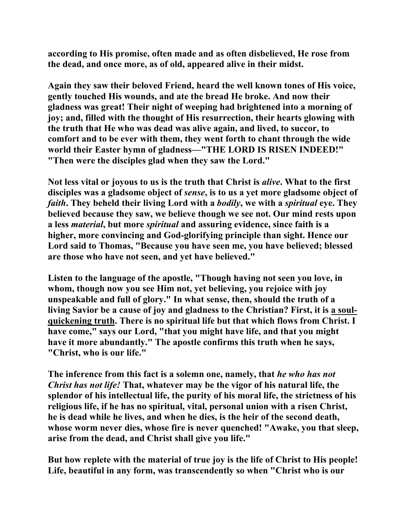**according to His promise, often made and as often disbelieved, He rose from the dead, and once more, as of old, appeared alive in their midst.** 

**Again they saw their beloved Friend, heard the well known tones of His voice, gently touched His wounds, and ate the bread He broke. And now their gladness was great! Their night of weeping had brightened into a morning of joy; and, filled with the thought of His resurrection, their hearts glowing with the truth that He who was dead was alive again, and lived, to succor, to comfort and to be ever with them, they went forth to chant through the wide world their Easter hymn of gladness—"THE LORD IS RISEN INDEED!" "Then were the disciples glad when they saw the Lord."** 

**Not less vital or joyous to us is the truth that Christ is** *alive***. What to the first disciples was a gladsome object of** *sense***, is to us a yet more gladsome object of**  *faith***. They beheld their living Lord with a** *bodily***, we with a** *spiritual* **eye. They believed because they saw, we believe though we see not. Our mind rests upon a less** *material***, but more** *spiritual* **and assuring evidence, since faith is a higher, more convincing and God-glorifying principle than sight. Hence our Lord said to Thomas, "Because you have seen me, you have believed; blessed are those who have not seen, and yet have believed."** 

**Listen to the language of the apostle, "Though having not seen you love, in whom, though now you see Him not, yet believing, you rejoice with joy unspeakable and full of glory." In what sense, then, should the truth of a living Savior be a cause of joy and gladness to the Christian? First, it is a soulquickening truth. There is no spiritual life but that which flows from Christ. I have come," says our Lord, "that you might have life, and that you might have it more abundantly." The apostle confirms this truth when he says, "Christ, who is our life."** 

**The inference from this fact is a solemn one, namely, that** *he who has not Christ has not life!* **That, whatever may be the vigor of his natural life, the splendor of his intellectual life, the purity of his moral life, the strictness of his religious life, if he has no spiritual, vital, personal union with a risen Christ, he is dead while he lives, and when he dies, is the heir of the second death, whose worm never dies, whose fire is never quenched! "Awake, you that sleep, arise from the dead, and Christ shall give you life."** 

**But how replete with the material of true joy is the life of Christ to His people! Life, beautiful in any form, was transcendently so when "Christ who is our**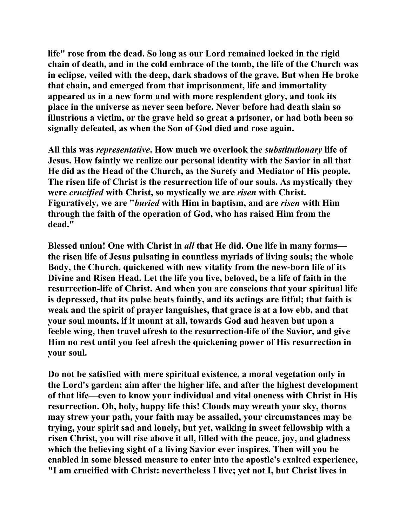**life" rose from the dead. So long as our Lord remained locked in the rigid chain of death, and in the cold embrace of the tomb, the life of the Church was in eclipse, veiled with the deep, dark shadows of the grave. But when He broke that chain, and emerged from that imprisonment, life and immortality appeared as in a new form and with more resplendent glory, and took its place in the universe as never seen before. Never before had death slain so illustrious a victim, or the grave held so great a prisoner, or had both been so signally defeated, as when the Son of God died and rose again.** 

**All this was** *representative***. How much we overlook the** *substitutionary* **life of Jesus. How faintly we realize our personal identity with the Savior in all that He did as the Head of the Church, as the Surety and Mediator of His people. The risen life of Christ is the resurrection life of our souls. As mystically they were** *crucified* **with Christ, so mystically we are** *risen* **with Christ. Figuratively, we are "***buried* **with Him in baptism, and are** *risen* **with Him through the faith of the operation of God, who has raised Him from the dead."** 

**Blessed union! One with Christ in** *all* **that He did. One life in many forms the risen life of Jesus pulsating in countless myriads of living souls; the whole Body, the Church, quickened with new vitality from the new-born life of its Divine and Risen Head. Let the life you live, beloved, be a life of faith in the resurrection-life of Christ. And when you are conscious that your spiritual life is depressed, that its pulse beats faintly, and its actings are fitful; that faith is weak and the spirit of prayer languishes, that grace is at a low ebb, and that your soul mounts, if it mount at all, towards God and heaven but upon a feeble wing, then travel afresh to the resurrection-life of the Savior, and give Him no rest until you feel afresh the quickening power of His resurrection in your soul.** 

**Do not be satisfied with mere spiritual existence, a moral vegetation only in the Lord's garden; aim after the higher life, and after the highest development of that life—even to know your individual and vital oneness with Christ in His resurrection. Oh, holy, happy life this! Clouds may wreath your sky, thorns may strew your path, your faith may be assailed, your circumstances may be trying, your spirit sad and lonely, but yet, walking in sweet fellowship with a risen Christ, you will rise above it all, filled with the peace, joy, and gladness which the believing sight of a living Savior ever inspires. Then will you be enabled in some blessed measure to enter into the apostle's exalted experience, "I am crucified with Christ: nevertheless I live; yet not I, but Christ lives in**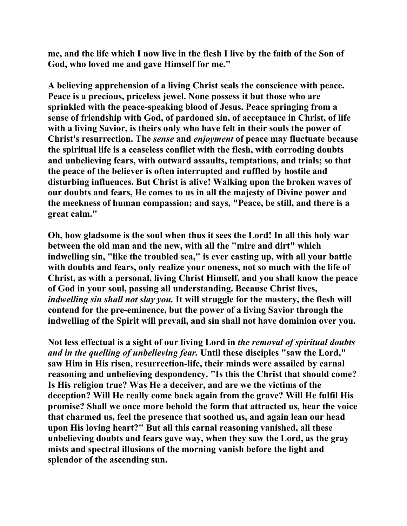**me, and the life which I now live in the flesh I live by the faith of the Son of God, who loved me and gave Himself for me."** 

**A believing apprehension of a living Christ seals the conscience with peace. Peace is a precious, priceless jewel. None possess it but those who are sprinkled with the peace-speaking blood of Jesus. Peace springing from a sense of friendship with God, of pardoned sin, of acceptance in Christ, of life with a living Savior, is theirs only who have felt in their souls the power of Christ's resurrection. The** *sense* **and** *enjoyment* **of peace may fluctuate because the spiritual life is a ceaseless conflict with the flesh, with corroding doubts and unbelieving fears, with outward assaults, temptations, and trials; so that the peace of the believer is often interrupted and ruffled by hostile and disturbing influences. But Christ is alive! Walking upon the broken waves of our doubts and fears, He comes to us in all the majesty of Divine power and the meekness of human compassion; and says, "Peace, be still, and there is a great calm."** 

**Oh, how gladsome is the soul when thus it sees the Lord! In all this holy war between the old man and the new, with all the "mire and dirt" which indwelling sin, "like the troubled sea," is ever casting up, with all your battle with doubts and fears, only realize your oneness, not so much with the life of Christ, as with a personal, living Christ Himself, and you shall know the peace of God in your soul, passing all understanding. Because Christ lives,**  *indwelling sin shall not slay you.* **It will struggle for the mastery, the flesh will contend for the pre-eminence, but the power of a living Savior through the indwelling of the Spirit will prevail, and sin shall not have dominion over you.** 

**Not less effectual is a sight of our living Lord in** *the removal of spiritual doubts and in the quelling of unbelieving fear.* **Until these disciples "saw the Lord," saw Him in His risen, resurrection-life, their minds were assailed by carnal reasoning and unbelieving despondency. "Is this the Christ that should come? Is His religion true? Was He a deceiver, and are we the victims of the deception? Will He really come back again from the grave? Will He fulfil His promise? Shall we once more behold the form that attracted us, hear the voice that charmed us, feel the presence that soothed us, and again lean our head upon His loving heart?" But all this carnal reasoning vanished, all these unbelieving doubts and fears gave way, when they saw the Lord, as the gray mists and spectral illusions of the morning vanish before the light and splendor of the ascending sun.**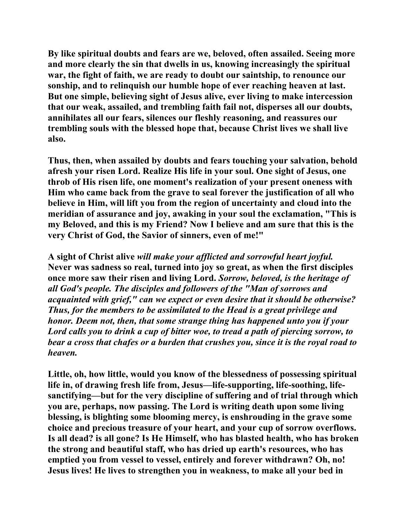**By like spiritual doubts and fears are we, beloved, often assailed. Seeing more and more clearly the sin that dwells in us, knowing increasingly the spiritual war, the fight of faith, we are ready to doubt our saintship, to renounce our sonship, and to relinquish our humble hope of ever reaching heaven at last. But one simple, believing sight of Jesus alive, ever living to make intercession that our weak, assailed, and trembling faith fail not, disperses all our doubts, annihilates all our fears, silences our fleshly reasoning, and reassures our trembling souls with the blessed hope that, because Christ lives we shall live also.** 

**Thus, then, when assailed by doubts and fears touching your salvation, behold afresh your risen Lord. Realize His life in your soul. One sight of Jesus, one throb of His risen life, one moment's realization of your present oneness with Him who came back from the grave to seal forever the justification of all who believe in Him, will lift you from the region of uncertainty and cloud into the meridian of assurance and joy, awaking in your soul the exclamation, "This is my Beloved, and this is my Friend? Now I believe and am sure that this is the very Christ of God, the Savior of sinners, even of me!"** 

**A sight of Christ alive** *will make your afflicted and sorrowful heart joyful.*  **Never was sadness so real, turned into joy so great, as when the first disciples once more saw their risen and living Lord.** *Sorrow, beloved, is the heritage of all God's people. The disciples and followers of the "Man of sorrows and acquainted with grief," can we expect or even desire that it should be otherwise? Thus, for the members to be assimilated to the Head is a great privilege and honor. Deem not, then, that some strange thing has happened unto you if your Lord calls you to drink a cup of bitter woe, to tread a path of piercing sorrow, to bear a cross that chafes or a burden that crushes you, since it is the royal road to heaven.*

**Little, oh, how little, would you know of the blessedness of possessing spiritual life in, of drawing fresh life from, Jesus—life-supporting, life-soothing, lifesanctifying—but for the very discipline of suffering and of trial through which you are, perhaps, now passing. The Lord is writing death upon some living blessing, is blighting some blooming mercy, is enshrouding in the grave some choice and precious treasure of your heart, and your cup of sorrow overflows. Is all dead? is all gone? Is He Himself, who has blasted health, who has broken the strong and beautiful staff, who has dried up earth's resources, who has emptied you from vessel to vessel, entirely and forever withdrawn? Oh, no! Jesus lives! He lives to strengthen you in weakness, to make all your bed in**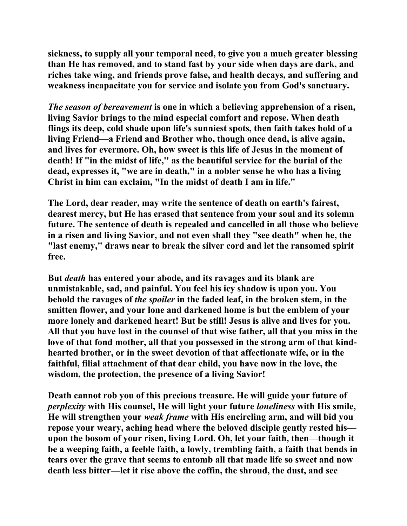**sickness, to supply all your temporal need, to give you a much greater blessing than He has removed, and to stand fast by your side when days are dark, and riches take wing, and friends prove false, and health decays, and suffering and weakness incapacitate you for service and isolate you from God's sanctuary.** 

*The season of bereavement* **is one in which a believing apprehension of a risen, living Savior brings to the mind especial comfort and repose. When death flings its deep, cold shade upon life's sunniest spots, then faith takes hold of a living Friend—a Friend and Brother who, though once dead, is alive again, and lives for evermore. Oh, how sweet is this life of Jesus in the moment of death! If "in the midst of life,'' as the beautiful service for the burial of the dead, expresses it, "we are in death," in a nobler sense he who has a living Christ in him can exclaim, "In the midst of death I am in life."** 

**The Lord, dear reader, may write the sentence of death on earth's fairest, dearest mercy, but He has erased that sentence from your soul and its solemn future. The sentence of death is repealed and cancelled in all those who believe in a risen and living Savior, and not even shall they "see death" when he, the "last enemy," draws near to break the silver cord and let the ransomed spirit free.** 

**But** *death* **has entered your abode, and its ravages and its blank are unmistakable, sad, and painful. You feel his icy shadow is upon you. You behold the ravages of** *the spoiler* **in the faded leaf, in the broken stem, in the smitten flower, and your lone and darkened home is but the emblem of your more lonely and darkened heart! But be still! Jesus is alive and lives for you. All that you have lost in the counsel of that wise father, all that you miss in the love of that fond mother, all that you possessed in the strong arm of that kindhearted brother, or in the sweet devotion of that affectionate wife, or in the faithful, filial attachment of that dear child, you have now in the love, the wisdom, the protection, the presence of a living Savior!** 

**Death cannot rob you of this precious treasure. He will guide your future of**  *perplexity* **with His counsel, He will light your future** *loneliness* **with His smile, He will strengthen your** *weak frame* **with His encircling arm, and will bid you repose your weary, aching head where the beloved disciple gently rested his upon the bosom of your risen, living Lord. Oh, let your faith, then—though it be a weeping faith, a feeble faith, a lowly, trembling faith, a faith that bends in tears over the grave that seems to entomb all that made life so sweet and now death less bitter—let it rise above the coffin, the shroud, the dust, and see**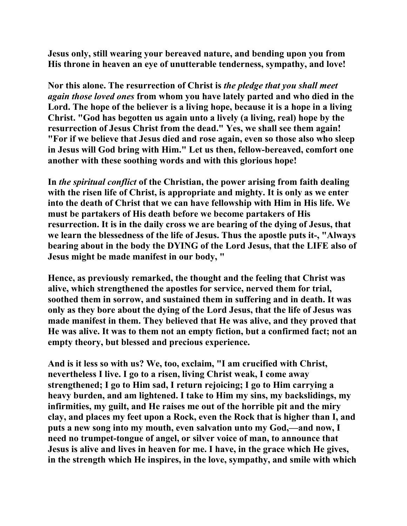**Jesus only, still wearing your bereaved nature, and bending upon you from His throne in heaven an eye of unutterable tenderness, sympathy, and love!** 

**Nor this alone. The resurrection of Christ is** *the pledge that you shall meet again those loved ones* **from whom you have lately parted and who died in the Lord. The hope of the believer is a living hope, because it is a hope in a living Christ. "God has begotten us again unto a lively (a living, real) hope by the resurrection of Jesus Christ from the dead." Yes, we shall see them again! "For if we believe that Jesus died and rose again, even so those also who sleep in Jesus will God bring with Him." Let us then, fellow-bereaved, comfort one another with these soothing words and with this glorious hope!** 

**In** *the spiritual conflict* **of the Christian, the power arising from faith dealing with the risen life of Christ, is appropriate and mighty. It is only as we enter into the death of Christ that we can have fellowship with Him in His life. We must be partakers of His death before we become partakers of His resurrection. It is in the daily cross we are bearing of the dying of Jesus, that we learn the blessedness of the life of Jesus. Thus the apostle puts it-, "Always bearing about in the body the DYING of the Lord Jesus, that the LIFE also of Jesus might be made manifest in our body, "** 

**Hence, as previously remarked, the thought and the feeling that Christ was alive, which strengthened the apostles for service, nerved them for trial, soothed them in sorrow, and sustained them in suffering and in death. It was only as they bore about the dying of the Lord Jesus, that the life of Jesus was made manifest in them. They believed that He was alive, and they proved that He was alive. It was to them not an empty fiction, but a confirmed fact; not an empty theory, but blessed and precious experience.** 

**And is it less so with us? We, too, exclaim, "I am crucified with Christ, nevertheless I live. I go to a risen, living Christ weak, I come away strengthened; I go to Him sad, I return rejoicing; I go to Him carrying a heavy burden, and am lightened. I take to Him my sins, my backslidings, my infirmities, my guilt, and He raises me out of the horrible pit and the miry clay, and places my feet upon a Rock, even the Rock that is higher than I, and puts a new song into my mouth, even salvation unto my God,—and now, I need no trumpet-tongue of angel, or silver voice of man, to announce that Jesus is alive and lives in heaven for me. I have, in the grace which He gives, in the strength which He inspires, in the love, sympathy, and smile with which**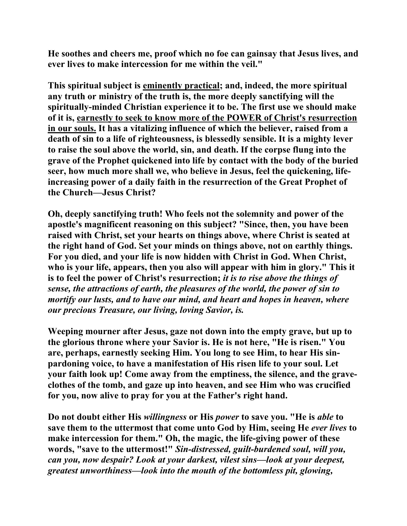**He soothes and cheers me, proof which no foe can gainsay that Jesus lives, and ever lives to make intercession for me within the veil."** 

**This spiritual subject is eminently practical; and, indeed, the more spiritual any truth or ministry of the truth is, the more deeply sanctifying will the spiritually-minded Christian experience it to be. The first use we should make of it is, earnestly to seek to know more of the POWER of Christ's resurrection in our souls. It has a vitalizing influence of which the believer, raised from a death of sin to a life of righteousness, is blessedly sensible. It is a mighty lever to raise the soul above the world, sin, and death. If the corpse flung into the grave of the Prophet quickened into life by contact with the body of the buried seer, how much more shall we, who believe in Jesus, feel the quickening, lifeincreasing power of a daily faith in the resurrection of the Great Prophet of the Church—Jesus Christ?** 

**Oh, deeply sanctifying truth! Who feels not the solemnity and power of the apostle's magnificent reasoning on this subject? "Since, then, you have been raised with Christ, set your hearts on things above, where Christ is seated at the right hand of God. Set your minds on things above, not on earthly things. For you died, and your life is now hidden with Christ in God. When Christ, who is your life, appears, then you also will appear with him in glory." This it is to feel the power of Christ's resurrection;** *it is to rise above the things of sense, the attractions of earth, the pleasures of the world, the power of sin to mortify our lusts, and to have our mind, and heart and hopes in heaven, where our precious Treasure, our living, loving Savior, is.*

**Weeping mourner after Jesus, gaze not down into the empty grave, but up to the glorious throne where your Savior is. He is not here, "He is risen." You are, perhaps, earnestly seeking Him. You long to see Him, to hear His sinpardoning voice, to have a manifestation of His risen life to your soul. Let your faith look up! Come away from the emptiness, the silence, and the graveclothes of the tomb, and gaze up into heaven, and see Him who was crucified for you, now alive to pray for you at the Father's right hand.** 

**Do not doubt either His** *willingness* **or His** *power* **to save you. "He is** *able* **to save them to the uttermost that come unto God by Him, seeing He** *ever lives* **to make intercession for them." Oh, the magic, the life-giving power of these words, "save to the uttermost!"** *Sin-distressed, guilt-burdened soul, will you, can you, now despair? Look at your darkest, vilest sins—look at your deepest, greatest unworthiness—look into the mouth of the bottomless pit, glowing,*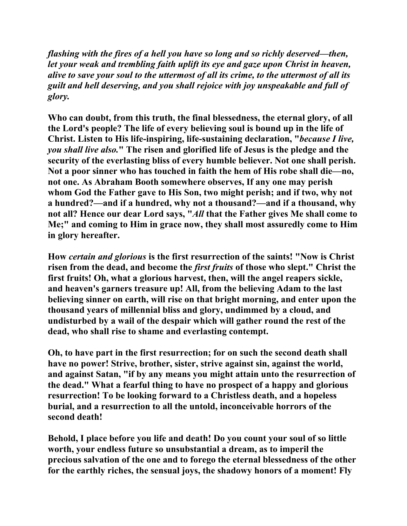*flashing with the fires of a hell you have so long and so richly deserved—then, let your weak and trembling faith uplift its eye and gaze upon Christ in heaven, alive to save your soul to the uttermost of all its crime, to the uttermost of all its guilt and hell deserving, and you shall rejoice with joy unspeakable and full of glory.*

**Who can doubt, from this truth, the final blessedness, the eternal glory, of all the Lord's people? The life of every believing soul is bound up in the life of Christ. Listen to His life-inspiring, life-sustaining declaration, "***because I live, you shall live also.***" The risen and glorified life of Jesus is the pledge and the security of the everlasting bliss of every humble believer. Not one shall perish. Not a poor sinner who has touched in faith the hem of His robe shall die—no, not one. As Abraham Booth somewhere observes, If any one may perish whom God the Father gave to His Son, two might perish; and if two, why not a hundred?—and if a hundred, why not a thousand?—and if a thousand, why not all? Hence our dear Lord says, "***All* **that the Father gives Me shall come to Me;" and coming to Him in grace now, they shall most assuredly come to Him in glory hereafter.** 

**How** *certain and glorious* **is the first resurrection of the saints! "Now is Christ risen from the dead, and become the** *first fruits* **of those who slept." Christ the first fruits! Oh, what a glorious harvest, then, will the angel reapers sickle, and heaven's garners treasure up! All, from the believing Adam to the last believing sinner on earth, will rise on that bright morning, and enter upon the thousand years of millennial bliss and glory, undimmed by a cloud, and undisturbed by a wail of the despair which will gather round the rest of the dead, who shall rise to shame and everlasting contempt.** 

**Oh, to have part in the first resurrection; for on such the second death shall have no power! Strive, brother, sister, strive against sin, against the world, and against Satan, "if by any means you might attain unto the resurrection of the dead." What a fearful thing to have no prospect of a happy and glorious resurrection! To be looking forward to a Christless death, and a hopeless burial, and a resurrection to all the untold, inconceivable horrors of the second death!** 

**Behold, I place before you life and death! Do you count your soul of so little worth, your endless future so unsubstantial a dream, as to imperil the precious salvation of the one and to forego the eternal blessedness of the other for the earthly riches, the sensual joys, the shadowy honors of a moment! Fly**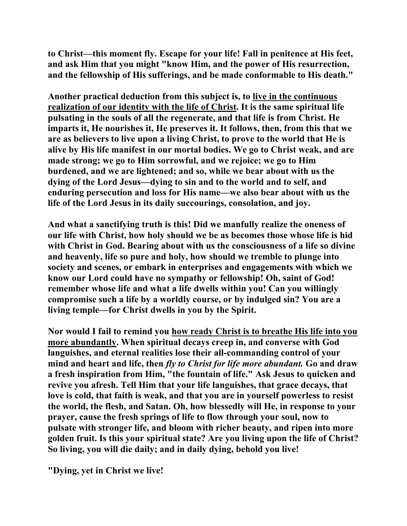**to Christ—this moment fly. Escape for your life! Fall in penitence at His feet, and ask Him that you might "know Him, and the power of His resurrection, and the fellowship of His sufferings, and be made conformable to His death."** 

**Another practical deduction from this subject is, to live in the continuous realization of our identity with the life of Christ. It is the same spiritual life pulsating in the souls of all the regenerate, and that life is from Christ. He imparts it, He nourishes it, He preserves it. It follows, then, from this that we are as believers to live upon a living Christ, to prove to the world that He is alive by His life manifest in our mortal bodies. We go to Christ weak, and are made strong; we go to Him sorrowful, and we rejoice; we go to Him burdened, and we are lightened; and so, while we bear about with us the dying of the Lord Jesus—dying to sin and to the world and to self, and enduring persecution and loss for His name—we also bear about with us the life of the Lord Jesus in its daily succourings, consolation, and joy.** 

**And what a sanctifying truth is this! Did we manfully realize the oneness of our life with Christ, how holy should we be as becomes those whose life is hid with Christ in God. Bearing about with us the consciousness of a life so divine and heavenly, life so pure and holy, how should we tremble to plunge into society and scenes, or embark in enterprises and engagements with which we know our Lord could have no sympathy or fellowship! Oh, saint of God! remember whose life and what a life dwells within you! Can you willingly compromise such a life by a worldly course, or by indulged sin? You are a living temple—for Christ dwells in you by the Spirit.** 

**Nor would I fail to remind you how ready Christ is to breathe His life into you more abundantly. When spiritual decays creep in, and converse with God languishes, and eternal realities lose their all-commanding control of your mind and heart and life, then** *fly to Christ for life more abundant.* **Go and draw a fresh inspiration from Him, "the fountain of life." Ask Jesus to quicken and revive you afresh. Tell Him that your life languishes, that grace decays, that love is cold, that faith is weak, and that you are in yourself powerless to resist the world, the flesh, and Satan. Oh, how blessedly will He, in response to your prayer, cause the fresh springs of life to flow through your soul, now to pulsate with stronger life, and bloom with richer beauty, and ripen into more golden fruit. Is this your spiritual state? Are you living upon the life of Christ? So living, you will die daily; and in daily dying, behold you live!** 

**"Dying, yet in Christ we live!**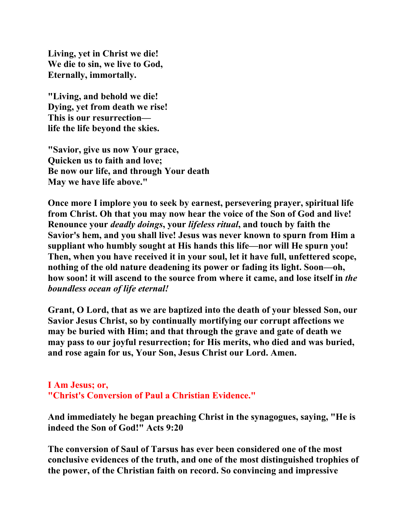**Living, yet in Christ we die! We die to sin, we live to God, Eternally, immortally.** 

**"Living, and behold we die! Dying, yet from death we rise! This is our resurrection life the life beyond the skies.** 

**"Savior, give us now Your grace, Quicken us to faith and love; Be now our life, and through Your death May we have life above."** 

**Once more I implore you to seek by earnest, persevering prayer, spiritual life from Christ. Oh that you may now hear the voice of the Son of God and live! Renounce your** *deadly doings***, your** *lifeless ritual***, and touch by faith the Savior's hem, and you shall live! Jesus was never known to spurn from Him a suppliant who humbly sought at His hands this life—nor will He spurn you! Then, when you have received it in your soul, let it have full, unfettered scope, nothing of the old nature deadening its power or fading its light. Soon—oh, how soon! it will ascend to the source from where it came, and lose itself in** *the boundless ocean of life eternal!* 

**Grant, O Lord, that as we are baptized into the death of your blessed Son, our Savior Jesus Christ, so by continually mortifying our corrupt affections we may be buried with Him; and that through the grave and gate of death we may pass to our joyful resurrection; for His merits, who died and was buried, and rose again for us, Your Son, Jesus Christ our Lord. Amen.** 

## **I Am Jesus; or, "Christ's Conversion of Paul a Christian Evidence."**

**And immediately he began preaching Christ in the synagogues, saying, "He is indeed the Son of God!" Acts 9:20** 

**The conversion of Saul of Tarsus has ever been considered one of the most conclusive evidences of the truth, and one of the most distinguished trophies of the power, of the Christian faith on record. So convincing and impressive**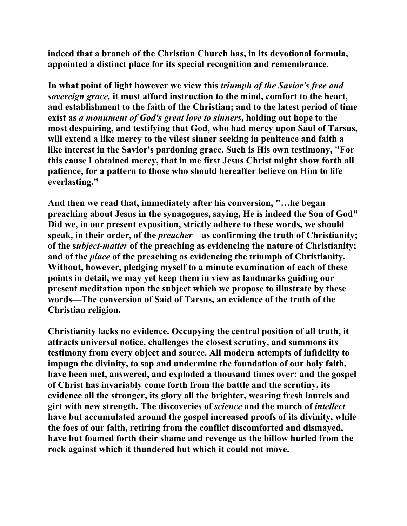**indeed that a branch of the Christian Church has, in its devotional formula, appointed a distinct place for its special recognition and remembrance.** 

**In what point of light however we view this** *triumph of the Savior's free and sovereign grace,* **it must afford instruction to the mind, comfort to the heart, and establishment to the faith of the Christian; and to the latest period of time exist as** *a monument of God's great love to sinners***, holding out hope to the most despairing, and testifying that God, who had mercy upon Saul of Tarsus, will extend a like mercy to the vilest sinner seeking in penitence and faith a like interest in the Savior's pardoning grace. Such is His own testimony, "For this cause I obtained mercy, that in me first Jesus Christ might show forth all patience, for a pattern to those who should hereafter believe on Him to life everlasting."** 

**And then we read that, immediately after his conversion, "…he began preaching about Jesus in the synagogues, saying, He is indeed the Son of God" Did we, in our present exposition, strictly adhere to these words, we should speak, in their order, of the** *preacher***—as confirming the truth of Christianity; of the s***ubject-matter* **of the preaching as evidencing the nature of Christianity; and of the** *place* **of the preaching as evidencing the triumph of Christianity. Without, however, pledging myself to a minute examination of each of these points in detail, we may yet keep them in view as landmarks guiding our present meditation upon the subject which we propose to illustrate by these words—The conversion of Said of Tarsus, an evidence of the truth of the Christian religion.** 

**Christianity lacks no evidence. Occupying the central position of all truth, it attracts universal notice, challenges the closest scrutiny, and summons its testimony from every object and source. All modern attempts of infidelity to impugn the divinity, to sap and undermine the foundation of our holy faith, have been met, answered, and exploded a thousand times over: and the gospel of Christ has invariably come forth from the battle and the scrutiny, its evidence all the stronger, its glory all the brighter, wearing fresh laurels and girt with new strength. The discoveries of** *science* **and the march of** *intellect* **have but accumulated around the gospel increased proofs of its divinity, while the foes of our faith, retiring from the conflict discomforted and dismayed, have but foamed forth their shame and revenge as the billow hurled from the rock against which it thundered but which it could not move.**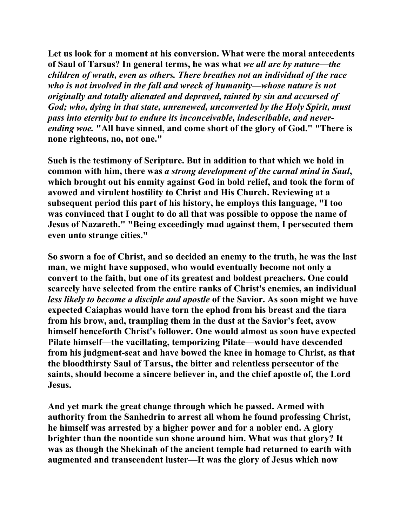**Let us look for a moment at his conversion. What were the moral antecedents of Saul of Tarsus? In general terms, he was what** *we all are by nature—the children of wrath, even as others. There breathes not an individual of the race who is not involved in the fall and wreck of humanity—whose nature is not originally and totally alienated and depraved, tainted by sin and accursed of God; who, dying in that state, unrenewed, unconverted by the Holy Spirit, must pass into eternity but to endure its inconceivable, indescribable, and neverending woe.* **"All have sinned, and come short of the glory of God." "There is none righteous, no, not one."** 

**Such is the testimony of Scripture. But in addition to that which we hold in common with him, there was** *a strong development of the carnal mind in Saul***, which brought out his enmity against God in bold relief, and took the form of avowed and virulent hostility to Christ and His Church. Reviewing at a subsequent period this part of his history, he employs this language, "I too was convinced that I ought to do all that was possible to oppose the name of Jesus of Nazareth." "Being exceedingly mad against them, I persecuted them even unto strange cities."** 

**So sworn a foe of Christ, and so decided an enemy to the truth, he was the last man, we might have supposed, who would eventually become not only a convert to the faith, but one of its greatest and boldest preachers. One could scarcely have selected from the entire ranks of Christ's enemies, an individual**  *less likely to become a disciple and apostle* **of the Savior. As soon might we have expected Caiaphas would have torn the ephod from his breast and the tiara from his brow, and, trampling them in the dust at the Savior's feet, avow himself henceforth Christ's follower. One would almost as soon have expected Pilate himself—the vacillating, temporizing Pilate—would have descended from his judgment-seat and have bowed the knee in homage to Christ, as that the bloodthirsty Saul of Tarsus, the bitter and relentless persecutor of the saints, should become a sincere believer in, and the chief apostle of, the Lord Jesus.** 

**And yet mark the great change through which he passed. Armed with authority from the Sanhedrin to arrest all whom he found professing Christ, he himself was arrested by a higher power and for a nobler end. A glory brighter than the noontide sun shone around him. What was that glory? It was as though the Shekinah of the ancient temple had returned to earth with augmented and transcendent luster—It was the glory of Jesus which now**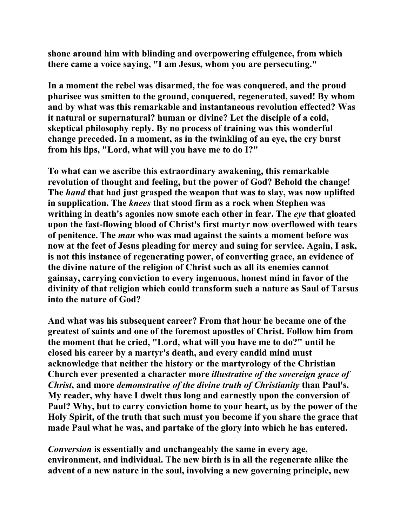**shone around him with blinding and overpowering effulgence, from which there came a voice saying, "I am Jesus, whom you are persecuting."** 

**In a moment the rebel was disarmed, the foe was conquered, and the proud pharisee was smitten to the ground, conquered, regenerated, saved! By whom and by what was this remarkable and instantaneous revolution effected? Was it natural or supernatural? human or divine? Let the disciple of a cold, skeptical philosophy reply. By no process of training was this wonderful change preceded. In a moment, as in the twinkling of an eye, the cry burst from his lips, "Lord, what will you have me to do I?"** 

**To what can we ascribe this extraordinary awakening, this remarkable revolution of thought and feeling, but the power of God? Behold the change! The** *hand* **that had just grasped the weapon that was to slay, was now uplifted in supplication. The** *knees* **that stood firm as a rock when Stephen was writhing in death's agonies now smote each other in fear. The** *eye* **that gloated upon the fast-flowing blood of Christ's first martyr now overflowed with tears of penitence. The** *man* **who was mad against the saints a moment before was now at the feet of Jesus pleading for mercy and suing for service. Again, I ask, is not this instance of regenerating power, of converting grace, an evidence of the divine nature of the religion of Christ such as all its enemies cannot gainsay, carrying conviction to every ingenuous, honest mind in favor of the divinity of that religion which could transform such a nature as Saul of Tarsus into the nature of God?** 

**And what was his subsequent career? From that hour he became one of the greatest of saints and one of the foremost apostles of Christ. Follow him from the moment that he cried, "Lord, what will you have me to do?" until he closed his career by a martyr's death, and every candid mind must acknowledge that neither the history or the martyrology of the Christian Church ever presented a character more** *illustrative of the sovereign grace of Christ***, and more** *demonstrative of the divine truth of Christianity* **than Paul's. My reader, why have I dwelt thus long and earnestly upon the conversion of Paul? Why, but to carry conviction home to your heart, as by the power of the Holy Spirit, of the truth that such must you become if you share the grace that made Paul what he was, and partake of the glory into which he has entered.** 

*Conversion* **is essentially and unchangeably the same in every age, environment, and individual. The new birth is in all the regenerate alike the advent of a new nature in the soul, involving a new governing principle, new**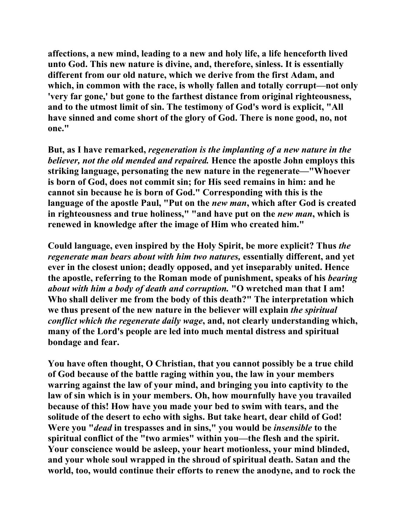**affections, a new mind, leading to a new and holy life, a life henceforth lived unto God. This new nature is divine, and, therefore, sinless. It is essentially different from our old nature, which we derive from the first Adam, and which, in common with the race, is wholly fallen and totally corrupt—not only 'very far gone,' but gone to the farthest distance from original righteousness, and to the utmost limit of sin. The testimony of God's word is explicit, "All have sinned and come short of the glory of God. There is none good, no, not one."** 

**But, as I have remarked,** *regeneration is the implanting of a new nature in the believer, not the old mended and repaired.* **Hence the apostle John employs this striking language, personating the new nature in the regenerate—"Whoever is born of God, does not commit sin; for His seed remains in him: and he cannot sin because he is born of God." Corresponding with this is the language of the apostle Paul, "Put on the** *new man***, which after God is created in righteousness and true holiness," "and have put on the** *new man***, which is renewed in knowledge after the image of Him who created him."** 

**Could language, even inspired by the Holy Spirit, be more explicit? Thus** *the regenerate man bears about with him two natures,* **essentially different, and yet ever in the closest union; deadly opposed, and yet inseparably united. Hence the apostle, referring to the Roman mode of punishment, speaks of his** *bearing about with him a body of death and corruption.* **"O wretched man that I am! Who shall deliver me from the body of this death?" The interpretation which we thus present of the new nature in the believer will explain** *the spiritual conflict which the regenerate daily wage***, and, not clearly understanding which, many of the Lord's people are led into much mental distress and spiritual bondage and fear.** 

**You have often thought, O Christian, that you cannot possibly be a true child of God because of the battle raging within you, the law in your members warring against the law of your mind, and bringing you into captivity to the law of sin which is in your members. Oh, how mournfully have you travailed because of this! How have you made your bed to swim with tears, and the solitude of the desert to echo with sighs. But take heart, dear child of God! Were you "***dead* **in trespasses and in sins," you would be** *insensible* **to the spiritual conflict of the "two armies" within you—the flesh and the spirit. Your conscience would be asleep, your heart motionless, your mind blinded, and your whole soul wrapped in the shroud of spiritual death. Satan and the world, too, would continue their efforts to renew the anodyne, and to rock the**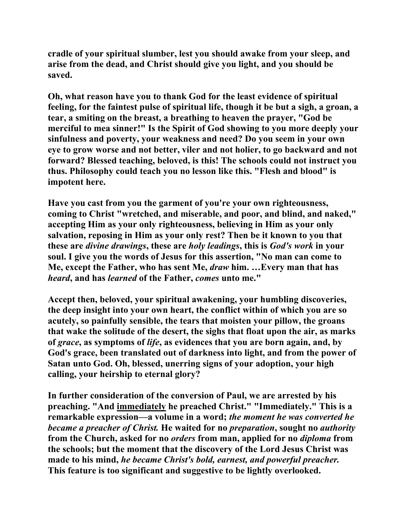**cradle of your spiritual slumber, lest you should awake from your sleep, and arise from the dead, and Christ should give you light, and you should be saved.** 

**Oh, what reason have you to thank God for the least evidence of spiritual feeling, for the faintest pulse of spiritual life, though it be but a sigh, a groan, a tear, a smiting on the breast, a breathing to heaven the prayer, "God be merciful to mea sinner!" Is the Spirit of God showing to you more deeply your sinfulness and poverty, your weakness and need? Do you seem in your own eye to grow worse and not better, viler and not holier, to go backward and not forward? Blessed teaching, beloved, is this! The schools could not instruct you thus. Philosophy could teach you no lesson like this. "Flesh and blood" is impotent here.** 

**Have you cast from you the garment of you're your own righteousness, coming to Christ "wretched, and miserable, and poor, and blind, and naked," accepting Him as your only righteousness, believing in Him as your only salvation, reposing in Him as your only rest? Then be it known to you that these are** *divine drawings***, these are** *holy leadings***, this is** *God's work* **in your soul. I give you the words of Jesus for this assertion, "No man can come to Me, except the Father, who has sent Me,** *draw* **him. …Every man that has**  *heard***, and has** *learned* **of the Father,** *comes* **unto me."** 

**Accept then, beloved, your spiritual awakening, your humbling discoveries, the deep insight into your own heart, the conflict within of which you are so acutely, so painfully sensible, the tears that moisten your pillow, the groans that wake the solitude of the desert, the sighs that float upon the air, as marks of** *grace***, as symptoms of** *life***, as evidences that you are born again, and, by God's grace, been translated out of darkness into light, and from the power of Satan unto God. Oh, blessed, unerring signs of your adoption, your high calling, your heirship to eternal glory?** 

**In further consideration of the conversion of Paul, we are arrested by his preaching. "And immediately he preached Christ." "Immediately." This is a remarkable expression—a volume in a word;** *the moment he was converted he became a preacher of Christ.* **He waited for no** *preparation***, sought no** *authority* **from the Church, asked for no** *orders* **from man, applied for no** *diploma* **from the schools; but the moment that the discovery of the Lord Jesus Christ was made to his mind,** *he became Christ's bold, earnest, and powerful preacher.*  **This feature is too significant and suggestive to be lightly overlooked.**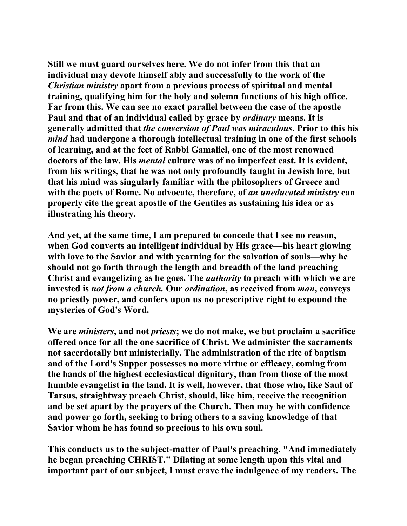**Still we must guard ourselves here. We do not infer from this that an individual may devote himself ably and successfully to the work of the**  *Christian ministry* **apart from a previous process of spiritual and mental training, qualifying him for the holy and solemn functions of his high office. Far from this. We can see no exact parallel between the case of the apostle Paul and that of an individual called by grace by** *ordinary* **means. It is generally admitted that** *the conversion of Paul was miraculous***. Prior to this his**  *mind* **had undergone a thorough intellectual training in one of the first schools of learning, and at the feet of Rabbi Gamaliel, one of the most renowned doctors of the law. His** *mental* **culture was of no imperfect cast. It is evident, from his writings, that he was not only profoundly taught in Jewish lore, but that his mind was singularly familiar with the philosophers of Greece and with the poets of Rome. No advocate, therefore, of** *an uneducated ministry* **can properly cite the great apostle of the Gentiles as sustaining his idea or as illustrating his theory.** 

**And yet, at the same time, I am prepared to concede that I see no reason, when God converts an intelligent individual by His grace—his heart glowing with love to the Savior and with yearning for the salvation of souls—why he should not go forth through the length and breadth of the land preaching Christ and evangelizing as he goes. The** *authority* **to preach with which we are invested is** *not from a church.* **Our** *ordination***, as received from** *man***, conveys no priestly power, and confers upon us no prescriptive right to expound the mysteries of God's Word.** 

**We are** *ministers***, and not** *priests***; we do not make, we but proclaim a sacrifice offered once for all the one sacrifice of Christ. We administer the sacraments not sacerdotally but ministerially. The administration of the rite of baptism and of the Lord's Supper possesses no more virtue or efficacy, coming from the hands of the highest ecclesiastical dignitary, than from those of the most humble evangelist in the land. It is well, however, that those who, like Saul of Tarsus, straightway preach Christ, should, like him, receive the recognition and be set apart by the prayers of the Church. Then may he with confidence and power go forth, seeking to bring others to a saving knowledge of that Savior whom he has found so precious to his own soul.** 

**This conducts us to the subject-matter of Paul's preaching. "And immediately he began preaching CHRIST." Dilating at some length upon this vital and important part of our subject, I must crave the indulgence of my readers. The**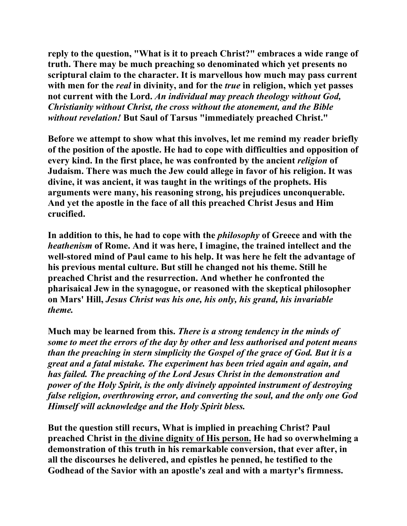**reply to the question, "What is it to preach Christ?" embraces a wide range of truth. There may be much preaching so denominated which yet presents no scriptural claim to the character. It is marvellous how much may pass current with men for the** *real* **in divinity, and for the** *true* **in religion, which yet passes not current with the Lord.** *An individual may preach theology without God, Christianity without Christ, the cross without the atonement, and the Bible without revelation!* **But Saul of Tarsus "immediately preached Christ."** 

**Before we attempt to show what this involves, let me remind my reader briefly of the position of the apostle. He had to cope with difficulties and opposition of every kind. In the first place, he was confronted by the ancient** *religion* **of Judaism. There was much the Jew could allege in favor of his religion. It was divine, it was ancient, it was taught in the writings of the prophets. His arguments were many, his reasoning strong, his prejudices unconquerable. And yet the apostle in the face of all this preached Christ Jesus and Him crucified.** 

**In addition to this, he had to cope with the** *philosophy* **of Greece and with the**  *heathenism* **of Rome. And it was here, I imagine, the trained intellect and the well-stored mind of Paul came to his help. It was here he felt the advantage of his previous mental culture. But still he changed not his theme. Still he preached Christ and the resurrection. And whether he confronted the pharisaical Jew in the synagogue, or reasoned with the skeptical philosopher on Mars' Hill,** *Jesus Christ was his one, his only, his grand, his invariable theme.* 

**Much may be learned from this.** *There is a strong tendency in the minds of some to meet the errors of the day by other and less authorised and potent means than the preaching in stern simplicity the Gospel of the grace of God. But it is a great and a fatal mistake. The experiment has been tried again and again, and has failed. The preaching of the Lord Jesus Christ in the demonstration and power of the Holy Spirit, is the only divinely appointed instrument of destroying false religion, overthrowing error, and converting the soul, and the only one God Himself will acknowledge and the Holy Spirit bless.* 

**But the question still recurs, What is implied in preaching Christ? Paul preached Christ in the divine dignity of His person. He had so overwhelming a demonstration of this truth in his remarkable conversion, that ever after, in all the discourses he delivered, and epistles he penned, he testified to the Godhead of the Savior with an apostle's zeal and with a martyr's firmness.**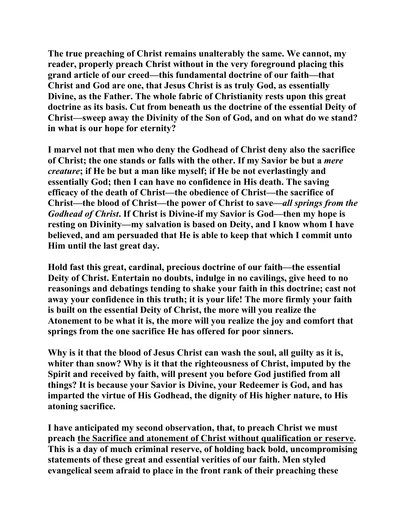**The true preaching of Christ remains unalterably the same. We cannot, my reader, properly preach Christ without in the very foreground placing this grand article of our creed—this fundamental doctrine of our faith—that Christ and God are one, that Jesus Christ is as truly God, as essentially Divine, as the Father. The whole fabric of Christianity rests upon this great doctrine as its basis. Cut from beneath us the doctrine of the essential Deity of Christ—sweep away the Divinity of the Son of God, and on what do we stand? in what is our hope for eternity?** 

**I marvel not that men who deny the Godhead of Christ deny also the sacrifice of Christ; the one stands or falls with the other. If my Savior be but a** *mere creature***; if He be but a man like myself; if He be not everlastingly and essentially God; then I can have no confidence in His death. The saving efficacy of the death of Christ—the obedience of Christ—the sacrifice of Christ—the blood of Christ—the power of Christ to save—***all springs from the Godhead of Christ***. If Christ is Divine-if my Savior is God—then my hope is resting on Divinity—my salvation is based on Deity, and I know whom I have believed, and am persuaded that He is able to keep that which I commit unto Him until the last great day.** 

**Hold fast this great, cardinal, precious doctrine of our faith—the essential Deity of Christ. Entertain no doubts, indulge in no cavilings, give heed to no reasonings and debatings tending to shake your faith in this doctrine; cast not away your confidence in this truth; it is your life! The more firmly your faith is built on the essential Deity of Christ, the more will you realize the Atonement to be what it is, the more will you realize the joy and comfort that springs from the one sacrifice He has offered for poor sinners.** 

**Why is it that the blood of Jesus Christ can wash the soul, all guilty as it is, whiter than snow? Why is it that the righteousness of Christ, imputed by the Spirit and received by faith, will present you before God justified from all things? It is because your Savior is Divine, your Redeemer is God, and has imparted the virtue of His Godhead, the dignity of His higher nature, to His atoning sacrifice.** 

**I have anticipated my second observation, that, to preach Christ we must preach the Sacrifice and atonement of Christ without qualification or reserve. This is a day of much criminal reserve, of holding back bold, uncompromising statements of these great and essential verities of our faith. Men styled evangelical seem afraid to place in the front rank of their preaching these**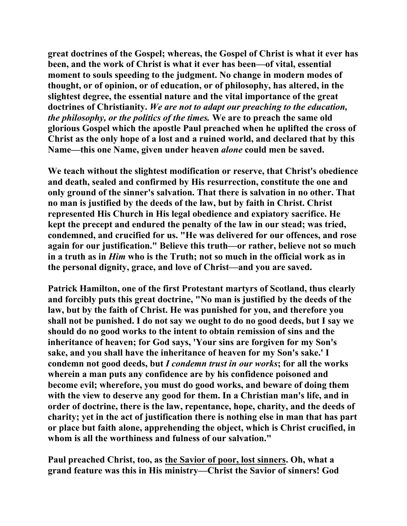**great doctrines of the Gospel; whereas, the Gospel of Christ is what it ever has been, and the work of Christ is what it ever has been—of vital, essential moment to souls speeding to the judgment. No change in modern modes of thought, or of opinion, or of education, or of philosophy, has altered, in the slightest degree, the essential nature and the vital importance of the great doctrines of Christianity.** *We are not to adapt our preaching to the education, the philosophy, or the politics of the times.* **We are to preach the same old glorious Gospel which the apostle Paul preached when he uplifted the cross of Christ as the only hope of a lost and a ruined world, and declared that by this Name—this one Name, given under heaven** *alone* **could men be saved.** 

**We teach without the slightest modification or reserve, that Christ's obedience and death, sealed and confirmed by His resurrection, constitute the one and only ground of the sinner's salvation. That there is salvation in no other. That no man is justified by the deeds of the law, but by faith in Christ. Christ represented His Church in His legal obedience and expiatory sacrifice. He kept the precept and endured the penalty of the law in our stead; was tried, condemned, and crucified for us. "He was delivered for our offences, and rose again for our justification." Believe this truth—or rather, believe not so much in a truth as in** *Him* **who is the Truth; not so much in the official work as in the personal dignity, grace, and love of Christ—and you are saved.** 

**Patrick Hamilton, one of the first Protestant martyrs of Scotland, thus clearly and forcibly puts this great doctrine, "No man is justified by the deeds of the law, but by the faith of Christ. He was punished for you, and therefore you shall not be punished. I do not say we ought to do no good deeds, but I say we should do no good works to the intent to obtain remission of sins and the inheritance of heaven; for God says, 'Your sins are forgiven for my Son's sake, and you shall have the inheritance of heaven for my Son's sake.' I condemn not good deeds, but** *I condemn trust in our works***; for all the works wherein a man puts any confidence are by his confidence poisoned and become evil; wherefore, you must do good works, and beware of doing them with the view to deserve any good for them. In a Christian man's life, and in order of doctrine, there is the law, repentance, hope, charity, and the deeds of charity; yet in the act of justification there is nothing else in man that has part or place but faith alone, apprehending the object, which is Christ crucified, in whom is all the worthiness and fulness of our salvation."** 

**Paul preached Christ, too, as the Savior of poor, lost sinners. Oh, what a grand feature was this in His ministry—Christ the Savior of sinners! God**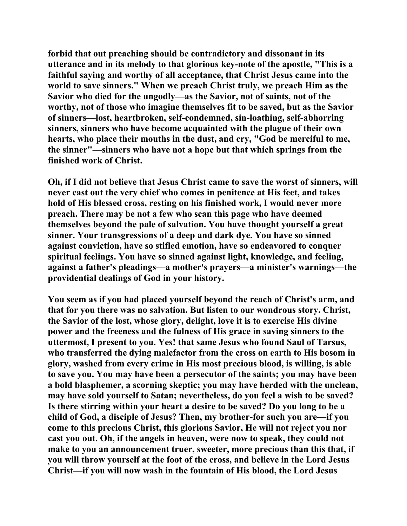**forbid that out preaching should be contradictory and dissonant in its utterance and in its melody to that glorious key-note of the apostle, "This is a faithful saying and worthy of all acceptance, that Christ Jesus came into the world to save sinners." When we preach Christ truly, we preach Him as the Savior who died for the ungodly—as the Savior, not of saints, not of the worthy, not of those who imagine themselves fit to be saved, but as the Savior of sinners—lost, heartbroken, self-condemned, sin-loathing, self-abhorring sinners, sinners who have become acquainted with the plague of their own hearts, who place their mouths in the dust, and cry, "God be merciful to me, the sinner"—sinners who have not a hope but that which springs from the finished work of Christ.** 

**Oh, if I did not believe that Jesus Christ came to save the worst of sinners, will never cast out the very chief who comes in penitence at His feet, and takes hold of His blessed cross, resting on his finished work, I would never more preach. There may be not a few who scan this page who have deemed themselves beyond the pale of salvation. You have thought yourself a great sinner. Your transgressions of a deep and dark dye. You have so sinned against conviction, have so stifled emotion, have so endeavored to conquer spiritual feelings. You have so sinned against light, knowledge, and feeling, against a father's pleadings—a mother's prayers—a minister's warnings—the providential dealings of God in your history.** 

**You seem as if you had placed yourself beyond the reach of Christ's arm, and that for you there was no salvation. But listen to our wondrous story. Christ, the Savior of the lost, whose glory, delight, love it is to exercise His divine power and the freeness and the fulness of His grace in saving sinners to the uttermost, I present to you. Yes! that same Jesus who found Saul of Tarsus, who transferred the dying malefactor from the cross on earth to His bosom in glory, washed from every crime in His most precious blood, is willing, is able to save you. You may have been a persecutor of the saints; you may have been a bold blasphemer, a scorning skeptic; you may have herded with the unclean, may have sold yourself to Satan; nevertheless, do you feel a wish to be saved? Is there stirring within your heart a desire to be saved? Do you long to be a child of God, a disciple of Jesus? Then, my brother-for such you are—if you come to this precious Christ, this glorious Savior, He will not reject you nor cast you out. Oh, if the angels in heaven, were now to speak, they could not make to you an announcement truer, sweeter, more precious than this that, if you will throw yourself at the foot of the cross, and believe in the Lord Jesus Christ—if you will now wash in the fountain of His blood, the Lord Jesus**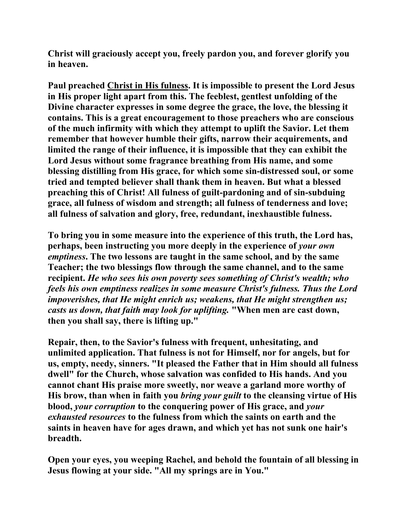**Christ will graciously accept you, freely pardon you, and forever glorify you in heaven.** 

**Paul preached Christ in His fulness. It is impossible to present the Lord Jesus in His proper light apart from this. The feeblest, gentlest unfolding of the Divine character expresses in some degree the grace, the love, the blessing it contains. This is a great encouragement to those preachers who are conscious of the much infirmity with which they attempt to uplift the Savior. Let them remember that however humble their gifts, narrow their acquirements, and limited the range of their influence, it is impossible that they can exhibit the Lord Jesus without some fragrance breathing from His name, and some blessing distilling from His grace, for which some sin-distressed soul, or some tried and tempted believer shall thank them in heaven. But what a blessed preaching this of Christ! All fulness of guilt-pardoning and of sin-subduing grace, all fulness of wisdom and strength; all fulness of tenderness and love; all fulness of salvation and glory, free, redundant, inexhaustible fulness.** 

**To bring you in some measure into the experience of this truth, the Lord has, perhaps, been instructing you more deeply in the experience of** *your own emptiness***. The two lessons are taught in the same school, and by the same Teacher; the two blessings flow through the same channel, and to the same recipient.** *He who sees his own poverty sees something of Christ's wealth; who feels his own emptiness realizes in some measure Christ's fulness. Thus the Lord impoverishes, that He might enrich us; weakens, that He might strengthen us; casts us down, that faith may look for uplifting.* **"When men are cast down, then you shall say, there is lifting up."** 

**Repair, then, to the Savior's fulness with frequent, unhesitating, and unlimited application. That fulness is not for Himself, nor for angels, but for us, empty, needy, sinners. "It pleased the Father that in Him should all fulness dwell" for the Church, whose salvation was confided to His hands. And you cannot chant His praise more sweetly, nor weave a garland more worthy of His brow, than when in faith you** *bring your guilt* **to the cleansing virtue of His blood,** *your corruption* **to the conquering power of His grace, and** *your exhausted resources* **to the fulness from which the saints on earth and the saints in heaven have for ages drawn, and which yet has not sunk one hair's breadth.** 

**Open your eyes, you weeping Rachel, and behold the fountain of all blessing in Jesus flowing at your side. "All my springs are in You."**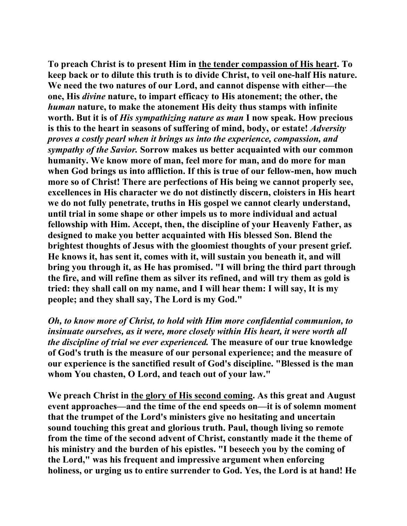**To preach Christ is to present Him in the tender compassion of His heart. To keep back or to dilute this truth is to divide Christ, to veil one-half His nature. We need the two natures of our Lord, and cannot dispense with either—the one, His** *divine* **nature, to impart efficacy to His atonement; the other, the**  *human* **nature, to make the atonement His deity thus stamps with infinite worth. But it is of** *His sympathizing nature as man* **I now speak. How precious is this to the heart in seasons of suffering of mind, body, or estate!** *Adversity proves a costly pearl when it brings us into the experience, compassion, and sympathy of the Savior.* **Sorrow makes us better acquainted with our common humanity. We know more of man, feel more for man, and do more for man when God brings us into affliction. If this is true of our fellow-men, how much more so of Christ! There are perfections of His being we cannot properly see, excellences in His character we do not distinctly discern, cloisters in His heart we do not fully penetrate, truths in His gospel we cannot clearly understand, until trial in some shape or other impels us to more individual and actual fellowship with Him. Accept, then, the discipline of your Heavenly Father, as designed to make you better acquainted with His blessed Son. Blend the brightest thoughts of Jesus with the gloomiest thoughts of your present grief. He knows it, has sent it, comes with it, will sustain you beneath it, and will bring you through it, as He has promised. "I will bring the third part through the fire, and will refine them as silver its refined, and will try them as gold is tried: they shall call on my name, and I will hear them: I will say, It is my people; and they shall say, The Lord is my God."** 

*Oh, to know more of Christ, to hold with Him more confidential communion, to insinuate ourselves, as it were, more closely within His heart, it were worth all the discipline of trial we ever experienced.* **The measure of our true knowledge of God's truth is the measure of our personal experience; and the measure of our experience is the sanctified result of God's discipline. "Blessed is the man whom You chasten, O Lord, and teach out of your law."** 

**We preach Christ in the glory of His second coming. As this great and August event approaches—and the time of the end speeds on—it is of solemn moment that the trumpet of the Lord's ministers give no hesitating and uncertain sound touching this great and glorious truth. Paul, though living so remote from the time of the second advent of Christ, constantly made it the theme of his ministry and the burden of his epistles. "I beseech you by the coming of the Lord," was his frequent and impressive argument when enforcing holiness, or urging us to entire surrender to God. Yes, the Lord is at hand! He**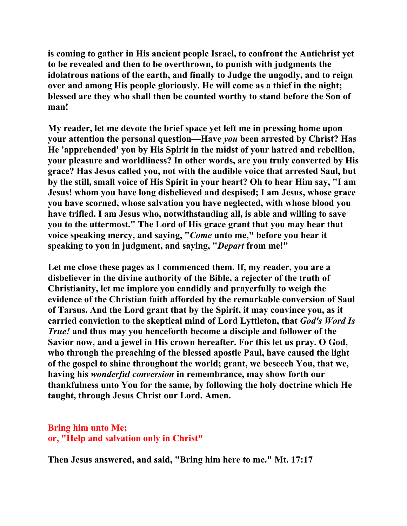**is coming to gather in His ancient people Israel, to confront the Antichrist yet to be revealed and then to be overthrown, to punish with judgments the idolatrous nations of the earth, and finally to Judge the ungodly, and to reign over and among His people gloriously. He will come as a thief in the night; blessed are they who shall then be counted worthy to stand before the Son of man!** 

**My reader, let me devote the brief space yet left me in pressing home upon your attention the personal question—Have** *you* **been arrested by Christ? Has He 'apprehended' you by His Spirit in the midst of your hatred and rebellion, your pleasure and worldliness? In other words, are you truly converted by His grace? Has Jesus called you, not with the audible voice that arrested Saul, but by the still, small voice of His Spirit in your heart? Oh to hear Him say, "I am Jesus! whom you have long disbelieved and despised; I am Jesus, whose grace you have scorned, whose salvation you have neglected, with whose blood you have trifled. I am Jesus who, notwithstanding all, is able and willing to save you to the uttermost." The Lord of His grace grant that you may hear that voice speaking mercy, and saying, "***Come* **unto me," before you hear it speaking to you in judgment, and saying, "***Depart* **from me!"** 

**Let me close these pages as I commenced them. If, my reader, you are a disbeliever in the divine authority of the Bible, a rejecter of the truth of Christianity, let me implore you candidly and prayerfully to weigh the evidence of the Christian faith afforded by the remarkable conversion of Saul of Tarsus. And the Lord grant that by the Spirit, it may convince you, as it carried conviction to the skeptical mind of Lord Lyttleton, that** *God's Word Is True!* **and thus may you henceforth become a disciple and follower of the Savior now, and a jewel in His crown hereafter. For this let us pray. O God, who through the preaching of the blessed apostle Paul, have caused the light of the gospel to shine throughout the world; grant, we beseech You, that we, having his** *wonderful conversion* **in remembrance, may show forth our thankfulness unto You for the same, by following the holy doctrine which He taught, through Jesus Christ our Lord. Amen.** 

## **Bring him unto Me; or, "Help and salvation only in Christ"**

**Then Jesus answered, and said, "Bring him here to me." Mt. 17:17**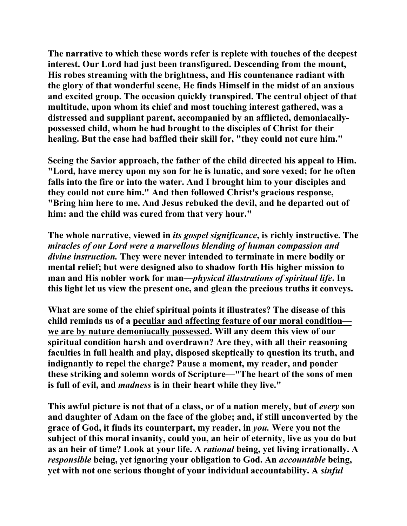**The narrative to which these words refer is replete with touches of the deepest interest. Our Lord had just been transfigured. Descending from the mount, His robes streaming with the brightness, and His countenance radiant with the glory of that wonderful scene, He finds Himself in the midst of an anxious and excited group. The occasion quickly transpired. The central object of that multitude, upon whom its chief and most touching interest gathered, was a distressed and suppliant parent, accompanied by an afflicted, demoniacallypossessed child, whom he had brought to the disciples of Christ for their healing. But the case had baffled their skill for, "they could not cure him."** 

**Seeing the Savior approach, the father of the child directed his appeal to Him. "Lord, have mercy upon my son for he is lunatic, and sore vexed; for he often falls into the fire or into the water. And I brought him to your disciples and they could not cure him." And then followed Christ's gracious response, "Bring him here to me. And Jesus rebuked the devil, and he departed out of him: and the child was cured from that very hour."** 

**The whole narrative, viewed in** *its gospel significance***, is richly instructive. The** *miracles of our Lord were a marvellous blending of human compassion and divine instruction.* **They were never intended to terminate in mere bodily or mental relief; but were designed also to shadow forth His higher mission to man and His nobler work for man—***physical illustrations of spiritual life***. In this light let us view the present one, and glean the precious truths it conveys.** 

**What are some of the chief spiritual points it illustrates? The disease of this child reminds us of a peculiar and affecting feature of our moral condition we are by nature demoniacally possessed. Will any deem this view of our spiritual condition harsh and overdrawn? Are they, with all their reasoning faculties in full health and play, disposed skeptically to question its truth, and indignantly to repel the charge? Pause a moment, my reader, and ponder these striking and solemn words of Scripture—"The heart of the sons of men is full of evil, and** *madness* **is in their heart while they live."** 

**This awful picture is not that of a class, or of a nation merely, but of** *every* **son and daughter of Adam on the face of the globe; and, if still unconverted by the grace of God, it finds its counterpart, my reader, in** *you.* **Were you not the subject of this moral insanity, could you, an heir of eternity, live as you do but as an heir of time? Look at your life. A** *rational* **being, yet living irrationally. A**  *responsible* **being, yet ignoring your obligation to God. An** *accountable* **being, yet with not one serious thought of your individual accountability. A** *sinful*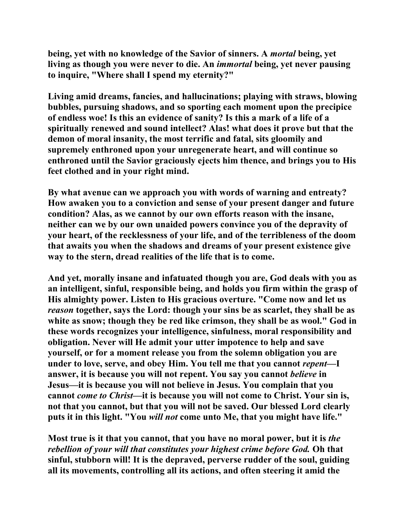**being, yet with no knowledge of the Savior of sinners. A** *mortal* **being, yet living as though you were never to die. An** *immortal* **being, yet never pausing to inquire, "Where shall I spend my eternity?"** 

**Living amid dreams, fancies, and hallucinations; playing with straws, blowing bubbles, pursuing shadows, and so sporting each moment upon the precipice of endless woe! Is this an evidence of sanity? Is this a mark of a life of a spiritually renewed and sound intellect? Alas! what does it prove but that the demon of moral insanity, the most terrific and fatal, sits gloomily and supremely enthroned upon your unregenerate heart, and will continue so enthroned until the Savior graciously ejects him thence, and brings you to His feet clothed and in your right mind.** 

**By what avenue can we approach you with words of warning and entreaty? How awaken you to a conviction and sense of your present danger and future condition? Alas, as we cannot by our own efforts reason with the insane, neither can we by our own unaided powers convince you of the depravity of your heart, of the recklessness of your life, and of the terribleness of the doom that awaits you when the shadows and dreams of your present existence give way to the stern, dread realities of the life that is to come.** 

**And yet, morally insane and infatuated though you are, God deals with you as an intelligent, sinful, responsible being, and holds you firm within the grasp of His almighty power. Listen to His gracious overture. "Come now and let us**  *reason* **together, says the Lord: though your sins be as scarlet, they shall be as white as snow; though they be red like crimson, they shall be as wool." God in these words recognizes your intelligence, sinfulness, moral responsibility and obligation. Never will He admit your utter impotence to help and save yourself, or for a moment release you from the solemn obligation you are under to love, serve, and obey Him. You tell me that you cannot** *repent***—I answer, it is because you will not repent. You say you cannot** *believe* **in Jesus—it is because you will not believe in Jesus. You complain that you cannot** *come to Christ***—it is because you will not come to Christ. Your sin is, not that you cannot, but that you will not be saved. Our blessed Lord clearly puts it in this light. "You** *will not* **come unto Me, that you might have life."** 

**Most true is it that you cannot, that you have no moral power, but it is** *the rebellion of your will that constitutes your highest crime before God.* **Oh that sinful, stubborn will! It is the depraved, perverse rudder of the soul, guiding all its movements, controlling all its actions, and often steering it amid the**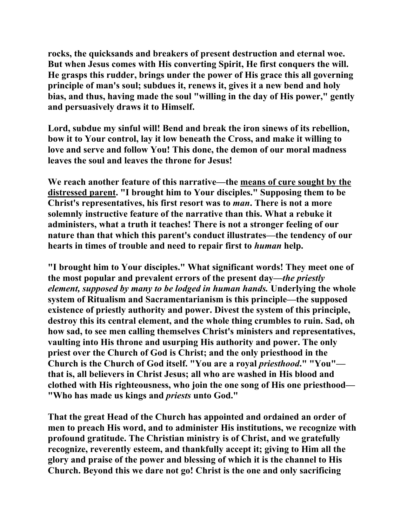**rocks, the quicksands and breakers of present destruction and eternal woe. But when Jesus comes with His converting Spirit, He first conquers the will. He grasps this rudder, brings under the power of His grace this all governing principle of man's soul; subdues it, renews it, gives it a new bend and holy bias, and thus, having made the soul "willing in the day of His power," gently and persuasively draws it to Himself.** 

**Lord, subdue my sinful will! Bend and break the iron sinews of its rebellion, bow it to Your control, lay it low beneath the Cross, and make it willing to love and serve and follow You! This done, the demon of our moral madness leaves the soul and leaves the throne for Jesus!** 

**We reach another feature of this narrative—the means of cure sought by the distressed parent. "I brought him to Your disciples." Supposing them to be Christ's representatives, his first resort was to** *man***. There is not a more solemnly instructive feature of the narrative than this. What a rebuke it administers, what a truth it teaches! There is not a stronger feeling of our nature than that which this parent's conduct illustrates—the tendency of our hearts in times of trouble and need to repair first to** *human* **help.** 

**"I brought him to Your disciples." What significant words! They meet one of the most popular and prevalent errors of the present day—***the priestly element, supposed by many to be lodged in human hands.* **Underlying the whole system of Ritualism and Sacramentarianism is this principle—the supposed existence of priestly authority and power. Divest the system of this principle, destroy this its central element, and the whole thing crumbles to ruin. Sad, oh how sad, to see men calling themselves Christ's ministers and representatives, vaulting into His throne and usurping His authority and power. The only priest over the Church of God is Christ; and the only priesthood in the Church is the Church of God itself. "You are a royal** *priesthood***." "You" that is, all believers in Christ Jesus; all who are washed in His blood and clothed with His righteousness, who join the one song of His one priesthood— "Who has made us kings and** *priests* **unto God."** 

**That the great Head of the Church has appointed and ordained an order of men to preach His word, and to administer His institutions, we recognize with profound gratitude. The Christian ministry is of Christ, and we gratefully recognize, reverently esteem, and thankfully accept it; giving to Him all the glory and praise of the power and blessing of which it is the channel to His Church. Beyond this we dare not go! Christ is the one and only sacrificing**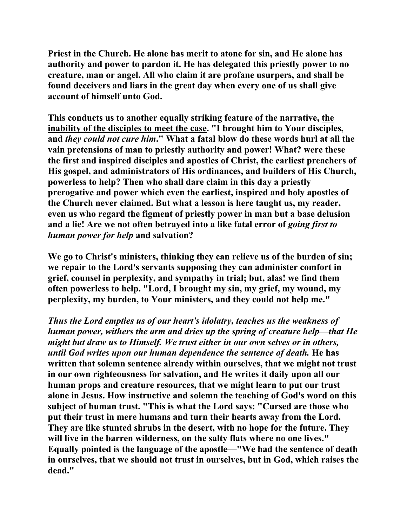**Priest in the Church. He alone has merit to atone for sin, and He alone has authority and power to pardon it. He has delegated this priestly power to no creature, man or angel. All who claim it are profane usurpers, and shall be found deceivers and liars in the great day when every one of us shall give account of himself unto God.** 

**This conducts us to another equally striking feature of the narrative, the inability of the disciples to meet the case. "I brought him to Your disciples, and** *they could not cure him***." What a fatal blow do these words hurl at all the vain pretensions of man to priestly authority and power! What? were these the first and inspired disciples and apostles of Christ, the earliest preachers of His gospel, and administrators of His ordinances, and builders of His Church, powerless to help? Then who shall dare claim in this day a priestly prerogative and power which even the earliest, inspired and holy apostles of the Church never claimed. But what a lesson is here taught us, my reader, even us who regard the figment of priestly power in man but a base delusion and a lie! Are we not often betrayed into a like fatal error of** *going first to human power for help* **and salvation?** 

**We go to Christ's ministers, thinking they can relieve us of the burden of sin; we repair to the Lord's servants supposing they can administer comfort in grief, counsel in perplexity, and sympathy in trial; but, alas! we find them often powerless to help. "Lord, I brought my sin, my grief, my wound, my perplexity, my burden, to Your ministers, and they could not help me."** 

*Thus the Lord empties us of our heart's idolatry, teaches us the weakness of human power, withers the arm and dries up the spring of creature help—that He might but draw us to Himself. We trust either in our own selves or in others, until God writes upon our human dependence the sentence of death.* **He has written that solemn sentence already within ourselves, that we might not trust in our own righteousness for salvation, and He writes it daily upon all our human props and creature resources, that we might learn to put our trust alone in Jesus. How instructive and solemn the teaching of God's word on this subject of human trust. "This is what the Lord says: "Cursed are those who put their trust in mere humans and turn their hearts away from the Lord. They are like stunted shrubs in the desert, with no hope for the future. They will live in the barren wilderness, on the salty flats where no one lives." Equally pointed is the language of the apostle—"We had the sentence of death in ourselves, that we should not trust in ourselves, but in God, which raises the dead."**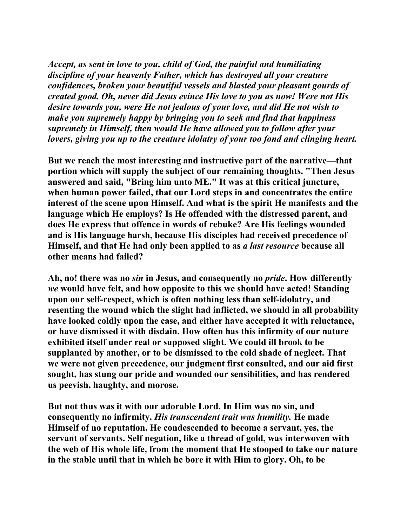*Accept, as sent in love to you, child of God, the painful and humiliating discipline of your heavenly Father, which has destroyed all your creature confidences, broken your beautiful vessels and blasted your pleasant gourds of created good. Oh, never did Jesus evince His love to you as now! Were not His desire towards you, were He not jealous of your love, and did He not wish to make you supremely happy by bringing you to seek and find that happiness supremely in Himself, then would He have allowed you to follow after your lovers, giving you up to the creature idolatry of your too fond and clinging heart.*

**But we reach the most interesting and instructive part of the narrative—that portion which will supply the subject of our remaining thoughts. "Then Jesus answered and said, "Bring him unto ME." It was at this critical juncture, when human power failed, that our Lord steps in and concentrates the entire interest of the scene upon Himself. And what is the spirit He manifests and the language which He employs? Is He offended with the distressed parent, and does He express that offence in words of rebuke? Are His feelings wounded and is His language harsh, because His disciples had received precedence of Himself, and that He had only been applied to as** *a last resource* **because all other means had failed?** 

**Ah, no! there was no** *sin* **in Jesus, and consequently no** *pride***. How differently**  *we* **would have felt, and how opposite to this we should have acted! Standing upon our self-respect, which is often nothing less than self-idolatry, and resenting the wound which the slight had inflicted, we should in all probability have looked coldly upon the case, and either have accepted it with reluctance, or have dismissed it with disdain. How often has this infirmity of our nature exhibited itself under real or supposed slight. We could ill brook to be supplanted by another, or to be dismissed to the cold shade of neglect. That we were not given precedence, our judgment first consulted, and our aid first sought, has stung our pride and wounded our sensibilities, and has rendered us peevish, haughty, and morose.** 

**But not thus was it with our adorable Lord. In Him was no sin, and consequently no infirmity.** *His transcendent trait was humility.* **He made Himself of no reputation. He condescended to become a servant, yes, the servant of servants. Self negation, like a thread of gold, was interwoven with the web of His whole life, from the moment that He stooped to take our nature in the stable until that in which he bore it with Him to glory. Oh, to be**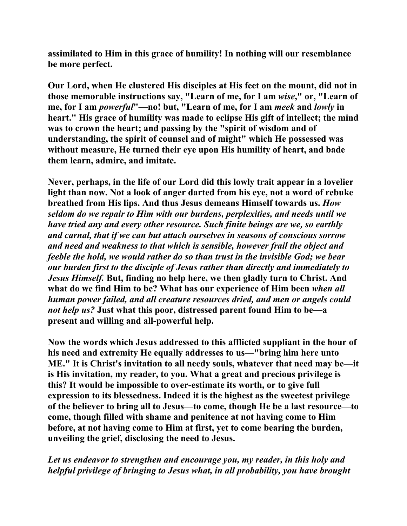**assimilated to Him in this grace of humility! In nothing will our resemblance be more perfect.** 

**Our Lord, when He clustered His disciples at His feet on the mount, did not in those memorable instructions say, "Learn of me, for I am** *wise***," or, "Learn of me, for I am** *powerful***"—no! but, "Learn of me, for I am** *meek* **and** *lowly* **in heart." His grace of humility was made to eclipse His gift of intellect; the mind was to crown the heart; and passing by the "spirit of wisdom and of understanding, the spirit of counsel and of might" which He possessed was without measure, He turned their eye upon His humility of heart, and bade them learn, admire, and imitate.** 

**Never, perhaps, in the life of our Lord did this lowly trait appear in a lovelier light than now. Not a look of anger darted from his eye, not a word of rebuke breathed from His lips. And thus Jesus demeans Himself towards us.** *How seldom do we repair to Him with our burdens, perplexities, and needs until we have tried any and every other resource. Such finite beings are we, so earthly and carnal, that if we can but attach ourselves in seasons of conscious sorrow and need and weakness to that which is sensible, however frail the object and feeble the hold, we would rather do so than trust in the invisible God; we bear our burden first to the disciple of Jesus rather than directly and immediately to Jesus Himself.* **But, finding no help here, we then gladly turn to Christ. And what do we find Him to be? What has our experience of Him been** *when all human power failed, and all creature resources dried, and men or angels could not help us?* **Just what this poor, distressed parent found Him to be—a present and willing and all-powerful help.** 

**Now the words which Jesus addressed to this afflicted suppliant in the hour of his need and extremity He equally addresses to us—"bring him here unto ME." It is Christ's invitation to all needy souls, whatever that need may be—it is His invitation, my reader, to you. What a great and precious privilege is this? It would be impossible to over-estimate its worth, or to give full expression to its blessedness. Indeed it is the highest as the sweetest privilege of the believer to bring all to Jesus—to come, though He be a last resource—to come, though filled with shame and penitence at not having come to Him before, at not having come to Him at first, yet to come bearing the burden, unveiling the grief, disclosing the need to Jesus.** 

*Let us endeavor to strengthen and encourage you, my reader, in this holy and helpful privilege of bringing to Jesus what, in all probability, you have brought*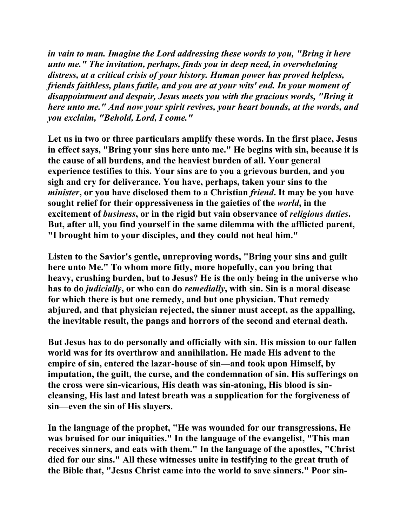*in vain to man. Imagine the Lord addressing these words to you, "Bring it here unto me." The invitation, perhaps, finds you in deep need, in overwhelming distress, at a critical crisis of your history. Human power has proved helpless, friends faithless, plans futile, and you are at your wits' end. In your moment of disappointment and despair, Jesus meets you with the gracious words, "Bring it here unto me." And now your spirit revives, your heart bounds, at the words, and you exclaim, "Behold, Lord, I come."* 

**Let us in two or three particulars amplify these words. In the first place, Jesus in effect says, "Bring your sins here unto me." He begins with sin, because it is the cause of all burdens, and the heaviest burden of all. Your general experience testifies to this. Your sins are to you a grievous burden, and you sigh and cry for deliverance. You have, perhaps, taken your sins to the**  *minister***, or you have disclosed them to a Christian** *friend***. It may be you have sought relief for their oppressiveness in the gaieties of the** *world***, in the excitement of** *business***, or in the rigid but vain observance of** *religious duties***. But, after all, you find yourself in the same dilemma with the afflicted parent, "I brought him to your disciples, and they could not heal him."** 

**Listen to the Savior's gentle, unreproving words, "Bring your sins and guilt here unto Me." To whom more fitly, more hopefully, can you bring that heavy, crushing burden, but to Jesus? He is the only being in the universe who has to do** *judicially***, or who can do** *remedially***, with sin. Sin is a moral disease for which there is but one remedy, and but one physician. That remedy abjured, and that physician rejected, the sinner must accept, as the appalling, the inevitable result, the pangs and horrors of the second and eternal death.** 

**But Jesus has to do personally and officially with sin. His mission to our fallen world was for its overthrow and annihilation. He made His advent to the empire of sin, entered the lazar-house of sin—and took upon Himself, by imputation, the guilt, the curse, and the condemnation of sin. His sufferings on the cross were sin-vicarious, His death was sin-atoning, His blood is sincleansing, His last and latest breath was a supplication for the forgiveness of sin—even the sin of His slayers.** 

**In the language of the prophet, "He was wounded for our transgressions, He was bruised for our iniquities." In the language of the evangelist, "This man receives sinners, and eats with them." In the language of the apostles, "Christ died for our sins." All these witnesses unite in testifying to the great truth of the Bible that, "Jesus Christ came into the world to save sinners." Poor sin-**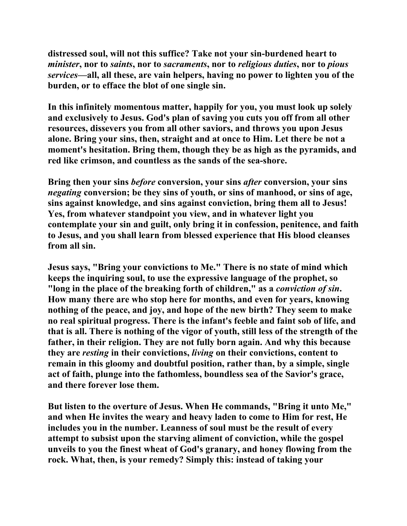**distressed soul, will not this suffice? Take not your sin-burdened heart to**  *minister***, nor to** *saints***, nor to** *sacraments***, nor to** *religious duties***, nor to** *pious services***—all, all these, are vain helpers, having no power to lighten you of the burden, or to efface the blot of one single sin.** 

**In this infinitely momentous matter, happily for you, you must look up solely and exclusively to Jesus. God's plan of saving you cuts you off from all other resources, dissevers you from all other saviors, and throws you upon Jesus alone. Bring your sins, then, straight and at once to Him. Let there be not a moment's hesitation. Bring them, though they be as high as the pyramids, and red like crimson, and countless as the sands of the sea-shore.** 

**Bring then your sins** *before* **conversion, your sins** *after* **conversion, your sins**  *negating* **conversion; be they sins of youth, or sins of manhood, or sins of age, sins against knowledge, and sins against conviction, bring them all to Jesus! Yes, from whatever standpoint you view, and in whatever light you contemplate your sin and guilt, only bring it in confession, penitence, and faith to Jesus, and you shall learn from blessed experience that His blood cleanses from all sin.** 

**Jesus says, "Bring your convictions to Me." There is no state of mind which keeps the inquiring soul, to use the expressive language of the prophet, so "long in the place of the breaking forth of children," as a** *conviction of sin***. How many there are who stop here for months, and even for years, knowing nothing of the peace, and joy, and hope of the new birth? They seem to make no real spiritual progress. There is the infant's feeble and faint sob of life, and that is all. There is nothing of the vigor of youth, still less of the strength of the father, in their religion. They are not fully born again. And why this because they are** *resting* **in their convictions,** *living* **on their convictions, content to remain in this gloomy and doubtful position, rather than, by a simple, single act of faith, plunge into the fathomless, boundless sea of the Savior's grace, and there forever lose them.** 

**But listen to the overture of Jesus. When He commands, "Bring it unto Me," and when He invites the weary and heavy laden to come to Him for rest, He includes you in the number. Leanness of soul must be the result of every attempt to subsist upon the starving aliment of conviction, while the gospel unveils to you the finest wheat of God's granary, and honey flowing from the rock. What, then, is your remedy? Simply this: instead of taking your**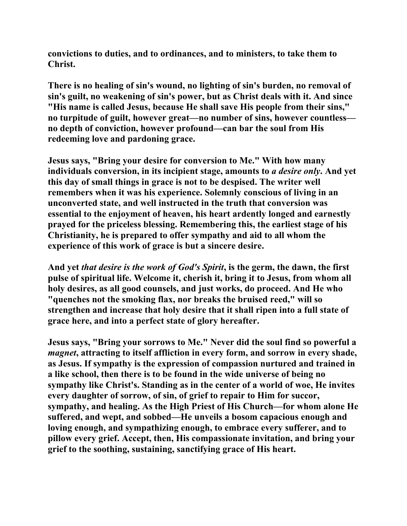**convictions to duties, and to ordinances, and to ministers, to take them to Christ.** 

**There is no healing of sin's wound, no lighting of sin's burden, no removal of sin's guilt, no weakening of sin's power, but as Christ deals with it. And since "His name is called Jesus, because He shall save His people from their sins," no turpitude of guilt, however great—no number of sins, however countless no depth of conviction, however profound—can bar the soul from His redeeming love and pardoning grace.** 

**Jesus says, "Bring your desire for conversion to Me." With how many individuals conversion, in its incipient stage, amounts to** *a desire only***. And yet this day of small things in grace is not to be despised. The writer well remembers when it was his experience. Solemnly conscious of living in an unconverted state, and well instructed in the truth that conversion was essential to the enjoyment of heaven, his heart ardently longed and earnestly prayed for the priceless blessing. Remembering this, the earliest stage of his Christianity, he is prepared to offer sympathy and aid to all whom the experience of this work of grace is but a sincere desire.** 

**And yet** *that desire is the work of God's Spirit***, is the germ, the dawn, the first pulse of spiritual life. Welcome it, cherish it, bring it to Jesus, from whom all holy desires, as all good counsels, and just works, do proceed. And He who "quenches not the smoking flax, nor breaks the bruised reed," will so strengthen and increase that holy desire that it shall ripen into a full state of grace here, and into a perfect state of glory hereafter.** 

**Jesus says, "Bring your sorrows to Me." Never did the soul find so powerful a**  *magnet***, attracting to itself affliction in every form, and sorrow in every shade, as Jesus. If sympathy is the expression of compassion nurtured and trained in a like school, then there is to be found in the wide universe of being no sympathy like Christ's. Standing as in the center of a world of woe, He invites every daughter of sorrow, of sin, of grief to repair to Him for succor, sympathy, and healing. As the High Priest of His Church—for whom alone He suffered, and wept, and sobbed—He unveils a bosom capacious enough and loving enough, and sympathizing enough, to embrace every sufferer, and to pillow every grief. Accept, then, His compassionate invitation, and bring your grief to the soothing, sustaining, sanctifying grace of His heart.**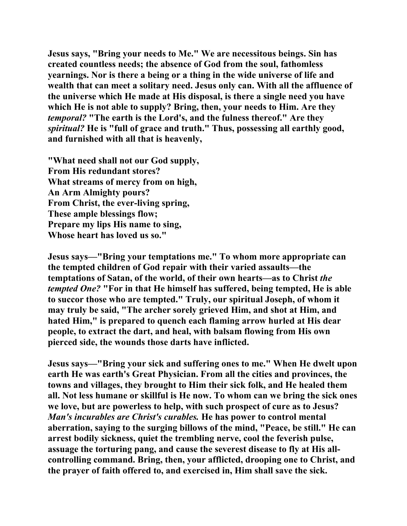**Jesus says, "Bring your needs to Me." We are necessitous beings. Sin has created countless needs; the absence of God from the soul, fathomless yearnings. Nor is there a being or a thing in the wide universe of life and wealth that can meet a solitary need. Jesus only can. With all the affluence of the universe which He made at His disposal, is there a single need you have which He is not able to supply? Bring, then, your needs to Him. Are they**  *temporal?* **"The earth is the Lord's, and the fulness thereof." Are they**  *spiritual?* **He is "full of grace and truth." Thus, possessing all earthly good, and furnished with all that is heavenly,** 

**"What need shall not our God supply, From His redundant stores? What streams of mercy from on high, An Arm Almighty pours? From Christ, the ever-living spring, These ample blessings flow; Prepare my lips His name to sing, Whose heart has loved us so."** 

**Jesus says—"Bring your temptations me." To whom more appropriate can the tempted children of God repair with their varied assaults—the temptations of Satan, of the world, of their own hearts—as to Christ** *the tempted One?* **"For in that He himself has suffered, being tempted, He is able to succor those who are tempted." Truly, our spiritual Joseph, of whom it may truly be said, "The archer sorely grieved Him, and shot at Him, and hated Him," is prepared to quench each flaming arrow hurled at His dear people, to extract the dart, and heal, with balsam flowing from His own pierced side, the wounds those darts have inflicted.** 

**Jesus says—"Bring your sick and suffering ones to me." When He dwelt upon earth He was earth's Great Physician. From all the cities and provinces, the towns and villages, they brought to Him their sick folk, and He healed them all. Not less humane or skillful is He now. To whom can we bring the sick ones we love, but are powerless to help, with such prospect of cure as to Jesus?**  *Man's incurables are Christ's curables.* **He has power to control mental aberration, saying to the surging billows of the mind, "Peace, be still." He can arrest bodily sickness, quiet the trembling nerve, cool the feverish pulse, assuage the torturing pang, and cause the severest disease to fly at His allcontrolling command. Bring, then, your afflicted, drooping one to Christ, and the prayer of faith offered to, and exercised in, Him shall save the sick.**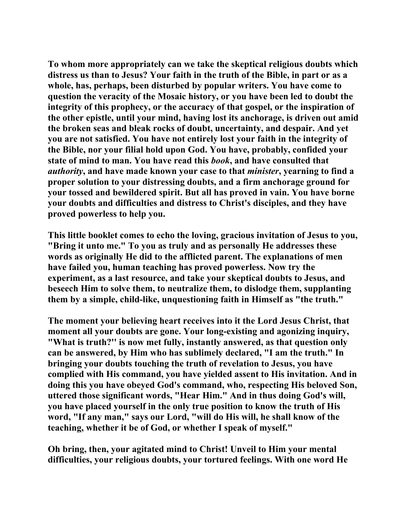**To whom more appropriately can we take the skeptical religious doubts which distress us than to Jesus? Your faith in the truth of the Bible, in part or as a whole, has, perhaps, been disturbed by popular writers. You have come to question the veracity of the Mosaic history, or you have been led to doubt the integrity of this prophecy, or the accuracy of that gospel, or the inspiration of the other epistle, until your mind, having lost its anchorage, is driven out amid the broken seas and bleak rocks of doubt, uncertainty, and despair. And yet you are not satisfied. You have not entirely lost your faith in the integrity of the Bible, nor your filial hold upon God. You have, probably, confided your state of mind to man. You have read this** *book***, and have consulted that**  *authority***, and have made known your case to that** *minister***, yearning to find a proper solution to your distressing doubts, and a firm anchorage ground for your tossed and bewildered spirit. But all has proved in vain. You have borne your doubts and difficulties and distress to Christ's disciples, and they have proved powerless to help you.** 

**This little booklet comes to echo the loving, gracious invitation of Jesus to you, "Bring it unto me." To you as truly and as personally He addresses these words as originally He did to the afflicted parent. The explanations of men have failed you, human teaching has proved powerless. Now try the experiment, as a last resource, and take your skeptical doubts to Jesus, and beseech Him to solve them, to neutralize them, to dislodge them, supplanting them by a simple, child-like, unquestioning faith in Himself as "the truth."** 

**The moment your believing heart receives into it the Lord Jesus Christ, that moment all your doubts are gone. Your long-existing and agonizing inquiry, "What is truth?'' is now met fully, instantly answered, as that question only can be answered, by Him who has sublimely declared, "I am the truth." In bringing your doubts touching the truth of revelation to Jesus, you have complied with His command, you have yielded assent to His invitation. And in doing this you have obeyed God's command, who, respecting His beloved Son, uttered those significant words, "Hear Him." And in thus doing God's will, you have placed yourself in the only true position to know the truth of His word, "If any man," says our Lord, "will do His will, he shall know of the teaching, whether it be of God, or whether I speak of myself."** 

**Oh bring, then, your agitated mind to Christ! Unveil to Him your mental difficulties, your religious doubts, your tortured feelings. With one word He**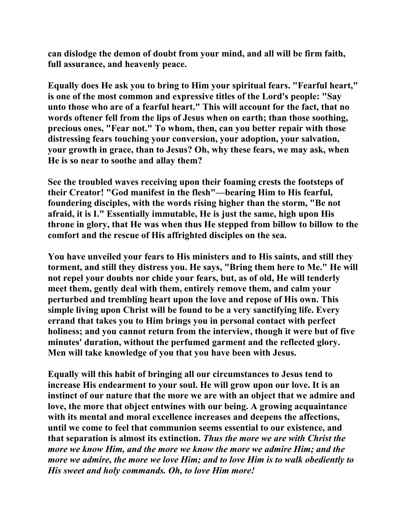**can dislodge the demon of doubt from your mind, and all will be firm faith, full assurance, and heavenly peace.** 

**Equally does He ask you to bring to Him your spiritual fears. "Fearful heart," is one of the most common and expressive titles of the Lord's people: "Say unto those who are of a fearful heart." This will account for the fact, that no words oftener fell from the lips of Jesus when on earth; than those soothing, precious ones, "Fear not." To whom, then, can you better repair with those distressing fears touching your conversion, your adoption, your salvation, your growth in grace, than to Jesus? Oh, why these fears, we may ask, when He is so near to soothe and allay them?** 

**See the troubled waves receiving upon their foaming crests the footsteps of their Creator! "God manifest in the flesh"—bearing Him to His fearful, foundering disciples, with the words rising higher than the storm, "Be not afraid, it is I." Essentially immutable, He is just the same, high upon His throne in glory, that He was when thus He stepped from billow to billow to the comfort and the rescue of His affrighted disciples on the sea.** 

**You have unveiled your fears to His ministers and to His saints, and still they torment, and still they distress you. He says, "Bring them here to Me." He will not repel your doubts nor chide your fears, but, as of old, He will tenderly meet them, gently deal with them, entirely remove them, and calm your perturbed and trembling heart upon the love and repose of His own. This simple living upon Christ will be found to be a very sanctifying life. Every errand that takes you to Him brings you in personal contact with perfect holiness; and you cannot return from the interview, though it were but of five minutes' duration, without the perfumed garment and the reflected glory. Men will take knowledge of you that you have been with Jesus.** 

**Equally will this habit of bringing all our circumstances to Jesus tend to increase His endearment to your soul. He will grow upon our love. It is an instinct of our nature that the more we are with an object that we admire and love, the more that object entwines with our being. A growing acquaintance with its mental and moral excellence increases and deepens the affections, until we come to feel that communion seems essential to our existence, and that separation is almost its extinction.** *Thus the more we are with Christ the more we know Him, and the more we know the more we admire Him; and the more we admire, the more we love Him; and to love Him is to walk obediently to His sweet and holy commands. Oh, to love Him more!*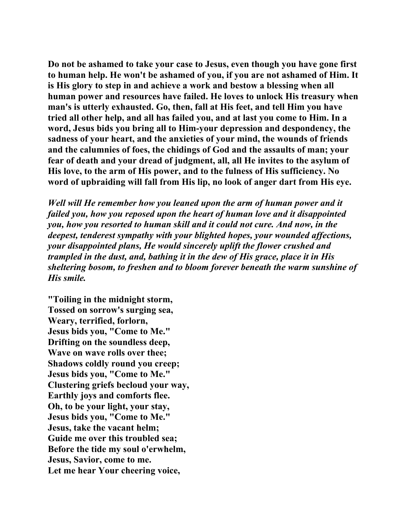**Do not be ashamed to take your case to Jesus, even though you have gone first to human help. He won't be ashamed of you, if you are not ashamed of Him. It is His glory to step in and achieve a work and bestow a blessing when all human power and resources have failed. He loves to unlock His treasury when man's is utterly exhausted. Go, then, fall at His feet, and tell Him you have tried all other help, and all has failed you, and at last you come to Him. In a word, Jesus bids you bring all to Him-your depression and despondency, the sadness of your heart, and the anxieties of your mind, the wounds of friends and the calumnies of foes, the chidings of God and the assaults of man; your fear of death and your dread of judgment, all, all He invites to the asylum of His love, to the arm of His power, and to the fulness of His sufficiency. No word of upbraiding will fall from His lip, no look of anger dart from His eye.** 

*Well will He remember how you leaned upon the arm of human power and it failed you, how you reposed upon the heart of human love and it disappointed you, how you resorted to human skill and it could not cure. And now, in the deepest, tenderest sympathy with your blighted hopes, your wounded affections, your disappointed plans, He would sincerely uplift the flower crushed and trampled in the dust, and, bathing it in the dew of His grace, place it in His sheltering bosom, to freshen and to bloom forever beneath the warm sunshine of His smile.*

**"Toiling in the midnight storm, Tossed on sorrow's surging sea, Weary, terrified, forlorn, Jesus bids you, "Come to Me." Drifting on the soundless deep, Wave on wave rolls over thee; Shadows coldly round you creep; Jesus bids you, "Come to Me." Clustering griefs becloud your way, Earthly joys and comforts flee. Oh, to be your light, your stay, Jesus bids you, "Come to Me." Jesus, take the vacant helm; Guide me over this troubled sea; Before the tide my soul o'erwhelm, Jesus, Savior, come to me. Let me hear Your cheering voice,**